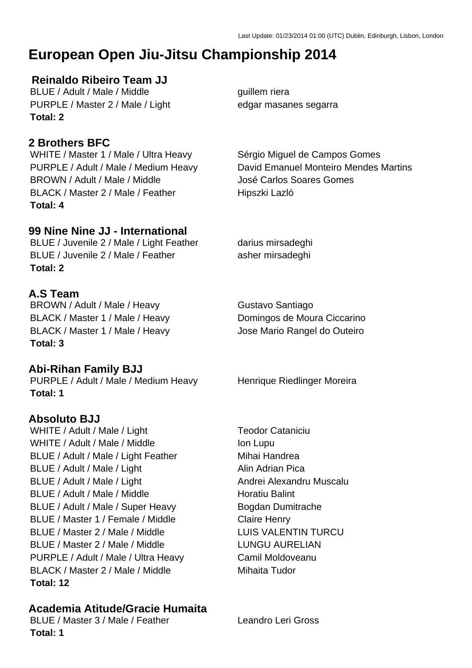# **European Open Jiu-Jitsu Championship 2014**

## **Reinaldo Ribeiro Team JJ**

BLUE / Adult / Male / Middle guillem riera PURPLE / Master 2 / Male / Light edgar masanes segarra **Total: 2**

## **2 Brothers BFC**

WHITE / Master 1 / Male / Ultra Heavy Sérgio Miguel de Campos Gomes BROWN / Adult / Male / Middle José Carlos Soares Gomes BLACK / Master 2 / Male / Feather Hipszki Lazló **Total: 4**

## **99 Nine Nine JJ - International**

BLUE / Juvenile 2 / Male / Light Feather darius mirsadeghi BLUE / Juvenile 2 / Male / Feather asher mirsadeghi **Total: 2**

## **A.S Team**

BROWN / Adult / Male / Heavy Gustavo Santiago BLACK / Master 1 / Male / Heavy Domingos de Moura Ciccarino BLACK / Master 1 / Male / Heavy Jose Mario Rangel do Outeiro **Total: 3**

#### **Abi-Rihan Family BJJ**

PURPLE / Adult / Male / Medium Heavy Henrique Riedlinger Moreira **Total: 1**

#### **Absoluto BJJ**

WHITE / Adult / Male / Light Teodor Cataniciu WHITE / Adult / Male / Middle Inc. Inc. Ion Lupu BLUE / Adult / Male / Light Feather Mihai Handrea BLUE / Adult / Male / Light Alin Adrian Pica BLUE / Adult / Male / Light Andrei Alexandru Muscalu BLUE / Adult / Male / Middle Horatiu Balint BLUE / Adult / Male / Super Heavy Bogdan Dumitrache BLUE / Master 1 / Female / Middle Claire Henry BLUE / Master 2 / Male / Middle LUIS VALENTIN TURCU BLUE / Master 2 / Male / Middle LUNGU AURELIAN PURPLE / Adult / Male / Ultra Heavy Camil Moldoveanu BLACK / Master 2 / Male / Middle Mihaita Tudor **Total: 12**

## **Academia Atitude/Gracie Humaita**

BLUE / Master 3 / Male / Feather Leandro Leri Gross **Total: 1**

PURPLE / Adult / Male / Medium Heavy David Emanuel Monteiro Mendes Martins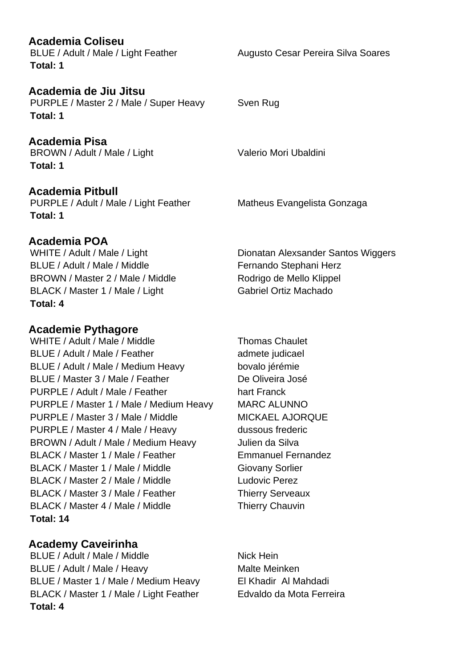**Academia Coliseu Total: 1**

**Academia de Jiu Jitsu** PURPLE / Master 2 / Male / Super Heavy Sven Rug **Total: 1**

**Academia Pisa** BROWN / Adult / Male / Light Valerio Mori Ubaldini **Total: 1**

**Academia Pitbull** PURPLE / Adult / Male / Light Feather Matheus Evangelista Gonzaga **Total: 1**

#### **Academia POA**

BLUE / Adult / Male / Middle Fernando Stephani Herz BROWN / Master 2 / Male / Middle Rodrigo de Mello Klippel BLACK / Master 1 / Male / Light Gabriel Ortiz Machado **Total: 4**

## **Academie Pythagore**

WHITE / Adult / Male / Middle Thomas Chaulet BLUE / Adult / Male / Feather admete judicael BLUE / Adult / Male / Medium Heavy bovalo jérémie BLUE / Master 3 / Male / Feather De Oliveira José PURPLE / Adult / Male / Feather hart Franck PURPLE / Master 1 / Male / Medium Heavy MARC ALUNNO PURPLE / Master 3 / Male / Middle MICKAEL AJORQUE PURPLE / Master 4 / Male / Heavy dussous frederic BROWN / Adult / Male / Medium Heavy Julien da Silva BLACK / Master 1 / Male / Feather Emmanuel Fernandez BLACK / Master 1 / Male / Middle Giovany Sorlier BLACK / Master 2 / Male / Middle Ludovic Perez BLACK / Master 3 / Male / Feather Thierry Serveaux BLACK / Master 4 / Male / Middle Thierry Chauvin **Total: 14**

## **Academy Caveirinha**

BLUE / Adult / Male / Middle Nick Hein BLUE / Adult / Male / Heavy Malte Meinken BLUE / Master 1 / Male / Medium Heavy El Khadir Al Mahdadi BLACK / Master 1 / Male / Light Feather Edvaldo da Mota Ferreira **Total: 4**

WHITE / Adult / Male / Light Dionatan Alexsander Santos Wiggers

BLUE / Adult / Male / Light Feather Augusto Cesar Pereira Silva Soares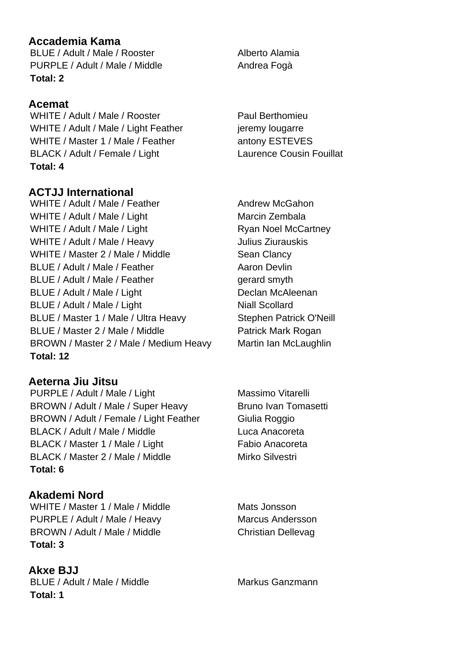## **Accademia Kama**

BLUE / Adult / Male / Rooster Alberto Alamia PURPLE / Adult / Male / Middle Andrea Fogà **Total: 2**

## **Acemat**

WHITE / Adult / Male / Rooster Paul Berthomieu WHITE / Adult / Male / Light Feather in the ieremy lougarre WHITE / Master 1 / Male / Feather antony ESTEVES BLACK / Adult / Female / Light Laurence Cousin Fouillat **Total: 4**

## **ACTJJ International**

WHITE / Adult / Male / Feather Andrew McGahon WHITE / Adult / Male / Light Marcin Zembala WHITE / Adult / Male / Light Ryan Noel McCartney WHITE / Adult / Male / Heavy Julius Ziurauskis WHITE / Master 2 / Male / Middle Sean Clancy BLUE / Adult / Male / Feather Aaron Devlin BLUE / Adult / Male / Feather gerard smyth BLUE / Adult / Male / Light Declan McAleenan BLUE / Adult / Male / Light Niall Scollard BLUE / Master 1 / Male / Ultra Heavy Stephen Patrick O'Neill BLUE / Master 2 / Male / Middle Patrick Mark Rogan BROWN / Master 2 / Male / Medium Heavy Martin Ian McLaughlin **Total: 12**

**Aeterna Jiu Jitsu** PURPLE / Adult / Male / Light Massimo Vitarelli BROWN / Adult / Male / Super Heavy Bruno Ivan Tomasetti BROWN / Adult / Female / Light Feather Giulia Roggio BLACK / Adult / Male / Middle Luca Anacoreta BLACK / Master 1 / Male / Light Fabio Anacoreta BLACK / Master 2 / Male / Middle Mirko Silvestri **Total: 6**

#### **Akademi Nord**

WHITE / Master 1 / Male / Middle Mats Jonsson PURPLE / Adult / Male / Heavy Marcus Andersson BROWN / Adult / Male / Middle Christian Dellevag **Total: 3**

**Akxe BJJ** BLUE / Adult / Male / Middle Markus Ganzmann **Total: 1**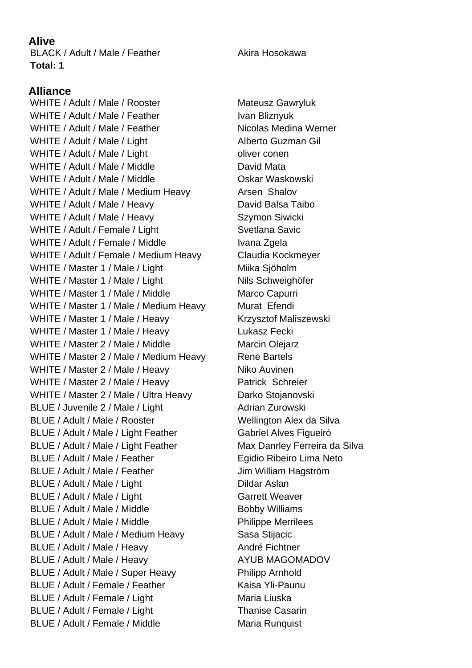## **Alive**

BLACK / Adult / Male / Feather Akira Hosokawa **Total: 1**

## **Alliance**

WHITE / Adult / Male / Rooster Mateusz Gawryluk WHITE / Adult / Male / Feather Ivan Bliznyuk WHITE / Adult / Male / Feather Nicolas Medina Werner WHITE / Adult / Male / Light Alberto Guzman Gil WHITE / Adult / Male / Light conenable oliver conenable of the Male of the Male of the Male of the Male of the Male of the Male of the Male of the Male of the Male of the Male of the Male of the Male of the Male of the Mal WHITE / Adult / Male / Middle David Mata WHITE / Adult / Male / Middle **Canadian Maskowski** WHITE / Adult / Male / Medium Heavy Arsen Shalov WHITE / Adult / Male / Heavy David Balsa Taibo WHITE / Adult / Male / Heavy Szymon Siwicki WHITE / Adult / Female / Light Svetlana Savic WHITE / Adult / Female / Middle Ivana Zgela WHITE / Adult / Female / Medium Heavy Claudia Kockmeyer WHITE / Master 1 / Male / Light Miller Milka Sjöholm WHITE / Master 1 / Male / Light Nils Schweighöfer WHITE / Master 1 / Male / Middle Marco Capurri WHITE / Master 1 / Male / Medium Heavy Murat Efendi WHITE / Master 1 / Male / Heavy Krzysztof Maliszewski WHITE / Master 1 / Male / Heavy Lukasz Fecki WHITE / Master 2 / Male / Middle Marcin Olejarz WHITE / Master 2 / Male / Medium Heavy Rene Bartels WHITE / Master 2 / Male / Heavy Niko Auvinen WHITE / Master 2 / Male / Heavy Patrick Schreier WHITE / Master 2 / Male / Ultra Heavy Darko Stojanovski BLUE / Juvenile 2 / Male / Light Adrian Zurowski BLUE / Adult / Male / Rooster Wellington Alex da Silva BLUE / Adult / Male / Light Feather Gabriel Alves Figueiró BLUE / Adult / Male / Light Feather Max Danrley Ferreira da Silva BLUE / Adult / Male / Feather Egidio Ribeiro Lima Neto BLUE / Adult / Male / Feather Jim William Hagström BLUE / Adult / Male / Light Dildar Aslan BLUE / Adult / Male / Light Garrett Weaver BLUE / Adult / Male / Middle Bobby Williams BLUE / Adult / Male / Middle Philippe Merrilees BLUE / Adult / Male / Medium Heavy Sasa Stijacic BLUE / Adult / Male / Heavy André Fichtner BLUE / Adult / Male / Heavy AYUB MAGOMADOV BLUE / Adult / Male / Super Heavy Philipp Arnhold BLUE / Adult / Female / Feather Kaisa Yli-Paunu BLUE / Adult / Female / Light Maria Liuska BLUE / Adult / Female / Light Thanise Casarin BLUE / Adult / Female / Middle Maria Runquist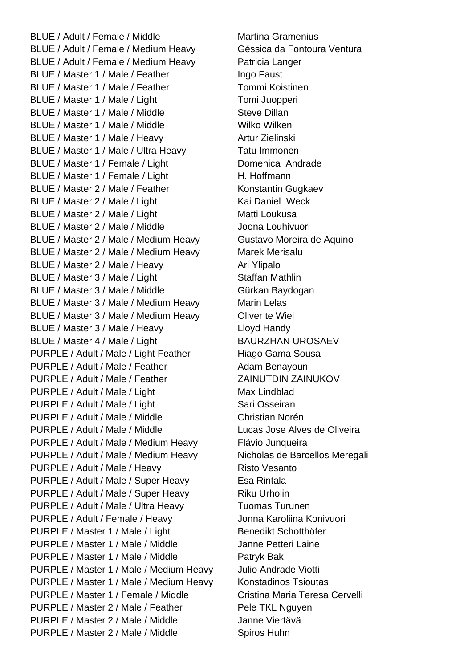BLUE / Adult / Female / Middle Martina Gramenius BLUE / Adult / Female / Medium Heavy Géssica da Fontoura Ventura BLUE / Adult / Female / Medium Heavy Patricia Langer BLUE / Master 1 / Male / Feather Ingo Faust BLUE / Master 1 / Male / Feather Tommi Koistinen BLUE / Master 1 / Male / Light Tomi Juopperi BLUE / Master 1 / Male / Middle Steve Dillan BLUE / Master 1 / Male / Middle Wilko Wilken BLUE / Master 1 / Male / Heavy Artur Zielinski BLUE / Master 1 / Male / Ultra Heavy Tatu Immonen BLUE / Master 1 / Female / Light Domenica Andrade BLUE / Master 1 / Female / Light H. Hoffmann BLUE / Master 2 / Male / Feather Konstantin Gugkaev BLUE / Master 2 / Male / Light Kai Daniel Weck BLUE / Master 2 / Male / Light Matti Loukusa BLUE / Master 2 / Male / Middle Joona Louhivuori BLUE / Master 2 / Male / Medium Heavy Gustavo Moreira de Aquino BLUE / Master 2 / Male / Medium Heavy Marek Merisalu BLUE / Master 2 / Male / Heavy Ari Ylipalo BLUE / Master 3 / Male / Light Staffan Mathlin BLUE / Master 3 / Male / Middle Gürkan Baydogan BLUE / Master 3 / Male / Medium Heavy Marin Lelas BLUE / Master 3 / Male / Medium Heavy Oliver te Wiel BLUE / Master 3 / Male / Heavy Lloyd Handy BLUE / Master 4 / Male / Light BAURZHAN UROSAEV PURPLE / Adult / Male / Light Feather Hiago Gama Sousa PURPLE / Adult / Male / Feather Adam Benayoun PURPLE / Adult / Male / Feather ZAINUTDIN ZAINUKOV PURPLE / Adult / Male / Light Max Lindblad PURPLE / Adult / Male / Light Sari Osseiran PURPLE / Adult / Male / Middle Christian Norén PURPLE / Adult / Male / Middle Lucas Jose Alves de Oliveira PURPLE / Adult / Male / Medium Heavy Flávio Junqueira PURPLE / Adult / Male / Medium Heavy Nicholas de Barcellos Meregali PURPLE / Adult / Male / Heavy Risto Vesanto PURPLE / Adult / Male / Super Heavy Esa Rintala PURPLE / Adult / Male / Super Heavy Riku Urholin PURPLE / Adult / Male / Ultra Heavy Tuomas Turunen PURPLE / Adult / Female / Heavy Jonna Karoliina Konivuori PURPLE / Master 1 / Male / Light Benedikt Schotthöfer PURPLE / Master 1 / Male / Middle Janne Petteri Laine PURPLE / Master 1 / Male / Middle Patryk Bak PURPLE / Master 1 / Male / Medium Heavy Julio Andrade Viotti PURPLE / Master 1 / Male / Medium Heavy Konstadinos Tsioutas PURPLE / Master 1 / Female / Middle Cristina Maria Teresa Cervelli PURPLE / Master 2 / Male / Feather Pele TKL Nguyen PURPLE / Master 2 / Male / Middle Janne Viertävä PURPLE / Master 2 / Male / Middle Spiros Huhn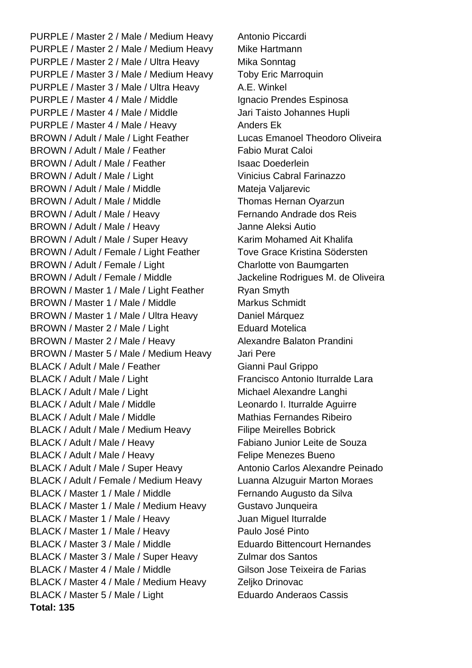PURPLE / Master 2 / Male / Medium Heavy Antonio Piccardi PURPLE / Master 2 / Male / Medium Heavy Mike Hartmann PURPLE / Master 2 / Male / Ultra Heavy Mika Sonntag PURPLE / Master 3 / Male / Medium Heavy Toby Eric Marroquin PURPLE / Master 3 / Male / Ultra Heavy A.E. Winkel PURPLE / Master 4 / Male / Middle Ignacio Prendes Espinosa PURPLE / Master 4 / Male / Middle Jari Taisto Johannes Hupli PURPLE / Master 4 / Male / Heavy Anders Ek BROWN / Adult / Male / Light Feather Lucas Emanoel Theodoro Oliveira BROWN / Adult / Male / Feather Fabio Murat Caloi BROWN / Adult / Male / Feather Isaac Doederlein BROWN / Adult / Male / Light Vinicius Cabral Farinazzo BROWN / Adult / Male / Middle Mateja Valiarevic BROWN / Adult / Male / Middle Thomas Hernan Oyarzun BROWN / Adult / Male / Heavy Fernando Andrade dos Reis BROWN / Adult / Male / Heavy Janne Aleksi Autio BROWN / Adult / Male / Super Heavy Karim Mohamed Ait Khalifa BROWN / Adult / Female / Light Feather Tove Grace Kristina Södersten BROWN / Adult / Female / Light Charlotte von Baumgarten BROWN / Adult / Female / Middle Jackeline Rodrigues M. de Oliveira BROWN / Master 1 / Male / Light Feather Ryan Smyth BROWN / Master 1 / Male / Middle Markus Schmidt BROWN / Master 1 / Male / Ultra Heavy Daniel Márquez BROWN / Master 2 / Male / Light Eduard Motelica BROWN / Master 2 / Male / Heavy Alexandre Balaton Prandini BROWN / Master 5 / Male / Medium Heavy Jari Pere BLACK / Adult / Male / Feather Gianni Paul Grippo BLACK / Adult / Male / Light Francisco Antonio Iturralde Lara BLACK / Adult / Male / Light Michael Alexandre Langhi BLACK / Adult / Male / Middle Leonardo I. Iturralde Aguirre BLACK / Adult / Male / Middle Mathias Fernandes Ribeiro BLACK / Adult / Male / Medium Heavy Filipe Meirelles Bobrick BLACK / Adult / Male / Heavy Fabiano Junior Leite de Souza BLACK / Adult / Male / Heavy Felipe Menezes Bueno BLACK / Adult / Male / Super Heavy Antonio Carlos Alexandre Peinado BLACK / Adult / Female / Medium Heavy Luanna Alzuguir Marton Moraes BLACK / Master 1 / Male / Middle Fernando Augusto da Silva BLACK / Master 1 / Male / Medium Heavy Gustavo Junqueira BLACK / Master 1 / Male / Heavy Juan Miguel Iturralde BLACK / Master 1 / Male / Heavy Paulo José Pinto BLACK / Master 3 / Male / Middle Eduardo Bittencourt Hernandes BLACK / Master 3 / Male / Super Heavy Zulmar dos Santos BLACK / Master 4 / Male / Middle Gilson Jose Teixeira de Farias BLACK / Master 4 / Male / Medium Heavy Zeljko Drinovac BLACK / Master 5 / Male / Light Eduardo Anderaos Cassis **Total: 135**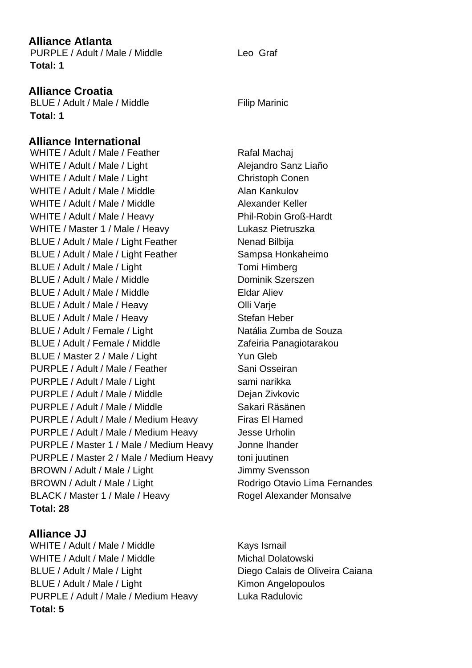### **Alliance Atlanta**

PURPLE / Adult / Male / Middle Leo Graf **Total: 1**

## **Alliance Croatia**

BLUE / Adult / Male / Middle Filip Marinic **Total: 1**

## **Alliance International**

WHITE / Adult / Male / Feather Rafal Machaj WHITE / Adult / Male / Light Alejandro Sanz Liaño WHITE / Adult / Male / Light Christoph Conen WHITE / Adult / Male / Middle Alan Kankulov WHITE / Adult / Male / Middle Alexander Keller WHITE / Adult / Male / Heavy Phil-Robin Groß-Hardt WHITE / Master 1 / Male / Heavy Lukasz Pietruszka BLUE / Adult / Male / Light Feather Nenad Bilbija BLUE / Adult / Male / Light Feather Sampsa Honkaheimo BLUE / Adult / Male / Light Tomi Himberg BLUE / Adult / Male / Middle Dominik Szerszen BLUE / Adult / Male / Middle **Eldar Aliev** BLUE / Adult / Male / Heavy **Olli Varie** BLUE / Adult / Male / Heavy Stefan Heber BLUE / Adult / Female / Light Natália Zumba de Souza BLUE / Adult / Female / Middle Zafeiria Panagiotarakou BLUE / Master 2 / Male / Light Yun Gleb PURPLE / Adult / Male / Feather Sani Osseiran PURPLE / Adult / Male / Light sami narikka PURPLE / Adult / Male / Middle Dejan Zivkovic PURPLE / Adult / Male / Middle Sakari Räsänen PURPLE / Adult / Male / Medium Heavy Firas El Hamed PURPLE / Adult / Male / Medium Heavy Jesse Urholin PURPLE / Master 1 / Male / Medium Heavy Jonne Ihander PURPLE / Master 2 / Male / Medium Heavy toni juutinen BROWN / Adult / Male / Light Jimmy Svensson BROWN / Adult / Male / Light Rodrigo Otavio Lima Fernandes BLACK / Master 1 / Male / Heavy Rogel Alexander Monsalve **Total: 28**

## **Alliance JJ**

WHITE / Adult / Male / Middle Kays Ismail WHITE / Adult / Male / Middle Michal Dolatowski BLUE / Adult / Male / Light Diego Calais de Oliveira Caiana BLUE / Adult / Male / Light Kimon Angelopoulos PURPLE / Adult / Male / Medium Heavy Luka Radulovic **Total: 5**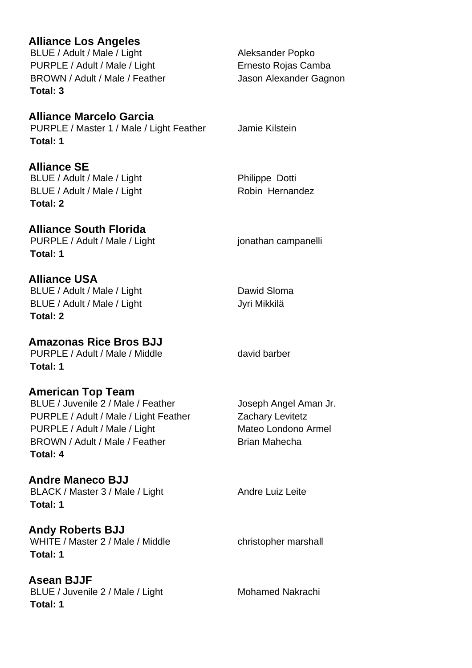## **Alliance Los Angeles**

BLUE / Adult / Male / Light Aleksander Popko PURPLE / Adult / Male / Light Ernesto Rojas Camba BROWN / Adult / Male / Feather Jason Alexander Gagnon **Total: 3**

## **Alliance Marcelo Garcia**

PURPLE / Master 1 / Male / Light Feather Jamie Kilstein **Total: 1**

## **Alliance SE**

BLUE / Adult / Male / Light Philippe Dotti BLUE / Adult / Male / Light Robin Hernandez **Total: 2**

## **Alliance South Florida**

PURPLE / Adult / Male / Light in the state of positionarism in the parameter of purpose **Total: 1**

#### **Alliance USA**

BLUE / Adult / Male / Light Dawid Sloma BLUE / Adult / Male / Light Jyri Mikkilä **Total: 2**

**Amazonas Rice Bros BJJ** PURPLE / Adult / Male / Middle david barber **Total: 1**

#### **American Top Team**

BLUE / Juvenile 2 / Male / Feather Joseph Angel Aman Jr. PURPLE / Adult / Male / Light Feather Zachary Levitetz PURPLE / Adult / Male / Light Mateo Londono Armel BROWN / Adult / Male / Feather Brian Mahecha **Total: 4**

## **Andre Maneco BJJ**

BLACK / Master 3 / Male / Light Andre Luiz Leite **Total: 1**

**Andy Roberts BJJ** WHITE / Master 2 / Male / Middle christopher marshall **Total: 1**

**Asean BJJF** BLUE / Juvenile 2 / Male / Light Mohamed Nakrachi **Total: 1**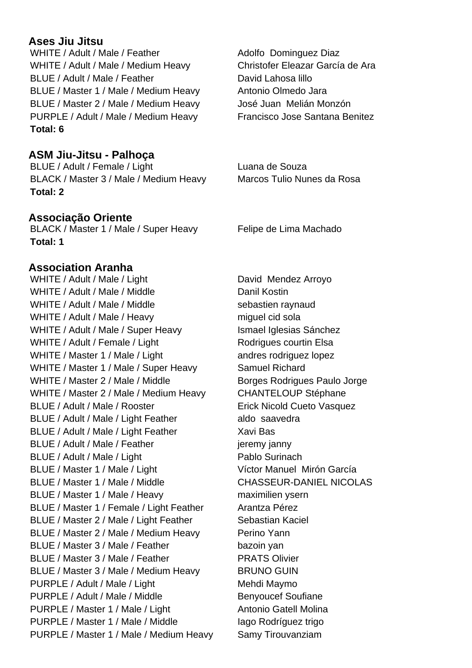## **Ases Jiu Jitsu**

WHITE / Adult / Male / Feather Adolfo Dominguez Diaz WHITE / Adult / Male / Medium Heavy Christofer Eleazar García de Ara BLUE / Adult / Male / Feather David Lahosa lillo BLUE / Master 1 / Male / Medium Heavy Antonio Olmedo Jara BLUE / Master 2 / Male / Medium Heavy José Juan Melián Monzón PURPLE / Adult / Male / Medium Heavy Francisco Jose Santana Benitez **Total: 6**

## **ASM Jiu-Jitsu - Palhoça**

BLUE / Adult / Female / Light Luana de Souza BLACK / Master 3 / Male / Medium Heavy Marcos Tulio Nunes da Rosa **Total: 2**

#### **Associação Oriente**

BLACK / Master 1 / Male / Super Heavy Felipe de Lima Machado **Total: 1**

#### **Association Aranha**

WHITE / Adult / Male / Light David Mendez Arroyo WHITE / Adult / Male / Middle Danil Kostin WHITE / Adult / Male / Middle sebastien raynaud WHITE / Adult / Male / Heavy miguel cid sola WHITE / Adult / Male / Super Heavy Ismael Iglesias Sánchez WHITE / Adult / Female / Light Rodrigues courtin Elsa WHITE / Master 1 / Male / Light andres rodriguez lopez WHITE / Master 1 / Male / Super Heavy Samuel Richard WHITE / Master 2 / Male / Middle Borges Rodrigues Paulo Jorge WHITE / Master 2 / Male / Medium Heavy CHANTELOUP Stéphane BLUE / Adult / Male / Rooster Erick Nicold Cueto Vasquez BLUE / Adult / Male / Light Feather aldo saavedra BLUE / Adult / Male / Light Feather Xavi Bas BLUE / Adult / Male / Feather jeremy janny BLUE / Adult / Male / Light Pablo Surinach BLUE / Master 1 / Male / Light Víctor Manuel Mirón García BLUE / Master 1 / Male / Middle CHASSEUR-DANIEL NICOLAS BLUE / Master 1 / Male / Heavy maximilien ysern BLUE / Master 1 / Female / Light Feather Arantza Pérez BLUE / Master 2 / Male / Light Feather Sebastian Kaciel BLUE / Master 2 / Male / Medium Heavy Perino Yann BLUE / Master 3 / Male / Feather bazoin yan BLUE / Master 3 / Male / Feather PRATS Olivier BLUE / Master 3 / Male / Medium Heavy BRUNO GUIN PURPLE / Adult / Male / Light Mehdi Maymo PURPLE / Adult / Male / Middle Benyoucef Soufiane PURPLE / Master 1 / Male / Light Antonio Gatell Molina PURPLE / Master 1 / Male / Middle Iago Rodríguez trigo PURPLE / Master 1 / Male / Medium Heavy Samy Tirouvanziam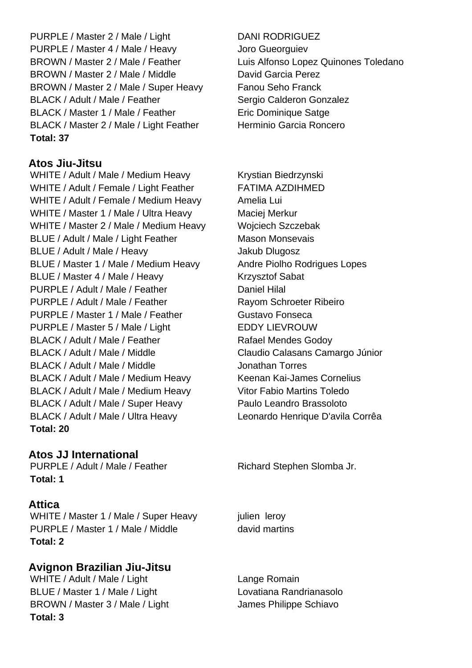PURPLE / Master 2 / Male / Light DANI RODRIGUEZ PURPLE / Master 4 / Male / Heavy Joro Gueorguiev BROWN / Master 2 / Male / Feather Luis Alfonso Lopez Quinones Toledano BROWN / Master 2 / Male / Middle David Garcia Perez BROWN / Master 2 / Male / Super Heavy Fanou Seho Franck BLACK / Adult / Male / Feather Sergio Calderon Gonzalez BLACK / Master 1 / Male / Feather Eric Dominique Satge BLACK / Master 2 / Male / Light Feather Herminio Garcia Roncero **Total: 37**

## **Atos Jiu-Jitsu**

WHITE / Adult / Male / Medium Heavy Krystian Biedrzynski WHITE / Adult / Female / Light Feather FATIMA AZDIHMED WHITE / Adult / Female / Medium Heavy Amelia Lui WHITE / Master 1 / Male / Ultra Heavy Maciej Merkur WHITE / Master 2 / Male / Medium Heavy Wojciech Szczebak BLUE / Adult / Male / Light Feather Mason Monsevais BLUE / Adult / Male / Heavy Jakub Dlugosz BLUE / Master 1 / Male / Medium Heavy Andre Piolho Rodrigues Lopes BLUE / Master 4 / Male / Heavy Krzysztof Sabat PURPLE / Adult / Male / Feather Daniel Hilal PURPLE / Adult / Male / Feather Rayom Schroeter Ribeiro PURPLE / Master 1 / Male / Feather Gustavo Fonseca PURPLE / Master 5 / Male / Light EDDY LIEVROUW BLACK / Adult / Male / Feather Rafael Mendes Godoy BLACK / Adult / Male / Middle Claudio Calasans Camargo Júnior BLACK / Adult / Male / Middle Jonathan Torres BLACK / Adult / Male / Medium Heavy Keenan Kai-James Cornelius BLACK / Adult / Male / Medium Heavy Vitor Fabio Martins Toledo BLACK / Adult / Male / Super Heavy Paulo Leandro Brassoloto BLACK / Adult / Male / Ultra Heavy Leonardo Henrique D'avila Corrêa **Total: 20**

## **Atos JJ International**

PURPLE / Adult / Male / Feather Richard Stephen Slomba Jr. **Total: 1**

#### **Attica**

WHITE / Master 1 / Male / Super Heavy julien leroy PURPLE / Master 1 / Male / Middle david martins **Total: 2**

## **Avignon Brazilian Jiu-Jitsu**

WHITE / Adult / Male / Light Lange Romain BLUE / Master 1 / Male / Light Lovatiana Randrianasolo BROWN / Master 3 / Male / Light James Philippe Schiavo **Total: 3**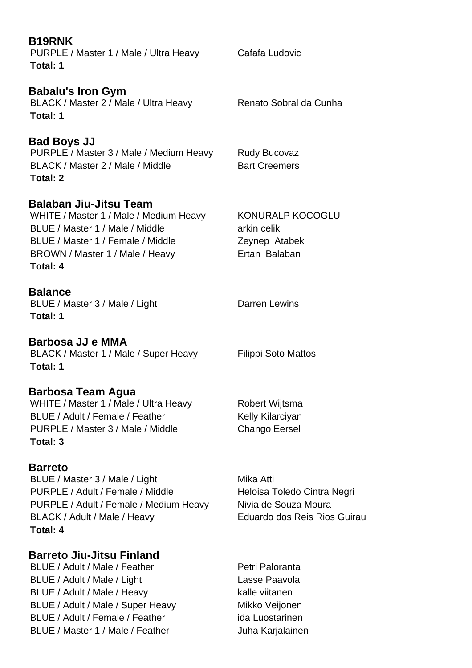| <b>B19RNK</b><br>PURPLE / Master 1 / Male / Ultra Heavy<br>Total: 1                                                                                                                            | Cafafa Ludovic                                                                                   |
|------------------------------------------------------------------------------------------------------------------------------------------------------------------------------------------------|--------------------------------------------------------------------------------------------------|
| <b>Babalu's Iron Gym</b><br>BLACK / Master 2 / Male / Ultra Heavy<br>Total: 1                                                                                                                  | Renato Sobral da Cunha                                                                           |
| <b>Bad Boys JJ</b><br>PURPLE / Master 3 / Male / Medium Heavy<br>BLACK / Master 2 / Male / Middle<br>Total: 2                                                                                  | <b>Rudy Bucovaz</b><br><b>Bart Creemers</b>                                                      |
| <b>Balaban Jiu-Jitsu Team</b><br>WHITE / Master 1 / Male / Medium Heavy<br>BLUE / Master 1 / Male / Middle<br>BLUE / Master 1 / Female / Middle<br>BROWN / Master 1 / Male / Heavy<br>Total: 4 | KONURALP KOCOGLU<br>arkin celik<br>Zeynep Atabek<br>Ertan Balaban                                |
| <b>Balance</b><br>BLUE / Master 3 / Male / Light<br>Total: 1                                                                                                                                   | <b>Darren Lewins</b>                                                                             |
| Barbosa JJ e MMA<br>BLACK / Master 1 / Male / Super Heavy<br>Total: 1                                                                                                                          | Filippi Soto Mattos                                                                              |
| <b>Barbosa Team Agua</b><br>WHITE / Master 1 / Male / Ultra Heavy<br>BLUE / Adult / Female / Feather<br>PURPLE / Master 3 / Male / Middle<br>Total: 3                                          | Robert Wijtsma<br>Kelly Kilarciyan<br><b>Chango Eersel</b>                                       |
| <b>Barreto</b><br>BLUE / Master 3 / Male / Light<br>PURPLE / Adult / Female / Middle<br>PURPLE / Adult / Female / Medium Heavy<br>BLACK / Adult / Male / Heavy<br>Total: 4                     | Mika Atti<br>Heloisa Toledo Cintra Negri<br>Nivia de Souza Moura<br>Eduardo dos Reis Rios Guirau |
| <b>Barreto Jiu-Jitsu Finland</b><br>BLUE / Adult / Male / Feather<br>BLUE / Adult / Male / Light<br>BLUE / Adult / Male / Heavy<br>BLUE / Adult / Male / Super Heavy                           | Petri Paloranta<br>Lasse Paavola<br>kalle viitanen<br>Mikko Veijonen                             |

BLUE / Adult / Female / Feather ida Luostarinen BLUE / Master 1 / Male / Feather Juha Karjalainen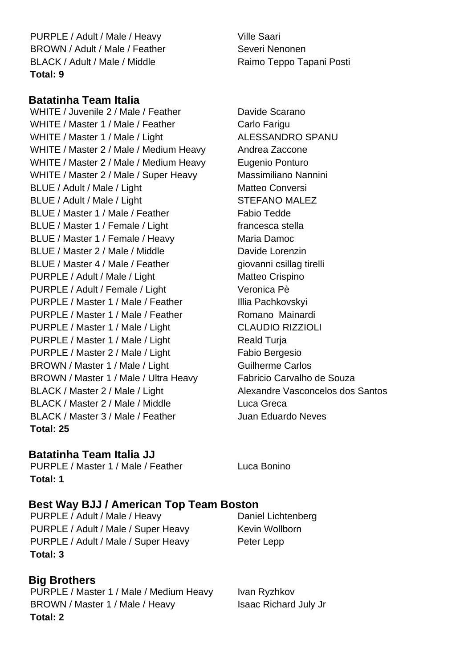PURPLE / Adult / Male / Heavy Ville Saari BROWN / Adult / Male / Feather Severi Nenonen BLACK / Adult / Male / Middle Raimo Teppo Tapani Posti **Total: 9**

#### **Batatinha Team Italia**

WHITE / Juvenile 2 / Male / Feather Davide Scarano WHITE / Master 1 / Male / Feather Carlo Farigu WHITE / Master 1 / Male / Light ALESSANDRO SPANU WHITE / Master 2 / Male / Medium Heavy Andrea Zaccone WHITE / Master 2 / Male / Medium Heavy Eugenio Ponturo WHITE / Master 2 / Male / Super Heavy Massimiliano Nannini BLUE / Adult / Male / Light Matteo Conversi BLUE / Adult / Male / Light STEFANO MALEZ BLUE / Master 1 / Male / Feather Fabio Tedde BLUE / Master 1 / Female / Light francesca stella BLUE / Master 1 / Female / Heavy Maria Damoc BLUE / Master 2 / Male / Middle Davide Lorenzin BLUE / Master 4 / Male / Feather giovanni csillag tirelli PURPLE / Adult / Male / Light Matteo Crispino PURPLE / Adult / Female / Light Veronica Pè PURPLE / Master 1 / Male / Feather Illia Pachkovskyi PURPLE / Master 1 / Male / Feather Romano Mainardi PURPLE / Master 1 / Male / Light CLAUDIO RIZZIOLI PURPLE / Master 1 / Male / Light Reald Turja PURPLE / Master 2 / Male / Light Fabio Bergesio BROWN / Master 1 / Male / Light Guilherme Carlos BROWN / Master 1 / Male / Ultra Heavy Fabricio Carvalho de Souza BLACK / Master 2 / Male / Light Alexandre Vasconcelos dos Santos BLACK / Master 2 / Male / Middle Luca Greca BLACK / Master 3 / Male / Feather Juan Eduardo Neves **Total: 25**

#### **Batatinha Team Italia JJ**

PURPLE / Master 1 / Male / Feather Luca Bonino **Total: 1**

#### **Best Way BJJ / American Top Team Boston**

PURPLE / Adult / Male / Heavy Daniel Lichtenberg PURPLE / Adult / Male / Super Heavy Kevin Wollborn PURPLE / Adult / Male / Super Heavy Peter Lepp **Total: 3**

## **Big Brothers**

PURPLE / Master 1 / Male / Medium Heavy Ivan Ryzhkov BROWN / Master 1 / Male / Heavy Isaac Richard July Jr **Total: 2**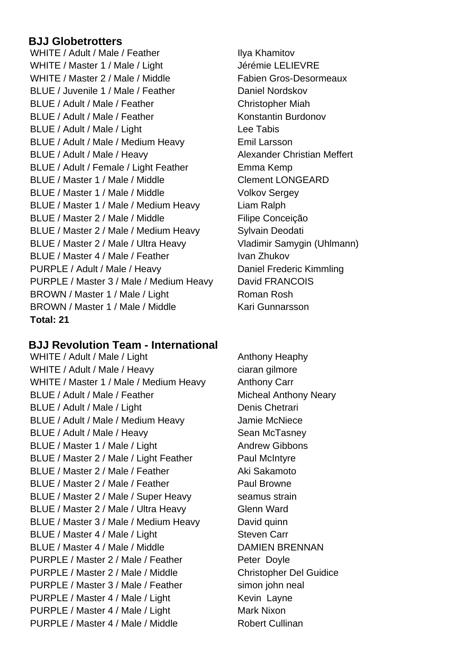#### **BJJ Globetrotters**

WHITE / Adult / Male / Feather Ilya Khamitov WHITE / Master 1 / Male / Light Jérémie LELIEVRE WHITE / Master 2 / Male / Middle Fabien Gros-Desormeaux BLUE / Juvenile 1 / Male / Feather Daniel Nordskov BLUE / Adult / Male / Feather Christopher Miah BLUE / Adult / Male / Feather Konstantin Burdonov BLUE / Adult / Male / Light Lee Tabis BLUE / Adult / Male / Medium Heavy Emil Larsson BLUE / Adult / Male / Heavy Alexander Christian Meffert BLUE / Adult / Female / Light Feather Emma Kemp BLUE / Master 1 / Male / Middle Clement LONGEARD BLUE / Master 1 / Male / Middle Volkov Sergey BLUE / Master 1 / Male / Medium Heavy Liam Ralph BLUE / Master 2 / Male / Middle Filipe Conceição BLUE / Master 2 / Male / Medium Heavy Sylvain Deodati BLUE / Master 2 / Male / Ultra Heavy Vladimir Samygin (Uhlmann) BLUE / Master 4 / Male / Feather Ivan Zhukov PURPLE / Adult / Male / Heavy Daniel Frederic Kimmling PURPLE / Master 3 / Male / Medium Heavy David FRANCOIS BROWN / Master 1 / Male / Light Roman Rosh BROWN / Master 1 / Male / Middle Kari Gunnarsson **Total: 21**

#### **BJJ Revolution Team - International**

WHITE / Adult / Male / Light Anthony Heaphy WHITE / Adult / Male / Heavy ciaran gilmore WHITE / Master 1 / Male / Medium Heavy Anthony Carr BLUE / Adult / Male / Feather Micheal Anthony Neary BLUE / Adult / Male / Light Denis Chetrari BLUE / Adult / Male / Medium Heavy Jamie McNiece BLUE / Adult / Male / Heavy Sean McTasney BLUE / Master 1 / Male / Light Andrew Gibbons BLUE / Master 2 / Male / Light Feather Paul McIntyre BLUE / Master 2 / Male / Feather Aki Sakamoto BLUE / Master 2 / Male / Feather Paul Browne BLUE / Master 2 / Male / Super Heavy seamus strain BLUE / Master 2 / Male / Ultra Heavy Glenn Ward BLUE / Master 3 / Male / Medium Heavy David quinn BLUE / Master 4 / Male / Light Steven Carr BLUE / Master 4 / Male / Middle DAMIEN BRENNAN PURPLE / Master 2 / Male / Feather Peter Doyle PURPLE / Master 2 / Male / Middle Christopher Del Guidice PURPLE / Master 3 / Male / Feather simon john neal PURPLE / Master 4 / Male / Light Kevin Layne PURPLE / Master 4 / Male / Light Mark Nixon PURPLE / Master 4 / Male / Middle Robert Cullinan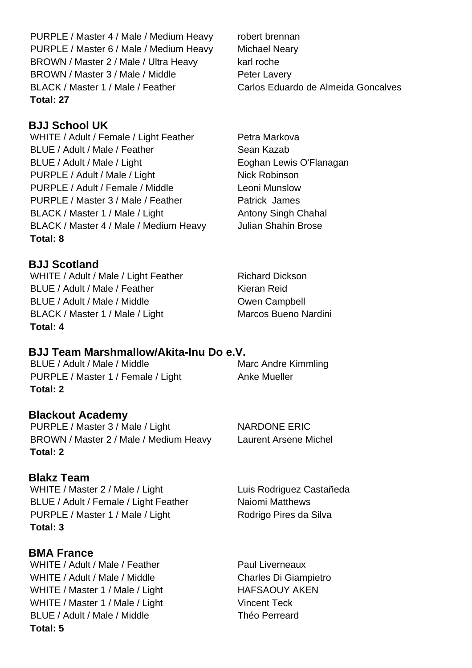PURPLE / Master 4 / Male / Medium Heavy robert brennan PURPLE / Master 6 / Male / Medium Heavy Michael Neary BROWN / Master 2 / Male / Ultra Heavy karl roche BROWN / Master 3 / Male / Middle Peter Lavery BLACK / Master 1 / Male / Feather Carlos Eduardo de Almeida Goncalves **Total: 27**

## **BJJ School UK**

WHITE / Adult / Female / Light Feather Petra Markova BLUE / Adult / Male / Feather Sean Kazab BLUE / Adult / Male / Light Englished Eoghan Lewis O'Flanagan PURPLE / Adult / Male / Light Nick Robinson PURPLE / Adult / Female / Middle Leoni Munslow PURPLE / Master 3 / Male / Feather Patrick James BLACK / Master 1 / Male / Light Antony Singh Chahal BLACK / Master 4 / Male / Medium Heavy Julian Shahin Brose **Total: 8**

## **BJJ Scotland**

WHITE / Adult / Male / Light Feather Richard Dickson BLUE / Adult / Male / Feather Kieran Reid BLUE / Adult / Male / Middle **Campbell** BLACK / Master 1 / Male / Light Marcos Bueno Nardini **Total: 4**

#### **BJJ Team Marshmallow/Akita-Inu Do e.V.**

BLUE / Adult / Male / Middle Marc Andre Kimmling PURPLE / Master 1 / Female / Light Anke Mueller **Total: 2**

#### **Blackout Academy**

PURPLE / Master 3 / Male / Light NARDONE ERIC BROWN / Master 2 / Male / Medium Heavy Laurent Arsene Michel **Total: 2**

## **Blakz Team**

WHITE / Master 2 / Male / Light Luis Rodriguez Castañeda BLUE / Adult / Female / Light Feather Naiomi Matthews PURPLE / Master 1 / Male / Light Rodrigo Pires da Silva **Total: 3**

## **BMA France**

WHITE / Adult / Male / Feather Paul Liverneaux WHITE / Adult / Male / Middle Charles Di Giampietro WHITE / Master 1 / Male / Light HAFSAOUY AKEN WHITE / Master 1 / Male / Light Vincent Teck BLUE / Adult / Male / Middle Théo Perreard **Total: 5**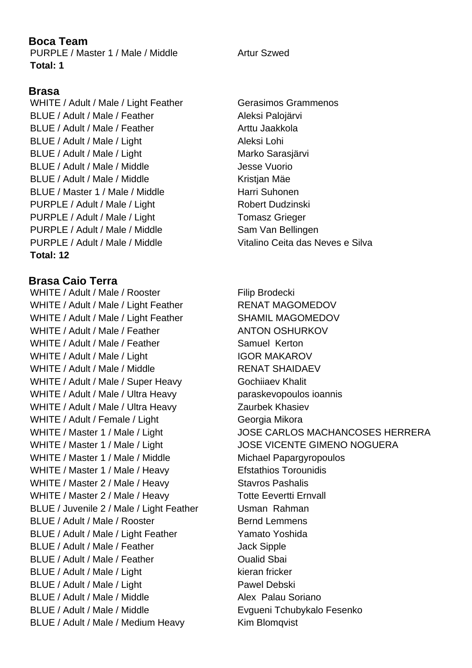## **Boca Team**

PURPLE / Master 1 / Male / Middle Artur Szwed **Total: 1**

## **Brasa**

WHITE / Adult / Male / Light Feather Gerasimos Grammenos BLUE / Adult / Male / Feather Aleksi Palojärvi BLUE / Adult / Male / Feather Arttu Jaakkola BLUE / Adult / Male / Light Aleksi Lohi BLUE / Adult / Male / Light Marko Sarasjärvi BLUE / Adult / Male / Middle Jesse Vuorio BLUE / Adult / Male / Middle Kristian Mäe BLUE / Master 1 / Male / Middle Harri Suhonen PURPLE / Adult / Male / Light Robert Dudzinski PURPLE / Adult / Male / Light Tomasz Grieger PURPLE / Adult / Male / Middle Sam Van Bellingen PURPLE / Adult / Male / Middle Vitalino Ceita das Neves e Silva **Total: 12**

#### **Brasa Caio Terra**

WHITE / Adult / Male / Rooster Filip Brodecki WHITE / Adult / Male / Light Feather RENAT MAGOMEDOV WHITE / Adult / Male / Light Feather SHAMIL MAGOMEDOV WHITE / Adult / Male / Feather ANTON OSHURKOV WHITE / Adult / Male / Feather Samuel Kerton WHITE / Adult / Male / Light IGOR MAKAROV WHITE / Adult / Male / Middle RENAT SHAIDAEV WHITE / Adult / Male / Super Heavy Gochiiaev Khalit WHITE / Adult / Male / Ultra Heavy paraskevopoulos ioannis WHITE / Adult / Male / Ultra Heavy Zaurbek Khasiev WHITE / Adult / Female / Light Georgia Mikora WHITE / Master 1 / Male / Light JOSE VICENTE GIMENO NOGUERA WHITE / Master 1 / Male / Middle Michael Papargyropoulos WHITE / Master 1 / Male / Heavy Efstathios Torounidis WHITE / Master 2 / Male / Heavy Stavros Pashalis WHITE / Master 2 / Male / Heavy Totte Eevertti Ernvall BLUE / Juvenile 2 / Male / Light Feather Usman Rahman BLUE / Adult / Male / Rooster Bernd Lemmens BLUE / Adult / Male / Light Feather Yamato Yoshida BLUE / Adult / Male / Feather Jack Sipple BLUE / Adult / Male / Feather **Canada Adult Adult / Male / Feather Canada Adult Strate** BLUE / Adult / Male / Light kieran fricker BLUE / Adult / Male / Light Pawel Debski BLUE / Adult / Male / Middle Alex Palau Soriano BLUE / Adult / Male / Middle Evgueni Tchubykalo Fesenko BLUE / Adult / Male / Medium Heavy Kim Blomqvist

WHITE / Master 1 / Male / Light JOSE CARLOS MACHANCOSES HERRERA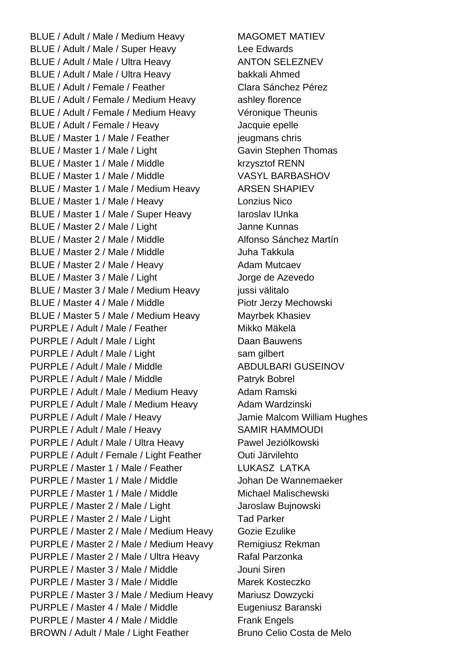BLUE / Adult / Male / Medium Heavy MAGOMET MATIEV BLUE / Adult / Male / Super Heavy Lee Edwards BLUE / Adult / Male / Ultra Heavy ANTON SELEZNEV BLUE / Adult / Male / Ultra Heavy bakkali Ahmed BLUE / Adult / Female / Feather Clara Sánchez Pérez BLUE / Adult / Female / Medium Heavy ashley florence BLUE / Adult / Female / Medium Heavy Véronique Theunis BLUE / Adult / Female / Heavy Jacquie epelle BLUE / Master 1 / Male / Feather international schris BLUE / Master 1 / Male / Light Gavin Stephen Thomas BLUE / Master 1 / Male / Middle krzysztof RENN BLUE / Master 1 / Male / Middle VASYL BARBASHOV BLUE / Master 1 / Male / Medium Heavy ARSEN SHAPIEV BLUE / Master 1 / Male / Heavy Lonzius Nico BLUE / Master 1 / Male / Super Heavy Iaroslav IUnka BLUE / Master 2 / Male / Light Janne Kunnas BLUE / Master 2 / Male / Middle Alfonso Sánchez Martín BLUE / Master 2 / Male / Middle Juha Takkula BLUE / Master 2 / Male / Heavy Adam Mutcaev BLUE / Master 3 / Male / Light Jorge de Azevedo BLUE / Master 3 / Male / Medium Heavy jussi välitalo BLUE / Master 4 / Male / Middle Piotr Jerzy Mechowski BLUE / Master 5 / Male / Medium Heavy Mayrbek Khasiev PURPLE / Adult / Male / Feather Mikko Mäkelä PURPLE / Adult / Male / Light Daan Bauwens PURPLE / Adult / Male / Light sam gilbert PURPLE / Adult / Male / Middle ABDULBARI GUSEINOV PURPLE / Adult / Male / Middle Pure Patryk Bobrel PURPLE / Adult / Male / Medium Heavy Adam Ramski PURPLE / Adult / Male / Medium Heavy Adam Wardzinski PURPLE / Adult / Male / Heavy Jamie Malcom William Hughes PURPLE / Adult / Male / Heavy SAMIR HAMMOUDI PURPLE / Adult / Male / Ultra Heavy Pawel Jeziólkowski PURPLE / Adult / Female / Light Feather Outi Järvilehto PURPLE / Master 1 / Male / Feather LUKASZ LATKA PURPLE / Master 1 / Male / Middle Johan De Wannemaeker PURPLE / Master 1 / Male / Middle Michael Malischewski PURPLE / Master 2 / Male / Light Jaroslaw Bujnowski PURPLE / Master 2 / Male / Light Tad Parker PURPLE / Master 2 / Male / Medium Heavy Gozie Ezulike PURPLE / Master 2 / Male / Medium Heavy Remigiusz Rekman PURPLE / Master 2 / Male / Ultra Heavy Rafal Parzonka PURPLE / Master 3 / Male / Middle Jouni Siren PURPLE / Master 3 / Male / Middle Marek Kosteczko PURPLE / Master 3 / Male / Medium Heavy Mariusz Dowzycki PURPLE / Master 4 / Male / Middle Eugeniusz Baranski PURPLE / Master 4 / Male / Middle Frank Engels BROWN / Adult / Male / Light Feather Bruno Celio Costa de Melo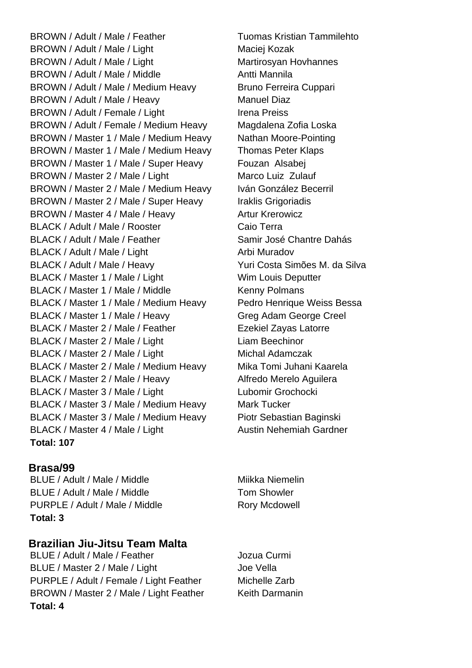BROWN / Adult / Male / Feather Tuomas Kristian Tammilehto BROWN / Adult / Male / Light Maciei Kozak BROWN / Adult / Male / Light Martirosyan Hovhannes BROWN / Adult / Male / Middle Antti Mannila BROWN / Adult / Male / Medium Heavy Bruno Ferreira Cuppari BROWN / Adult / Male / Heavy Manuel Diaz BROWN / Adult / Female / Light Irena Preiss BROWN / Adult / Female / Medium Heavy Magdalena Zofia Loska BROWN / Master 1 / Male / Medium Heavy Nathan Moore-Pointing BROWN / Master 1 / Male / Medium Heavy Thomas Peter Klaps BROWN / Master 1 / Male / Super Heavy Fouzan Alsabei BROWN / Master 2 / Male / Light Marco Luiz Zulauf BROWN / Master 2 / Male / Medium Heavy Iván González Becerril BROWN / Master 2 / Male / Super Heavy Iraklis Grigoriadis BROWN / Master 4 / Male / Heavy Artur Krerowicz BLACK / Adult / Male / Rooster Caio Terra BLACK / Adult / Male / Feather Samir José Chantre Dahás BLACK / Adult / Male / Light Arbi Muradov BLACK / Adult / Male / Heavy Yuri Costa Simões M. da Silva BLACK / Master 1 / Male / Light Wim Louis Deputter BLACK / Master 1 / Male / Middle Kenny Polmans BLACK / Master 1 / Male / Medium Heavy Pedro Henrique Weiss Bessa BLACK / Master 1 / Male / Heavy Greg Adam George Creel BLACK / Master 2 / Male / Feather Ezekiel Zayas Latorre BLACK / Master 2 / Male / Light Liam Beechinor BLACK / Master 2 / Male / Light Michal Adamczak BLACK / Master 2 / Male / Medium Heavy Mika Tomi Juhani Kaarela BLACK / Master 2 / Male / Heavy Alfredo Merelo Aguilera BLACK / Master 3 / Male / Light Lubomir Grochocki BLACK / Master 3 / Male / Medium Heavy Mark Tucker BLACK / Master 3 / Male / Medium Heavy Piotr Sebastian Baginski BLACK / Master 4 / Male / Light Austin Nehemiah Gardner **Total: 107**

#### **Brasa/99**

BLUE / Adult / Male / Middle Microsoft Minkka Niemelin BLUE / Adult / Male / Middle Tom Showler PURPLE / Adult / Male / Middle Rory Mcdowell **Total: 3**

## **Brazilian Jiu-Jitsu Team Malta**

BLUE / Adult / Male / Feather Jozua Curmi BLUE / Master 2 / Male / Light Joe Vella PURPLE / Adult / Female / Light Feather Michelle Zarb BROWN / Master 2 / Male / Light Feather Keith Darmanin **Total: 4**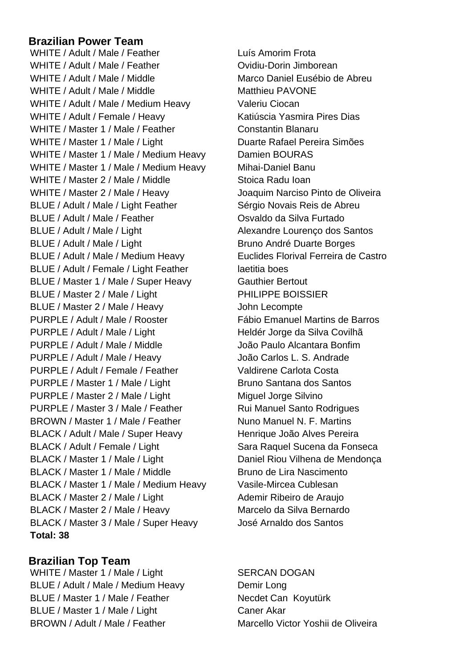#### **Brazilian Power Team**

WHITE / Adult / Male / Feather Luís Amorim Frota WHITE / Adult / Male / Feather **Communist Construction** Ovidiu-Dorin Jimborean WHITE / Adult / Male / Middle Marco Daniel Eusébio de Abreu WHITE / Adult / Male / Middle Matthieu PAVONE WHITE / Adult / Male / Medium Heavy Valeriu Ciocan WHITE / Adult / Female / Heavy Katiúscia Yasmira Pires Dias WHITE / Master 1 / Male / Feather Constantin Blanaru WHITE / Master 1 / Male / Light Duarte Rafael Pereira Simões WHITE / Master 1 / Male / Medium Heavy Damien BOURAS WHITE / Master 1 / Male / Medium Heavy Mihai-Daniel Banu WHITE / Master 2 / Male / Middle Stoica Radu Ioan WHITE / Master 2 / Male / Heavy Joaquim Narciso Pinto de Oliveira BLUE / Adult / Male / Light Feather Sérgio Novais Reis de Abreu BLUE / Adult / Male / Feather **Carry Contract Contract Contract Contract Contract Contract Contract Contract Contract Contract Contract Contract Contract Contract Contract Contract Contract Contract Contract Contract Contr** BLUE / Adult / Male / Light Alexandre Lourenco dos Santos BLUE / Adult / Male / Light Bruno André Duarte Borges BLUE / Adult / Male / Medium Heavy Euclides Florival Ferreira de Castro BLUE / Adult / Female / Light Feather laetitia boes BLUE / Master 1 / Male / Super Heavy Gauthier Bertout BLUE / Master 2 / Male / Light PHILIPPE BOISSIER BLUE / Master 2 / Male / Heavy John Lecompte PURPLE / Adult / Male / Rooster Fábio Emanuel Martins de Barros PURPLE / Adult / Male / Light Heldér Jorge da Silva Covilhã PURPLE / Adult / Male / Middle João Paulo Alcantara Bonfim PURPLE / Adult / Male / Heavy João Carlos L. S. Andrade PURPLE / Adult / Female / Feather Valdirene Carlota Costa PURPLE / Master 1 / Male / Light Bruno Santana dos Santos PURPLE / Master 2 / Male / Light Miguel Jorge Silvino PURPLE / Master 3 / Male / Feather Rui Manuel Santo Rodrigues BROWN / Master 1 / Male / Feather Nuno Manuel N. F. Martins BLACK / Adult / Male / Super Heavy Henrique João Alves Pereira BLACK / Adult / Female / Light Sara Raquel Sucena da Fonseca BLACK / Master 1 / Male / Light Daniel Riou Vilhena de Mendonça BLACK / Master 1 / Male / Middle Bruno de Lira Nascimento BLACK / Master 1 / Male / Medium Heavy Vasile-Mircea Cublesan BLACK / Master 2 / Male / Light Ademir Ribeiro de Araujo BLACK / Master 2 / Male / Heavy Marcelo da Silva Bernardo BLACK / Master 3 / Male / Super Heavy José Arnaldo dos Santos **Total: 38**

## **Brazilian Top Team**

WHITE / Master 1 / Male / Light SERCAN DOGAN BLUE / Adult / Male / Medium Heavy Demir Long BLUE / Master 1 / Male / Feather Necdet Can Koyutürk BLUE / Master 1 / Male / Light Caner Akar BROWN / Adult / Male / Feather Marcello Victor Yoshii de Oliveira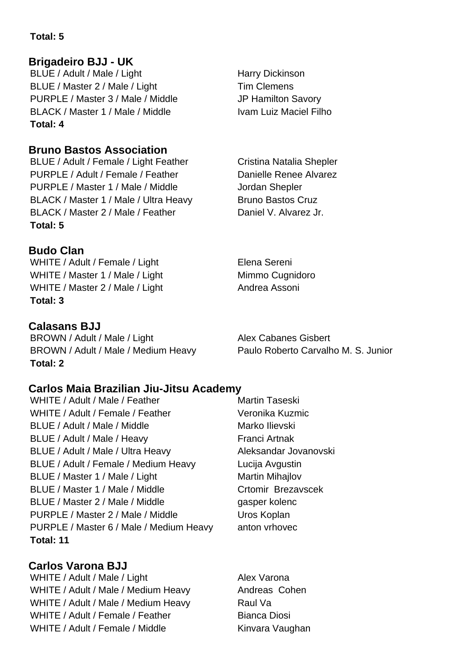## **Total: 5**

## **Brigadeiro BJJ - UK**

BLUE / Adult / Male / Light Harry Dickinson BLUE / Master 2 / Male / Light Tim Clemens PURPLE / Master 3 / Male / Middle JP Hamilton Savory BLACK / Master 1 / Male / Middle Ivam Luiz Maciel Filho **Total: 4**

## **Bruno Bastos Association**

BLUE / Adult / Female / Light Feather Cristina Natalia Shepler PURPLE / Adult / Female / Feather Danielle Renee Alvarez PURPLE / Master 1 / Male / Middle Jordan Shepler BLACK / Master 1 / Male / Ultra Heavy Bruno Bastos Cruz BLACK / Master 2 / Male / Feather Daniel V. Alvarez Jr. **Total: 5**

## **Budo Clan**

WHITE / Adult / Female / Light Elena Sereni WHITE / Master 1 / Male / Light Mimmo Cugnidoro WHITE / Master 2 / Male / Light Andrea Assoni **Total: 3**

## **Calasans BJJ**

BROWN / Adult / Male / Light Alex Cabanes Gisbert BROWN / Adult / Male / Medium Heavy Paulo Roberto Carvalho M. S. Junior **Total: 2**

**Carlos Maia Brazilian Jiu-Jitsu Academy** WHITE / Adult / Male / Feather Martin Taseski WHITE / Adult / Female / Feather Veronika Kuzmic BLUE / Adult / Male / Middle Marko Ilievski BLUE / Adult / Male / Heavy Franci Artnak BLUE / Adult / Male / Ultra Heavy Aleksandar Jovanovski BLUE / Adult / Female / Medium Heavy Lucija Avgustin BLUE / Master 1 / Male / Light Martin Mihajlov BLUE / Master 1 / Male / Middle Crtomir Brezavscek BLUE / Master 2 / Male / Middle gasper kolenc PURPLE / Master 2 / Male / Middle Uros Koplan PURPLE / Master 6 / Male / Medium Heavy anton vrhovec **Total: 11**

**Carlos Varona BJJ** WHITE / Adult / Male / Light Alex Varona WHITE / Adult / Male / Medium Heavy Andreas Cohen WHITE / Adult / Male / Medium Heavy Raul Va WHITE / Adult / Female / Feather Bianca Diosi WHITE / Adult / Female / Middle Kinvara Vaughan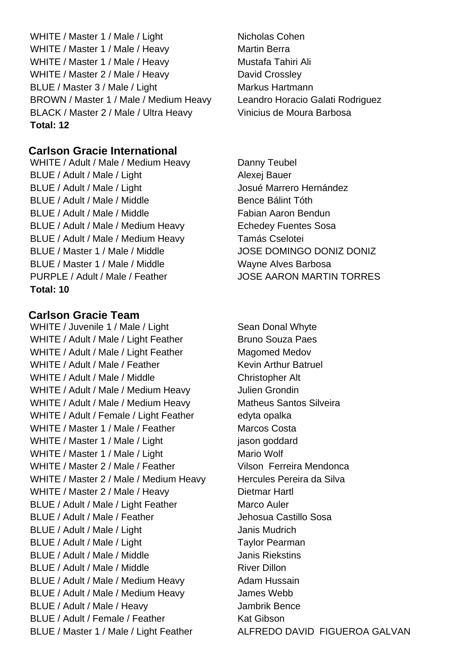WHITE / Master 1 / Male / Light Nicholas Cohen WHITE / Master 1 / Male / Heavy Martin Berra WHITE / Master 1 / Male / Heavy Mustafa Tahiri Ali WHITE / Master 2 / Male / Heavy David Crossley BLUE / Master 3 / Male / Light Markus Hartmann BROWN / Master 1 / Male / Medium Heavy Leandro Horacio Galati Rodriguez BLACK / Master 2 / Male / Ultra Heavy Vinicius de Moura Barbosa **Total: 12**

#### **Carlson Gracie International**

WHITE / Adult / Male / Medium Heavy Danny Teubel BLUE / Adult / Male / Light Alexej Bauer BLUE / Adult / Male / Light Josué Marrero Hernández BLUE / Adult / Male / Middle Bence Bálint Tóth BLUE / Adult / Male / Middle Fabian Aaron Bendun BLUE / Adult / Male / Medium Heavy Echedey Fuentes Sosa BLUE / Adult / Male / Medium Heavy Tamás Cselotei BLUE / Master 1 / Male / Middle **JOSE DOMINGO DONIZ DONIZ** BLUE / Master 1 / Male / Middle Wayne Alves Barbosa PURPLE / Adult / Male / Feather JOSE AARON MARTIN TORRES **Total: 10**

#### **Carlson Gracie Team**

WHITE / Juvenile 1 / Male / Light Sean Donal Whyte WHITE / Adult / Male / Light Feather Bruno Souza Paes WHITE / Adult / Male / Light Feather Magomed Medov WHITE / Adult / Male / Feather Kevin Arthur Batruel WHITE / Adult / Male / Middle Christopher Alt WHITE / Adult / Male / Medium Heavy Julien Grondin WHITE / Adult / Male / Medium Heavy Matheus Santos Silveira WHITE / Adult / Female / Light Feather edyta opalka WHITE / Master 1 / Male / Feather Marcos Costa WHITE / Master 1 / Male / Light in the lason goddard WHITE / Master 1 / Male / Light Mario Wolf WHITE / Master 2 / Male / Feather Vilson Ferreira Mendonca WHITE / Master 2 / Male / Medium Heavy Hercules Pereira da Silva WHITE / Master 2 / Male / Heavy Dietmar Hartl BLUE / Adult / Male / Light Feather Marco Auler BLUE / Adult / Male / Feather Jehosua Castillo Sosa BLUE / Adult / Male / Light Janis Mudrich BLUE / Adult / Male / Light Taylor Pearman BLUE / Adult / Male / Middle Janis Riekstins BLUE / Adult / Male / Middle River Dillon BLUE / Adult / Male / Medium Heavy Adam Hussain BLUE / Adult / Male / Medium Heavy James Webb BLUE / Adult / Male / Heavy Jambrik Bence BLUE / Adult / Female / Feather Kat Gibson BLUE / Master 1 / Male / Light Feather ALFREDO DAVID FIGUEROA GALVAN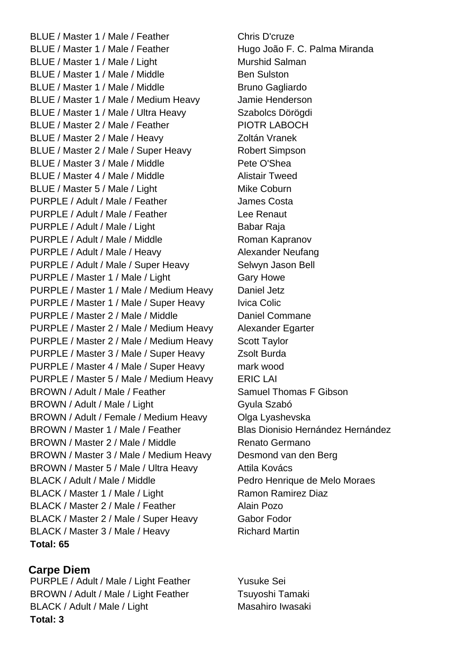BLUE / Master 1 / Male / Feather Chris D'cruze BLUE / Master 1 / Male / Feather Hugo João F. C. Palma Miranda BLUE / Master 1 / Male / Light Murshid Salman BLUE / Master 1 / Male / Middle Ben Sulston BLUE / Master 1 / Male / Middle Bruno Gagliardo BLUE / Master 1 / Male / Medium Heavy Jamie Henderson BLUE / Master 1 / Male / Ultra Heavy Szabolcs Dörögdi BLUE / Master 2 / Male / Feather PIOTR LABOCH BLUE / Master 2 / Male / Heavy Zoltán Vranek BLUE / Master 2 / Male / Super Heavy Robert Simpson BLUE / Master 3 / Male / Middle Pete O'Shea BLUE / Master 4 / Male / Middle Alistair Tweed BLUE / Master 5 / Male / Light Mike Coburn PURPLE / Adult / Male / Feather James Costa PURPLE / Adult / Male / Feather Lee Renaut PURPLE / Adult / Male / Light Babar Raja PURPLE / Adult / Male / Middle Roman Kapranov PURPLE / Adult / Male / Heavy Alexander Neufang PURPLE / Adult / Male / Super Heavy Selwyn Jason Bell PURPLE / Master 1 / Male / Light Gary Howe PURPLE / Master 1 / Male / Medium Heavy Daniel Jetz PURPLE / Master 1 / Male / Super Heavy Ivica Colic PURPLE / Master 2 / Male / Middle Daniel Commane PURPLE / Master 2 / Male / Medium Heavy Alexander Egarter PURPLE / Master 2 / Male / Medium Heavy Scott Taylor PURPLE / Master 3 / Male / Super Heavy Zsolt Burda PURPLE / Master 4 / Male / Super Heavy mark wood PURPLE / Master 5 / Male / Medium Heavy ERIC LAI BROWN / Adult / Male / Feather Samuel Thomas F Gibson BROWN / Adult / Male / Light Gyula Szabó BROWN / Adult / Female / Medium Heavy Olga Lyashevska BROWN / Master 1 / Male / Feather Blas Dionisio Hernández Hernández BROWN / Master 2 / Male / Middle Renato Germano BROWN / Master 3 / Male / Medium Heavy Desmond van den Berg BROWN / Master 5 / Male / Ultra Heavy Attila Kovács BLACK / Adult / Male / Middle Pedro Henrique de Melo Moraes BLACK / Master 1 / Male / Light Ramon Ramirez Diaz BLACK / Master 2 / Male / Feather Alain Pozo BLACK / Master 2 / Male / Super Heavy Gabor Fodor BLACK / Master 3 / Male / Heavy Richard Martin **Total: 65**

## **Carpe Diem**

PURPLE / Adult / Male / Light Feather Yusuke Sei BROWN / Adult / Male / Light Feather Tsuyoshi Tamaki BLACK / Adult / Male / Light Masahiro Iwasaki **Total: 3**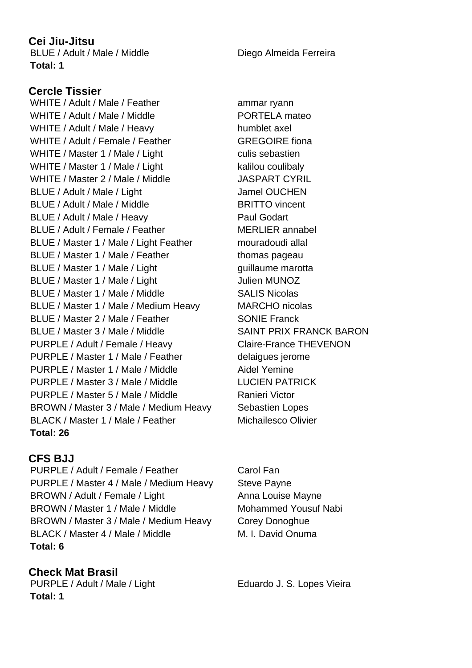#### **Cei Jiu-Jitsu**

BLUE / Adult / Male / Middle Diego Almeida Ferreira **Total: 1**

## **Cercle Tissier**

WHITE / Adult / Male / Feather ammar ryann WHITE / Adult / Male / Middle **No. 2008** PORTELA mateo WHITE / Adult / Male / Heavy humblet axel WHITE / Adult / Female / Feather GREGOIRE fiona WHITE / Master 1 / Male / Light culis sebastien WHITE / Master 1 / Male / Light kalilou coulibaly WHITE / Master 2 / Male / Middle JASPART CYRIL BLUE / Adult / Male / Light Jamel OUCHEN BLUE / Adult / Male / Middle BRITTO vincent BLUE / Adult / Male / Heavy Paul Godart BLUE / Adult / Female / Feather MERLIER annabel BLUE / Master 1 / Male / Light Feather mouradoudi allal BLUE / Master 1 / Male / Feather thomas pageau BLUE / Master 1 / Male / Light guillaume marotta BLUE / Master 1 / Male / Light Julien MUNOZ BLUE / Master 1 / Male / Middle SALIS Nicolas BLUE / Master 1 / Male / Medium Heavy MARCHO nicolas BLUE / Master 2 / Male / Feather SONIE Franck BLUE / Master 3 / Male / Middle SAINT PRIX FRANCK BARON PURPLE / Adult / Female / Heavy Claire-France THEVENON PURPLE / Master 1 / Male / Feather delaigues jerome PURPLE / Master 1 / Male / Middle Aidel Yemine PURPLE / Master 3 / Male / Middle LUCIEN PATRICK PURPLE / Master 5 / Male / Middle Ranieri Victor BROWN / Master 3 / Male / Medium Heavy Sebastien Lopes BLACK / Master 1 / Male / Feather Michailesco Olivier **Total: 26**

## **CFS BJJ**

PURPLE / Adult / Female / Feather Carol Fan PURPLE / Master 4 / Male / Medium Heavy Steve Payne BROWN / Adult / Female / Light Anna Louise Mayne BROWN / Master 1 / Male / Middle Mohammed Yousuf Nabi BROWN / Master 3 / Male / Medium Heavy Corey Donoghue BLACK / Master 4 / Male / Middle M. I. David Onuma **Total: 6**

**Check Mat Brasil** PURPLE / Adult / Male / Light Eduardo J. S. Lopes Vieira **Total: 1**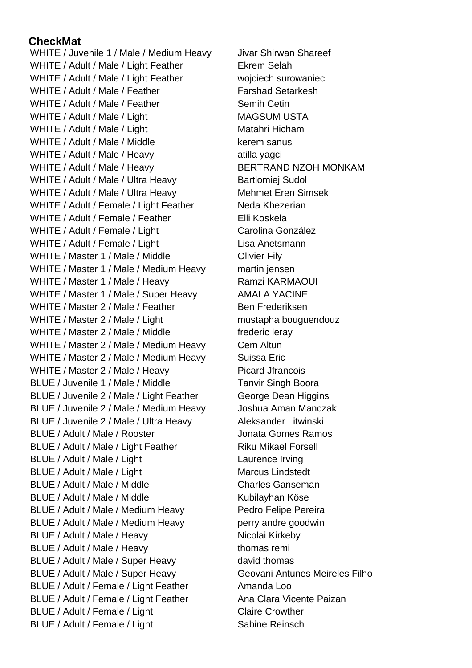## **CheckMat**

WHITE / Juvenile 1 / Male / Medium Heavy Jivar Shirwan Shareef WHITE / Adult / Male / Light Feather Ekrem Selah WHITE / Adult / Male / Light Feather woiciech surowaniec WHITE / Adult / Male / Feather Farshad Setarkesh WHITE / Adult / Male / Feather Semih Cetin WHITE / Adult / Male / Light MAGSUM USTA WHITE / Adult / Male / Light Matahri Hicham WHITE / Adult / Male / Middle kerem sanus WHITE / Adult / Male / Heavy atilla yagci WHITE / Adult / Male / Heavy BERTRAND NZOH MONKAM WHITE / Adult / Male / Ultra Heavy Bartlomiej Sudol WHITE / Adult / Male / Ultra Heavy Mehmet Eren Simsek WHITE / Adult / Female / Light Feather Neda Khezerian WHITE / Adult / Female / Feather Fulli Koskela WHITE / Adult / Female / Light Carolina González WHITE / Adult / Female / Light Lisa Anetsmann WHITE / Master 1 / Male / Middle **Olivier Fily** WHITE / Master 1 / Male / Medium Heavy martin jensen WHITE / Master 1 / Male / Heavy Ramzi KARMAOUI WHITE / Master 1 / Male / Super Heavy AMALA YACINE WHITE / Master 2 / Male / Feather Ben Frederiksen WHITE / Master 2 / Male / Light mustapha bouguendouz WHITE / Master 2 / Male / Middle frederic leray WHITE / Master 2 / Male / Medium Heavy Cem Altun WHITE / Master 2 / Male / Medium Heavy Suissa Eric WHITE / Master 2 / Male / Heavy Picard Jfrancois BLUE / Juvenile 1 / Male / Middle Tanvir Singh Boora BLUE / Juvenile 2 / Male / Light Feather George Dean Higgins BLUE / Juvenile 2 / Male / Medium Heavy Joshua Aman Manczak BLUE / Juvenile 2 / Male / Ultra Heavy Aleksander Litwinski BLUE / Adult / Male / Rooster **Gotter Communist Communist Communist Communist Communist Communist Communist Communist Communist Communist Communist Communist Communist Communist Communist Communist Communist Communist Comm** BLUE / Adult / Male / Light Feather Riku Mikael Forsell BLUE / Adult / Male / Light Laurence Irving BLUE / Adult / Male / Light Marcus Lindstedt BLUE / Adult / Male / Middle Charles Ganseman BLUE / Adult / Male / Middle Kubilayhan Köse BLUE / Adult / Male / Medium Heavy Pedro Felipe Pereira BLUE / Adult / Male / Medium Heavy perry andre goodwin BLUE / Adult / Male / Heavy Nicolai Kirkeby BLUE / Adult / Male / Heavy thomas remi BLUE / Adult / Male / Super Heavy david thomas BLUE / Adult / Male / Super Heavy Geovani Antunes Meireles Filho BLUE / Adult / Female / Light Feather Amanda Loo BLUE / Adult / Female / Light Feather Ana Clara Vicente Paizan BLUE / Adult / Female / Light Claire Crowther BLUE / Adult / Female / Light Sabine Reinsch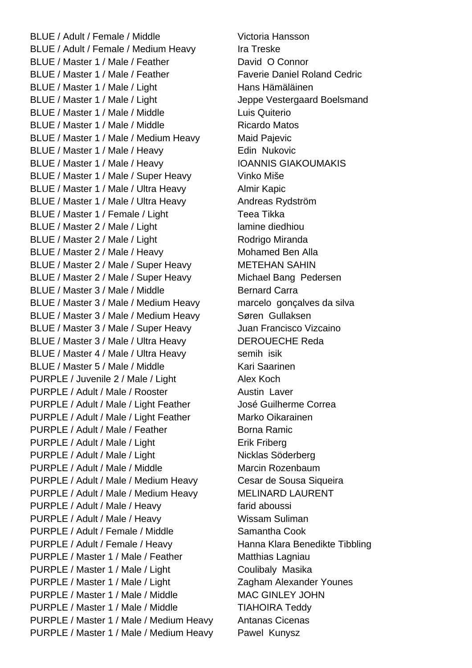BLUE / Adult / Female / Middle Victoria Hansson BLUE / Adult / Female / Medium Heavy Ira Treske BLUE / Master 1 / Male / Feather David O Connor BLUE / Master 1 / Male / Feather Faverie Daniel Roland Cedric BLUE / Master 1 / Male / Light Hans Hämäläinen BLUE / Master 1 / Male / Light Jeppe Vestergaard Boelsmand BLUE / Master 1 / Male / Middle Luis Quiterio BLUE / Master 1 / Male / Middle Ricardo Matos BLUE / Master 1 / Male / Medium Heavy Maid Pajevic BLUE / Master 1 / Male / Heavy Edin Nukovic BLUE / Master 1 / Male / Heavy IOANNIS GIAKOUMAKIS BLUE / Master 1 / Male / Super Heavy Vinko Miše BLUE / Master 1 / Male / Ultra Heavy Almir Kapic BLUE / Master 1 / Male / Ultra Heavy Andreas Rydström BLUE / Master 1 / Female / Light Teea Tikka BLUE / Master 2 / Male / Light lamine diedhiou BLUE / Master 2 / Male / Light Rodrigo Miranda BLUE / Master 2 / Male / Heavy Mohamed Ben Alla BLUE / Master 2 / Male / Super Heavy METEHAN SAHIN BLUE / Master 2 / Male / Super Heavy Michael Bang Pedersen BLUE / Master 3 / Male / Middle Bernard Carra BLUE / Master 3 / Male / Medium Heavy marcelo gonçalves da silva BLUE / Master 3 / Male / Medium Heavy Søren Gullaksen BLUE / Master 3 / Male / Super Heavy Juan Francisco Vizcaino BLUE / Master 3 / Male / Ultra Heavy DEROUECHE Reda BLUE / Master 4 / Male / Ultra Heavy semih isik BLUE / Master 5 / Male / Middle Kari Saarinen PURPLE / Juvenile 2 / Male / Light Alex Koch PURPLE / Adult / Male / Rooster Austin Laver PURPLE / Adult / Male / Light Feather José Guilherme Correa PURPLE / Adult / Male / Light Feather Marko Oikarainen PURPLE / Adult / Male / Feather Borna Ramic PURPLE / Adult / Male / Light Erik Friberg PURPLE / Adult / Male / Light Nicklas Söderberg PURPLE / Adult / Male / Middle Marcin Rozenbaum PURPLE / Adult / Male / Medium Heavy Cesar de Sousa Siqueira PURPLE / Adult / Male / Medium Heavy MELINARD LAURENT PURPLE / Adult / Male / Heavy farid aboussi PURPLE / Adult / Male / Heavy Wissam Suliman PURPLE / Adult / Female / Middle Samantha Cook PURPLE / Adult / Female / Heavy Hanna Klara Benedikte Tibbling PURPLE / Master 1 / Male / Feather Matthias Lagniau PURPLE / Master 1 / Male / Light Coulibaly Masika PURPLE / Master 1 / Male / Light Zagham Alexander Younes PURPLE / Master 1 / Male / Middle MAC GINLEY JOHN PURPLE / Master 1 / Male / Middle TIAHOIRA Teddy PURPLE / Master 1 / Male / Medium Heavy Antanas Cicenas PURPLE / Master 1 / Male / Medium Heavy Pawel Kunysz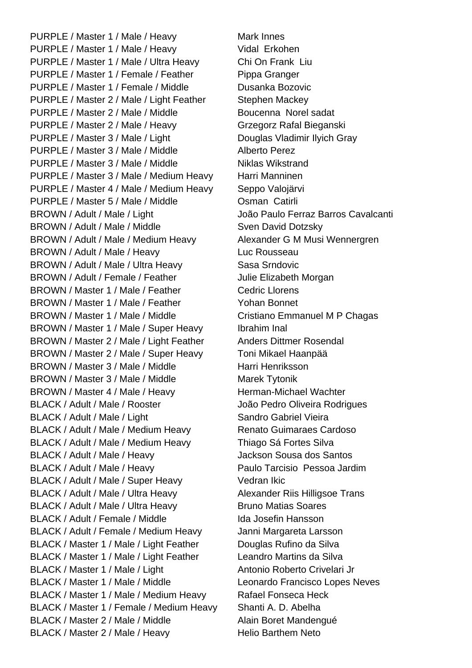PURPLE / Master 1 / Male / Heavy Mark Innes PURPLE / Master 1 / Male / Heavy Vidal Erkohen PURPLE / Master 1 / Male / Ultra Heavy Chi On Frank Liu PURPLE / Master 1 / Female / Feather Pippa Granger PURPLE / Master 1 / Female / Middle Dusanka Bozovic PURPLE / Master 2 / Male / Light Feather Stephen Mackey PURPLE / Master 2 / Male / Middle Boucenna Norel sadat PURPLE / Master 2 / Male / Heavy Grzegorz Rafal Bieganski PURPLE / Master 3 / Male / Light Douglas Vladimir Ilyich Gray PURPLE / Master 3 / Male / Middle Alberto Perez PURPLE / Master 3 / Male / Middle Niklas Wikstrand PURPLE / Master 3 / Male / Medium Heavy Harri Manninen PURPLE / Master 4 / Male / Medium Heavy Seppo Valojärvi PURPLE / Master 5 / Male / Middle **Canandary Communist Catirli** BROWN / Adult / Male / Light João Paulo Ferraz Barros Cavalcanti BROWN / Adult / Male / Middle Sven David Dotzsky BROWN / Adult / Male / Medium Heavy Alexander G M Musi Wennergren BROWN / Adult / Male / Heavy Luc Rousseau BROWN / Adult / Male / Ultra Heavy Sasa Srndovic BROWN / Adult / Female / Feather Julie Elizabeth Morgan BROWN / Master 1 / Male / Feather Cedric Llorens BROWN / Master 1 / Male / Feather Yohan Bonnet BROWN / Master 1 / Male / Middle Cristiano Emmanuel M P Chagas BROWN / Master 1 / Male / Super Heavy Ibrahim Inal BROWN / Master 2 / Male / Light Feather Anders Dittmer Rosendal BROWN / Master 2 / Male / Super Heavy Toni Mikael Haanpää BROWN / Master 3 / Male / Middle Harri Henriksson BROWN / Master 3 / Male / Middle Marek Tytonik BROWN / Master 4 / Male / Heavy Herman-Michael Wachter BLACK / Adult / Male / Rooster João Pedro Oliveira Rodrigues BLACK / Adult / Male / Light Sandro Gabriel Vieira BLACK / Adult / Male / Medium Heavy Renato Guimaraes Cardoso BLACK / Adult / Male / Medium Heavy Thiago Sá Fortes Silva BLACK / Adult / Male / Heavy Jackson Sousa dos Santos BLACK / Adult / Male / Heavy Paulo Tarcisio Pessoa Jardim BLACK / Adult / Male / Super Heavy Vedran Ikic BLACK / Adult / Male / Ultra Heavy Alexander Riis Hilligsoe Trans BLACK / Adult / Male / Ultra Heavy Bruno Matias Soares BLACK / Adult / Female / Middle Ida Josefin Hansson BLACK / Adult / Female / Medium Heavy Janni Margareta Larsson BLACK / Master 1 / Male / Light Feather Douglas Rufino da Silva BLACK / Master 1 / Male / Light Feather Leandro Martins da Silva BLACK / Master 1 / Male / Light Antonio Roberto Crivelari Jr BLACK / Master 1 / Male / Middle Leonardo Francisco Lopes Neves BLACK / Master 1 / Male / Medium Heavy Rafael Fonseca Heck BLACK / Master 1 / Female / Medium Heavy Shanti A. D. Abelha BLACK / Master 2 / Male / Middle Alain Boret Mandengué BLACK / Master 2 / Male / Heavy Helio Barthem Neto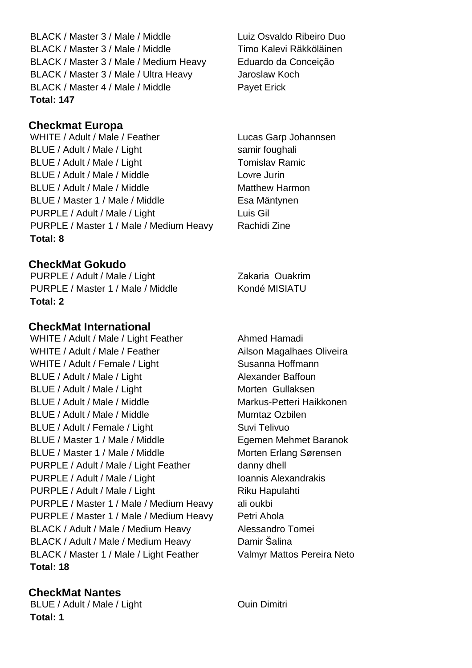BLACK / Master 3 / Male / Middle Luiz Osvaldo Ribeiro Duo BLACK / Master 3 / Male / Middle Timo Kalevi Räkköläinen BLACK / Master 3 / Male / Medium Heavy Eduardo da Conceição BLACK / Master 3 / Male / Ultra Heavy Jaroslaw Koch BLACK / Master 4 / Male / Middle Payet Erick **Total: 147**

#### **Checkmat Europa**

WHITE / Adult / Male / Feather Lucas Garp Johannsen BLUE / Adult / Male / Light samir foughali BLUE / Adult / Male / Light Tomislav Ramic BLUE / Adult / Male / Middle Lovre Jurin BLUE / Adult / Male / Middle Matthew Harmon BLUE / Master 1 / Male / Middle Esa Mäntynen PURPLE / Adult / Male / Light Luis Gil PURPLE / Master 1 / Male / Medium Heavy Rachidi Zine **Total: 8**

**CheckMat Gokudo**

PURPLE / Adult / Male / Light Zakaria Ouakrim PURPLE / Master 1 / Male / Middle Kondé MISIATU **Total: 2**

## **CheckMat International**

WHITE / Adult / Male / Light Feather Ahmed Hamadi WHITE / Adult / Male / Feather Ailson Magalhaes Oliveira WHITE / Adult / Female / Light Susanna Hoffmann BLUE / Adult / Male / Light Alexander Baffoun BLUE / Adult / Male / Light Muslem Morten Gullaksen BLUE / Adult / Male / Middle Markus-Petteri Haikkonen BLUE / Adult / Male / Middle Mumtaz Ozbilen BLUE / Adult / Female / Light Suvi Telivuo BLUE / Master 1 / Male / Middle Egemen Mehmet Baranok BLUE / Master 1 / Male / Middle Morten Erlang Sørensen PURPLE / Adult / Male / Light Feather danny dhell PURPLE / Adult / Male / Light Inc. Inc. Ioannis Alexandrakis PURPLE / Adult / Male / Light Riku Hapulahti PURPLE / Master 1 / Male / Medium Heavy ali oukbi PURPLE / Master 1 / Male / Medium Heavy Petri Ahola BLACK / Adult / Male / Medium Heavy Alessandro Tomei BLACK / Adult / Male / Medium Heavy Damir Šalina BLACK / Master 1 / Male / Light Feather Valmyr Mattos Pereira Neto **Total: 18**

## **CheckMat Nantes**

BLUE / Adult / Male / Light Cuin Dimitri **Total: 1**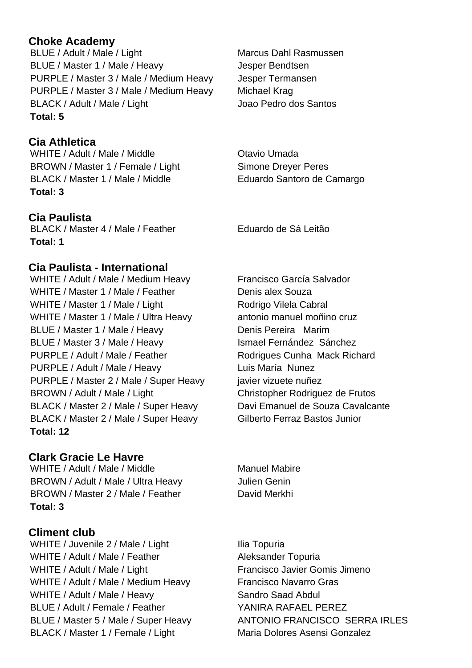## **Choke Academy**

BLUE / Adult / Male / Light Marcus Dahl Rasmussen BLUE / Master 1 / Male / Heavy Jesper Bendtsen PURPLE / Master 3 / Male / Medium Heavy Jesper Termansen PURPLE / Master 3 / Male / Medium Heavy Michael Krag BLACK / Adult / Male / Light Joao Pedro dos Santos **Total: 5**

## **Cia Athletica**

WHITE / Adult / Male / Middle **Canada** Otavio Umada BROWN / Master 1 / Female / Light Simone Dreyer Peres BLACK / Master 1 / Male / Middle Eduardo Santoro de Camargo **Total: 3**

#### **Cia Paulista**

BLACK / Master 4 / Male / Feather Figure de Sá Leitão **Total: 1**

#### **Cia Paulista - International**

WHITE / Adult / Male / Medium Heavy Francisco García Salvador WHITE / Master 1 / Male / Feather Denis alex Souza WHITE / Master 1 / Male / Light Rodrigo Vilela Cabral WHITE / Master 1 / Male / Ultra Heavy antonio manuel moñino cruz BLUE / Master 1 / Male / Heavy Denis Pereira Marim BLUE / Master 3 / Male / Heavy Ismael Fernández Sánchez PURPLE / Adult / Male / Feather Rodrigues Cunha Mack Richard PURPLE / Adult / Male / Heavy Luis María Nunez PURPLE / Master 2 / Male / Super Heavy javier vizuete nuñez BROWN / Adult / Male / Light Christopher Rodriguez de Frutos BLACK / Master 2 / Male / Super Heavy Davi Emanuel de Souza Cavalcante BLACK / Master 2 / Male / Super Heavy Gilberto Ferraz Bastos Junior **Total: 12**

#### **Clark Gracie Le Havre**

WHITE / Adult / Male / Middle Manuel Mabire BROWN / Adult / Male / Ultra Heavy Julien Genin BROWN / Master 2 / Male / Feather David Merkhi **Total: 3**

#### **Climent club**

WHITE / Juvenile 2 / Male / Light Ilia Topuria WHITE / Adult / Male / Feather Aleksander Topuria WHITE / Adult / Male / Light Francisco Javier Gomis Jimeno WHITE / Adult / Male / Medium Heavy Francisco Navarro Gras WHITE / Adult / Male / Heavy Sandro Saad Abdul BLUE / Adult / Female / Feather YANIRA RAFAEL PEREZ BLACK / Master 1 / Female / Light Maria Dolores Asensi Gonzalez

BLUE / Master 5 / Male / Super Heavy ANTONIO FRANCISCO SERRA IRLES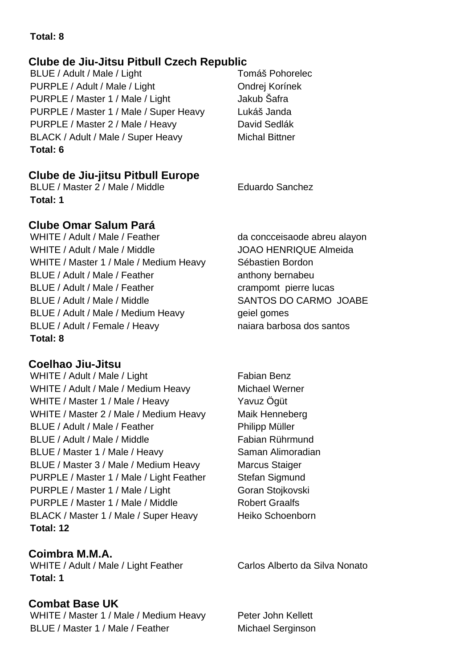## **Total: 8**

## **Clube de Jiu-Jitsu Pitbull Czech Republic**

BLUE / Adult / Male / Light Tomáš Pohorelec PURPLE / Adult / Male / Light Condrej Korinek PURPLE / Master 1 / Male / Light Jakub Šafra PURPLE / Master 1 / Male / Super Heavy Lukáš Janda PURPLE / Master 2 / Male / Heavy David Sedlák BLACK / Adult / Male / Super Heavy Michal Bittner **Total: 6**

## **Clube de Jiu-jitsu Pitbull Europe**

BLUE / Master 2 / Male / Middle Eduardo Sanchez **Total: 1**

## **Clube Omar Salum Pará**

WHITE / Adult / Male / Feather da concceisaode abreu alayon WHITE / Adult / Male / Middle John Care JOAO HENRIQUE Almeida WHITE / Master 1 / Male / Medium Heavy Sébastien Bordon BLUE / Adult / Male / Feather anthony bernabeu BLUE / Adult / Male / Feather crampomt pierre lucas BLUE / Adult / Male / Middle SANTOS DO CARMO JOABE BLUE / Adult / Male / Medium Heavy geiel gomes BLUE / Adult / Female / Heavy naiara barbosa dos santos **Total: 8**

## **Coelhao Jiu-Jitsu**

WHITE / Adult / Male / Light Fabian Benz WHITE / Adult / Male / Medium Heavy Michael Werner WHITE / Master 1 / Male / Heavy Yavuz Ögüt WHITE / Master 2 / Male / Medium Heavy Maik Henneberg BLUE / Adult / Male / Feather Philipp Müller BLUE / Adult / Male / Middle Fabian Rührmund BLUE / Master 1 / Male / Heavy Saman Alimoradian BLUE / Master 3 / Male / Medium Heavy Marcus Staiger PURPLE / Master 1 / Male / Light Feather Stefan Sigmund PURPLE / Master 1 / Male / Light Goran Stojkovski PURPLE / Master 1 / Male / Middle Robert Graalfs BLACK / Master 1 / Male / Super Heavy Heiko Schoenborn **Total: 12**

**Coimbra M.M.A.** WHITE / Adult / Male / Light Feather Carlos Alberto da Silva Nonato **Total: 1**

## **Combat Base UK**

WHITE / Master 1 / Male / Medium Heavy Peter John Kellett BLUE / Master 1 / Male / Feather Michael Serginson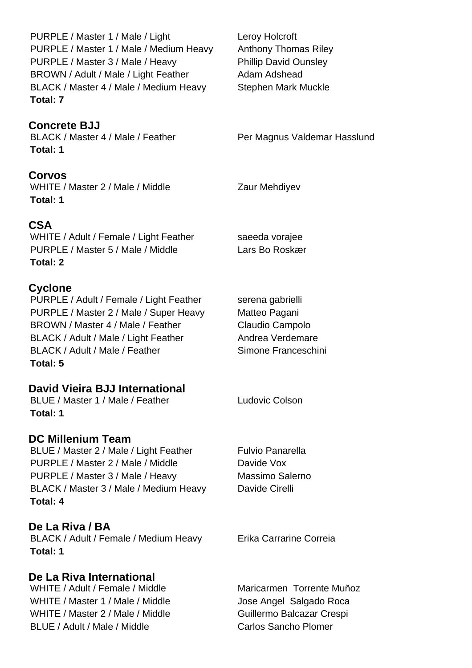**Concrete BJJ Corvos CSA Cyclone David Vieira BJJ International DC Millenium Team De La Riva / BA De La Riva International** PURPLE / Master 1 / Male / Light Leroy Holcroft PURPLE / Master 1 / Male / Medium Heavy Anthony Thomas Riley PURPLE / Master 3 / Male / Heavy Phillip David Ounsley BROWN / Adult / Male / Light Feather Adam Adshead BLACK / Master 4 / Male / Medium Heavy Stephen Mark Muckle **Total: 7** BLACK / Master 4 / Male / Feather Per Magnus Valdemar Hasslund **Total: 1** WHITE / Master 2 / Male / Middle Zaur Mehdiyev **Total: 1** WHITE / Adult / Female / Light Feather saeeda vorajee PURPLE / Master 5 / Male / Middle Lars Bo Roskær **Total: 2** PURPLE / Adult / Female / Light Feather serena gabrielli PURPLE / Master 2 / Male / Super Heavy Matteo Pagani BROWN / Master 4 / Male / Feather Claudio Campolo BLACK / Adult / Male / Light Feather Andrea Verdemare BLACK / Adult / Male / Feather Simone Franceschini **Total: 5** BLUE / Master 1 / Male / Feather Ludovic Colson **Total: 1** BLUE / Master 2 / Male / Light Feather Fulvio Panarella PURPLE / Master 2 / Male / Middle Davide Vox PURPLE / Master 3 / Male / Heavy Massimo Salerno BLACK / Master 3 / Male / Medium Heavy Davide Cirelli **Total: 4** BLACK / Adult / Female / Medium Heavy Frika Carrarine Correia **Total: 1** WHITE / Adult / Female / Middle Maricarmen Torrente Muñoz WHITE / Master 1 / Male / Middle Jose Angel Salgado Roca WHITE / Master 2 / Male / Middle Guillermo Balcazar Crespi BLUE / Adult / Male / Middle Carlos Sancho Plomer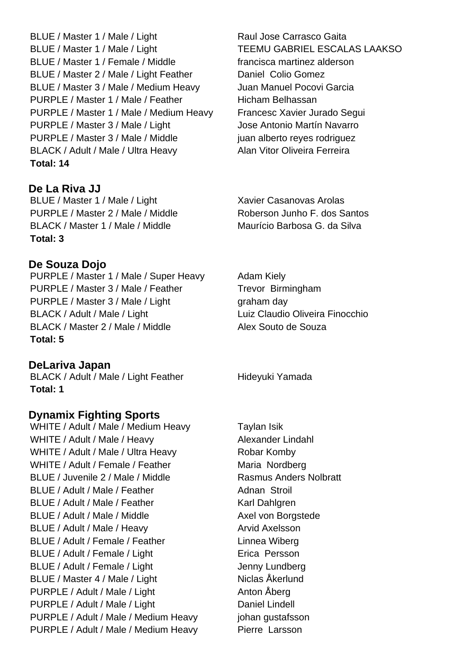BLUE / Master 1 / Male / Light Raul Jose Carrasco Gaita BLUE / Master 1 / Male / Light TEEMU GABRIEL ESCALAS LAAKSO BLUE / Master 1 / Female / Middle francisca martinez alderson BLUE / Master 2 / Male / Light Feather Daniel Colio Gomez BLUE / Master 3 / Male / Medium Heavy Juan Manuel Pocovi Garcia PURPLE / Master 1 / Male / Feather Hicham Belhassan PURPLE / Master 1 / Male / Medium Heavy Francesc Xavier Jurado Segui PURPLE / Master 3 / Male / Light Jose Antonio Martín Navarro PURPLE / Master 3 / Male / Middle juan alberto reyes rodriguez BLACK / Adult / Male / Ultra Heavy Alan Vitor Oliveira Ferreira **Total: 14**

**De La Riva JJ** BLUE / Master 1 / Male / Light Xavier Casanovas Arolas PURPLE / Master 2 / Male / Middle Roberson Junho F. dos Santos BLACK / Master 1 / Male / Middle Maurício Barbosa G. da Silva **Total: 3**

#### **De Souza Dojo**

PURPLE / Master 1 / Male / Super Heavy Adam Kiely PURPLE / Master 3 / Male / Feather Trevor Birmingham PURPLE / Master 3 / Male / Light graham day BLACK / Adult / Male / Light Luiz Claudio Oliveira Finocchio BLACK / Master 2 / Male / Middle Alex Souto de Souza **Total: 5**

**DeLariva Japan** BLACK / Adult / Male / Light Feather Hideyuki Yamada

**Total: 1**

## **Dynamix Fighting Sports**

WHITE / Adult / Male / Medium Heavy Taylan Isik WHITE / Adult / Male / Heavy Alexander Lindahl WHITE / Adult / Male / Ultra Heavy Robar Komby WHITE / Adult / Female / Feather Maria Nordberg BLUE / Juvenile 2 / Male / Middle Rasmus Anders Nolbratt BLUE / Adult / Male / Feather Adnan Stroil BLUE / Adult / Male / Feather Karl Dahlgren BLUE / Adult / Male / Middle Axel von Borgstede BLUE / Adult / Male / Heavy Arvid Axelsson BLUE / Adult / Female / Feather Linnea Wiberg BLUE / Adult / Female / Light **Example 1** Erica Persson BLUE / Adult / Female / Light Jenny Lundberg BLUE / Master 4 / Male / Light Niclas Åkerlund PURPLE / Adult / Male / Light Anton Åberg PURPLE / Adult / Male / Light Daniel Lindell PURPLE / Adult / Male / Medium Heavy johan gustafsson PURPLE / Adult / Male / Medium Heavy Pierre Larsson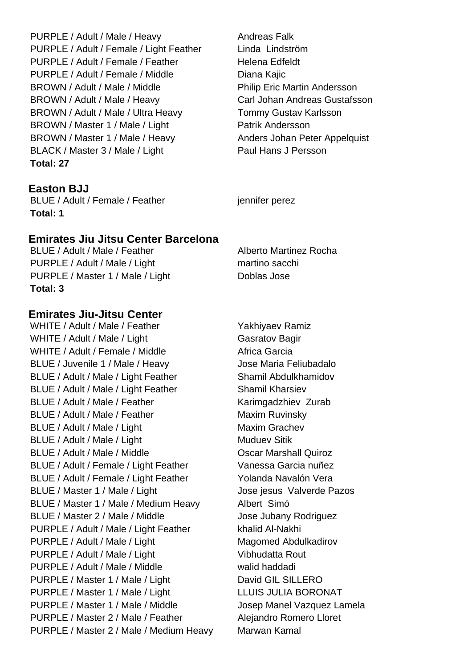PURPLE / Adult / Male / Heavy Andreas Falk PURPLE / Adult / Female / Light Feather Linda Lindström PURPLE / Adult / Female / Feather Helena Edfeldt PURPLE / Adult / Female / Middle Diana Kajic BROWN / Adult / Male / Middle Philip Eric Martin Andersson BROWN / Adult / Male / Heavy Carl Johan Andreas Gustafsson BROWN / Adult / Male / Ultra Heavy Tommy Gustav Karlsson BROWN / Master 1 / Male / Light Patrik Andersson BROWN / Master 1 / Male / Heavy Anders Johan Peter Appelquist BLACK / Master 3 / Male / Light Paul Hans J Persson **Total: 27**

**Easton BJJ** 

BLUE / Adult / Female / Feather jennifer perez **Total: 1**

#### **Emirates Jiu Jitsu Center Barcelona**

BLUE / Adult / Male / Feather Alberto Martinez Rocha PURPLE / Adult / Male / Light martino sacching martino sacching PURPLE / Master 1 / Male / Light Doblas Jose **Total: 3**

#### **Emirates Jiu-Jitsu Center**

WHITE / Adult / Male / Feather Yakhiyaev Ramiz WHITE / Adult / Male / Light Gasratov Bagir WHITE / Adult / Female / Middle Africa Garcia BLUE / Juvenile 1 / Male / Heavy Jose Maria Feliubadalo BLUE / Adult / Male / Light Feather Shamil Abdulkhamidov BLUE / Adult / Male / Light Feather Shamil Kharsiev BLUE / Adult / Male / Feather Karimgadzhiev Zurab BLUE / Adult / Male / Feather Maxim Ruvinsky BLUE / Adult / Male / Light Maxim Grachev BLUE / Adult / Male / Light Muduev Sitik Muduev Sitik BLUE / Adult / Male / Middle **Carry Controllet Controllet Adult Controllet Controllet Controllet Controllet Controllet Controllet Controllet Controllet Controllet Controllet Controllet Controllet Controllet Controllet Cont** BLUE / Adult / Female / Light Feather Vanessa Garcia nuñez BLUE / Adult / Female / Light Feather Yolanda Navalón Vera BLUE / Master 1 / Male / Light Jose jesus Valverde Pazos BLUE / Master 1 / Male / Medium Heavy Albert Simó BLUE / Master 2 / Male / Middle Jose Jubany Rodriguez PURPLE / Adult / Male / Light Feather khalid Al-Nakhi PURPLE / Adult / Male / Light Magomed Abdulkadirov PURPLE / Adult / Male / Light Vibhudatta Rout PURPLE / Adult / Male / Middle walid haddadi PURPLE / Master 1 / Male / Light David GIL SILLERO PURPLE / Master 1 / Male / Light LLUIS JULIA BORONAT PURPLE / Master 1 / Male / Middle Josep Manel Vazquez Lamela PURPLE / Master 2 / Male / Feather Alejandro Romero Lloret PURPLE / Master 2 / Male / Medium Heavy Marwan Kamal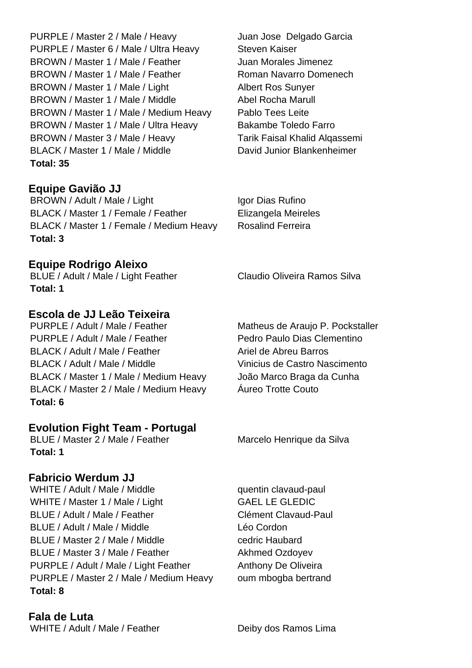PURPLE / Master 2 / Male / Heavy Juan Jose Delgado Garcia PURPLE / Master 6 / Male / Ultra Heavy Steven Kaiser BROWN / Master 1 / Male / Feather Juan Morales Jimenez BROWN / Master 1 / Male / Feather Roman Navarro Domenech BROWN / Master 1 / Male / Light Albert Ros Sunyer BROWN / Master 1 / Male / Middle Abel Rocha Marull BROWN / Master 1 / Male / Medium Heavy Pablo Tees Leite BROWN / Master 1 / Male / Ultra Heavy Bakambe Toledo Farro BROWN / Master 3 / Male / Heavy Tarik Faisal Khalid Algassemi BLACK / Master 1 / Male / Middle David Junior Blankenheimer **Total: 35**

**Equipe Gavião JJ** BROWN / Adult / Male / Light Igor Dias Rufino BLACK / Master 1 / Female / Feather Elizangela Meireles BLACK / Master 1 / Female / Medium Heavy Rosalind Ferreira **Total: 3**

**Equipe Rodrigo Aleixo**

**Total: 1**

## **Escola de JJ Leão Teixeira**

PURPLE / Adult / Male / Feather Matheus de Araujo P. Pockstaller PURPLE / Adult / Male / Feather Pedro Paulo Dias Clementino BLACK / Adult / Male / Feather Ariel de Abreu Barros BLACK / Adult / Male / Middle Vinicius de Castro Nascimento BLACK / Master 1 / Male / Medium Heavy João Marco Braga da Cunha BLACK / Master 2 / Male / Medium Heavy  $A$ ureo Trotte Couto **Total: 6**

#### **Evolution Fight Team - Portugal**

BLUE / Master 2 / Male / Feather Marcelo Henrique da Silva **Total: 1**

#### **Fabricio Werdum JJ**

WHITE / Adult / Male / Middle quentin clavaud-paul WHITE / Master 1 / Male / Light GAEL LE GLEDIC BLUE / Adult / Male / Feather Clément Clavaud-Paul BLUE / Adult / Male / Middle Letter Léo Cordon BLUE / Master 2 / Male / Middle cedric Haubard BLUE / Master 3 / Male / Feather Akhmed Ozdovev PURPLE / Adult / Male / Light Feather Anthony De Oliveira PURPLE / Master 2 / Male / Medium Heavy oum mbogba bertrand **Total: 8**

**Fala de Luta**

BLUE / Adult / Male / Light Feather Claudio Oliveira Ramos Silva

WHITE / Adult / Male / Feather Deiby dos Ramos Lima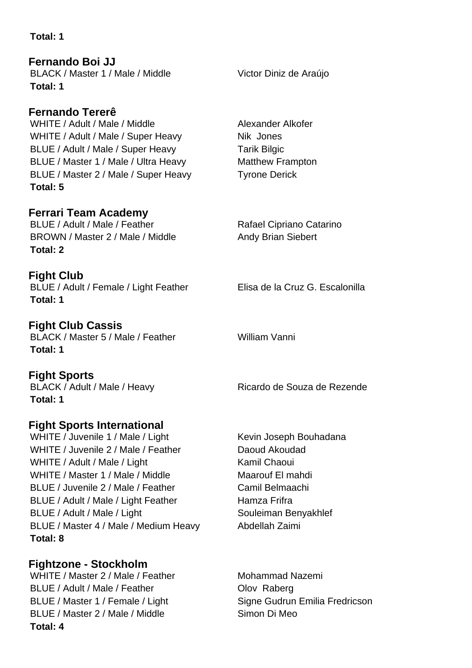**Total: 1**

**Fernando Boi JJ** BLACK / Master 1 / Male / Middle Victor Diniz de Araújo **Total: 1**

**Fernando Tererê** WHITE / Adult / Male / Middle Alexander Alkofer WHITE / Adult / Male / Super Heavy Nik Jones BLUE / Adult / Male / Super Heavy Tarik Bilgic BLUE / Master 1 / Male / Ultra Heavy Matthew Frampton BLUE / Master 2 / Male / Super Heavy Tyrone Derick **Total: 5**

**Ferrari Team Academy** BLUE / Adult / Male / Feather Rafael Cipriano Catarino BROWN / Master 2 / Male / Middle Andy Brian Siebert **Total: 2**

**Fight Club** BLUE / Adult / Female / Light Feather Elisa de la Cruz G. Escalonilla **Total: 1**

**Fight Club Cassis** BLACK / Master 5 / Male / Feather William Vanni **Total: 1**

**Fight Sports Total: 1**

## **Fight Sports International**

WHITE / Juvenile 1 / Male / Light Kevin Joseph Bouhadana WHITE / Juvenile 2 / Male / Feather Daoud Akoudad WHITE / Adult / Male / Light Kamil Chaoui WHITE / Master 1 / Male / Middle Maarouf El mahdi BLUE / Juvenile 2 / Male / Feather Camil Belmaachi BLUE / Adult / Male / Light Feather Hamza Frifra BLUE / Adult / Male / Light Souleiman Benyakhlef BLUE / Master 4 / Male / Medium Heavy Abdellah Zaimi **Total: 8**

**Fightzone - Stockholm** WHITE / Master 2 / Male / Feather Mohammad Nazemi BLUE / Adult / Male / Feather **Constanting Clean** Olov Raberg BLUE / Master 1 / Female / Light Signe Gudrun Emilia Fredricson BLUE / Master 2 / Male / Middle Simon Di Meo **Total: 4**

BLACK / Adult / Male / Heavy Ricardo de Souza de Rezende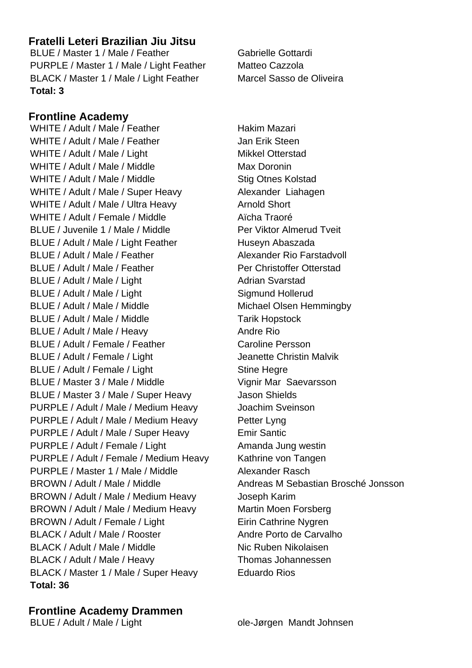## **Fratelli Leteri Brazilian Jiu Jitsu**

BLUE / Master 1 / Male / Feather Gabrielle Gottardi PURPLE / Master 1 / Male / Light Feather Matteo Cazzola BLACK / Master 1 / Male / Light Feather Marcel Sasso de Oliveira **Total: 3**

## **Frontline Academy**

WHITE / Adult / Male / Feather Hakim Mazari WHITE / Adult / Male / Feather Jan Erik Steen WHITE / Adult / Male / Light Mikkel Otterstad WHITE / Adult / Male / Middle Max Doronin WHITE / Adult / Male / Middle Stig Otnes Kolstad WHITE / Adult / Male / Super Heavy Alexander Liahagen WHITE / Adult / Male / Ultra Heavy Arnold Short WHITE / Adult / Female / Middle Aïcha Traoré BLUE / Juvenile 1 / Male / Middle Per Viktor Almerud Tveit BLUE / Adult / Male / Light Feather Huseyn Abaszada BLUE / Adult / Male / Feather Alexander Rio Farstadvoll BLUE / Adult / Male / Feather Per Christoffer Otterstad BLUE / Adult / Male / Light Adrian Svarstad BLUE / Adult / Male / Light Sigmund Hollerud BLUE / Adult / Male / Middle Michael Olsen Hemmingby BLUE / Adult / Male / Middle Tarik Hopstock BLUE / Adult / Male / Heavy Andre Rio BLUE / Adult / Female / Feather Caroline Persson BLUE / Adult / Female / Light Jeanette Christin Malvik BLUE / Adult / Female / Light Stine Hegre BLUE / Master 3 / Male / Middle Vignir Mar Saevarsson BLUE / Master 3 / Male / Super Heavy Jason Shields PURPLE / Adult / Male / Medium Heavy Joachim Sveinson PURPLE / Adult / Male / Medium Heavy Petter Lyng PURPLE / Adult / Male / Super Heavy Emir Santic PURPLE / Adult / Female / Light Amanda Jung westin PURPLE / Adult / Female / Medium Heavy Kathrine von Tangen PURPLE / Master 1 / Male / Middle Alexander Rasch BROWN / Adult / Male / Middle Andreas M Sebastian Brosché Jonsson BROWN / Adult / Male / Medium Heavy Joseph Karim BROWN / Adult / Male / Medium Heavy Martin Moen Forsberg BROWN / Adult / Female / Light Eirin Cathrine Nygren BLACK / Adult / Male / Rooster Andre Porto de Carvalho BLACK / Adult / Male / Middle Nic Ruben Nikolaisen BLACK / Adult / Male / Heavy Thomas Johannessen BLACK / Master 1 / Male / Super Heavy Eduardo Rios **Total: 36**

**Frontline Academy Drammen**

BLUE / Adult / Male / Light ole-Jørgen Mandt Johnsen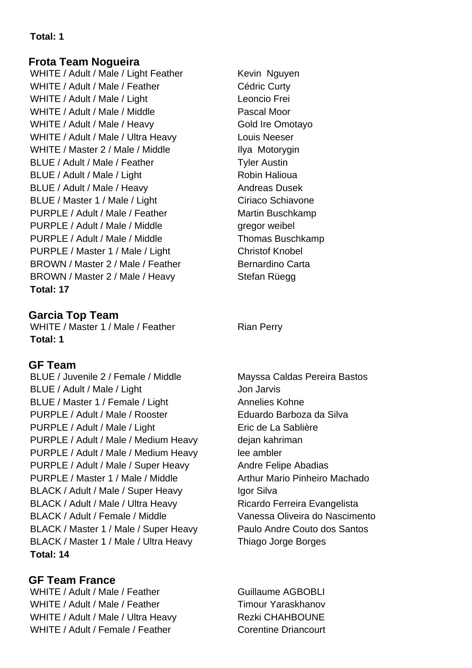## **Total: 1**

## **Frota Team Nogueira**

WHITE / Adult / Male / Light Feather Kevin Nguyen WHITE / Adult / Male / Feather Cédric Curty WHITE / Adult / Male / Light Leoncio Frei WHITE / Adult / Male / Middle Pascal Moor WHITE / Adult / Male / Heavy Gold Ire Omotayo WHITE / Adult / Male / Ultra Heavy Louis Neeser WHITE / Master 2 / Male / Middle Ilya Motorygin BLUE / Adult / Male / Feather Tyler Austin BLUE / Adult / Male / Light Robin Halioua BLUE / Adult / Male / Heavy Andreas Dusek BLUE / Master 1 / Male / Light Ciriaco Schiavone PURPLE / Adult / Male / Feather Martin Buschkamp PURPLE / Adult / Male / Middle gregor weibel PURPLE / Adult / Male / Middle Thomas Buschkamp PURPLE / Master 1 / Male / Light Christof Knobel BROWN / Master 2 / Male / Feather Bernardino Carta BROWN / Master 2 / Male / Heavy Stefan Rüegg **Total: 17**

## **Garcia Top Team**

WHITE / Master 1 / Male / Feather Rian Perry **Total: 1**

## **GF Team**

BLUE / Juvenile 2 / Female / Middle Mayssa Caldas Pereira Bastos BLUE / Adult / Male / Light Jon Jarvis BLUE / Master 1 / Female / Light Annelies Kohne PURPLE / Adult / Male / Rooster Eduardo Barboza da Silva PURPLE / Adult / Male / Light Eric de La Sablière PURPLE / Adult / Male / Medium Heavy dejan kahriman PURPLE / Adult / Male / Medium Heavy lee ambler PURPLE / Adult / Male / Super Heavy Andre Felipe Abadias PURPLE / Master 1 / Male / Middle Arthur Mario Pinheiro Machado BLACK / Adult / Male / Super Heavy Igor Silva BLACK / Adult / Male / Ultra Heavy Ricardo Ferreira Evangelista BLACK / Adult / Female / Middle Vanessa Oliveira do Nascimento BLACK / Master 1 / Male / Super Heavy Paulo Andre Couto dos Santos BLACK / Master 1 / Male / Ultra Heavy Thiago Jorge Borges **Total: 14**

## **GF Team France**

WHITE / Adult / Male / Feather Guillaume AGBOBLI WHITE / Adult / Male / Feather Timour Yaraskhanov WHITE / Adult / Male / Ultra Heavy Rezki CHAHBOUNE WHITE / Adult / Female / Feather Corentine Driancourt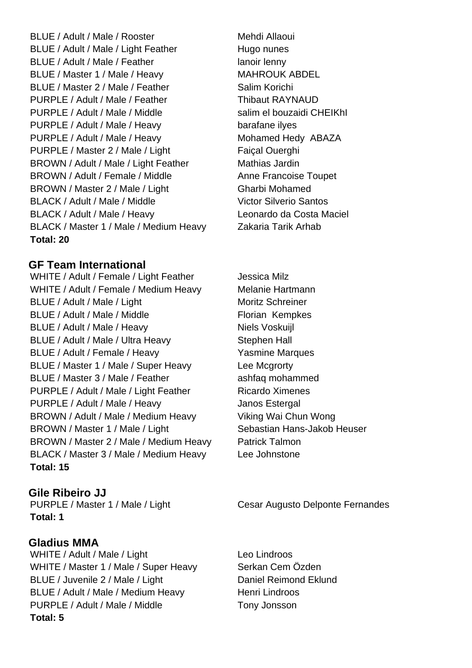BLUE / Adult / Male / Rooster Mehdi Allaoui BLUE / Adult / Male / Light Feather Hugo nunes BLUE / Adult / Male / Feather lanoir lenny BLUE / Master 1 / Male / Heavy MAHROUK ABDEL BLUE / Master 2 / Male / Feather Salim Korichi PURPLE / Adult / Male / Feather Thibaut RAYNAUD PURPLE / Adult / Male / Middle salim el bouzaidi CHEIKhI PURPLE / Adult / Male / Heavy barafane ilyes PURPLE / Adult / Male / Heavy Mohamed Hedy ABAZA PURPLE / Master 2 / Male / Light Faiçal Ouerghi BROWN / Adult / Male / Light Feather Mathias Jardin BROWN / Adult / Female / Middle Anne Francoise Toupet BROWN / Master 2 / Male / Light Gharbi Mohamed BLACK / Adult / Male / Middle Victor Silverio Santos BLACK / Adult / Male / Heavy Leonardo da Costa Maciel BLACK / Master 1 / Male / Medium Heavy Zakaria Tarik Arhab **Total: 20**

#### **GF Team International**

WHITE / Adult / Female / Light Feather Jessica Milz WHITE / Adult / Female / Medium Heavy Melanie Hartmann BLUE / Adult / Male / Light Moritz Schreiner BLUE / Adult / Male / Middle Florian Kempkes BLUE / Adult / Male / Heavy Niels Voskuijl BLUE / Adult / Male / Ultra Heavy Stephen Hall BLUE / Adult / Female / Heavy Yasmine Marques BLUE / Master 1 / Male / Super Heavy Lee Mcgrorty BLUE / Master 3 / Male / Feather ashfaq mohammed PURPLE / Adult / Male / Light Feather Ricardo Ximenes PURPLE / Adult / Male / Heavy Janos Estergal BROWN / Adult / Male / Medium Heavy Viking Wai Chun Wong BROWN / Master 1 / Male / Light Sebastian Hans-Jakob Heuser BROWN / Master 2 / Male / Medium Heavy Patrick Talmon BLACK / Master 3 / Male / Medium Heavy Lee Johnstone **Total: 15**

#### **Gile Ribeiro JJ**

**Total: 1**

#### **Gladius MMA**

WHITE / Adult / Male / Light Leo Lindroos WHITE / Master 1 / Male / Super Heavy Serkan Cem Özden BLUE / Juvenile 2 / Male / Light Daniel Reimond Eklund BLUE / Adult / Male / Medium Heavy Henri Lindroos PURPLE / Adult / Male / Middle Tony Jonsson **Total: 5**

PURPLE / Master 1 / Male / Light Cesar Augusto Delponte Fernandes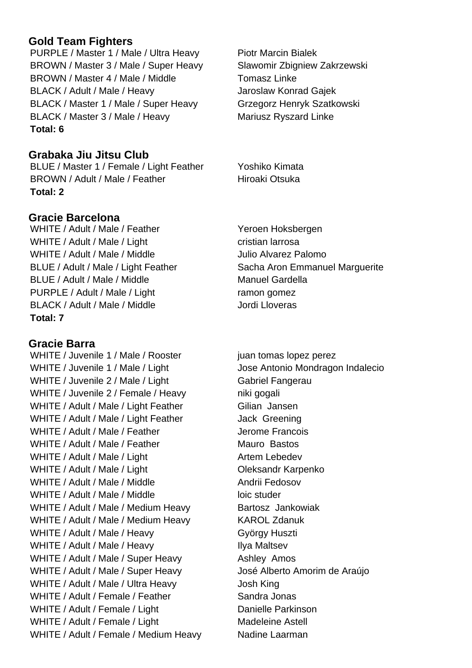# **Gold Team Fighters**

PURPLE / Master 1 / Male / Ultra Heavy Piotr Marcin Bialek BROWN / Master 3 / Male / Super Heavy Slawomir Zbigniew Zakrzewski BROWN / Master 4 / Male / Middle Tomasz Linke BLACK / Adult / Male / Heavy Jaroslaw Konrad Gajek BLACK / Master 1 / Male / Super Heavy Grzegorz Henryk Szatkowski BLACK / Master 3 / Male / Heavy Mariusz Ryszard Linke **Total: 6**

# **Grabaka Jiu Jitsu Club**

BLUE / Master 1 / Female / Light Feather Yoshiko Kimata BROWN / Adult / Male / Feather Hiroaki Otsuka **Total: 2**

# **Gracie Barcelona**

WHITE / Adult / Male / Feather Yeroen Hoksbergen WHITE / Adult / Male / Light cristian larrosa WHITE / Adult / Male / Middle Julio Alvarez Palomo BLUE / Adult / Male / Light Feather Sacha Aron Emmanuel Marguerite BLUE / Adult / Male / Middle Manuel Gardella PURPLE / Adult / Male / Light ramon gomez BLACK / Adult / Male / Middle Jordi Lloveras **Total: 7**

**Gracie Barra** WHITE / Juvenile 1 / Male / Rooster juan tomas lopez perez WHITE / Juvenile 1 / Male / Light Jose Antonio Mondragon Indalecio WHITE / Juvenile 2 / Male / Light Gabriel Fangerau WHITE / Juvenile 2 / Female / Heavy niki gogali WHITE / Adult / Male / Light Feather Gilian Jansen WHITE / Adult / Male / Light Feather Jack Greening WHITE / Adult / Male / Feather Jerome Francois WHITE / Adult / Male / Feather Mauro Bastos WHITE / Adult / Male / Light Artem Lebedev WHITE / Adult / Male / Light Contract Contract Contract Oleksandr Karpenko WHITE / Adult / Male / Middle Andrii Fedosov WHITE / Adult / Male / Middle loic studer WHITE / Adult / Male / Medium Heavy Bartosz Jankowiak WHITE / Adult / Male / Medium Heavy KAROL Zdanuk WHITE / Adult / Male / Heavy György Huszti WHITE / Adult / Male / Heavy Ilya Maltsev WHITE / Adult / Male / Super Heavy Ashley Amos WHITE / Adult / Male / Super Heavy José Alberto Amorim de Araújo WHITE / Adult / Male / Ultra Heavy Josh King WHITE / Adult / Female / Feather Sandra Jonas WHITE / Adult / Female / Light Danielle Parkinson WHITE / Adult / Female / Light Madeleine Astell WHITE / Adult / Female / Medium Heavy Nadine Laarman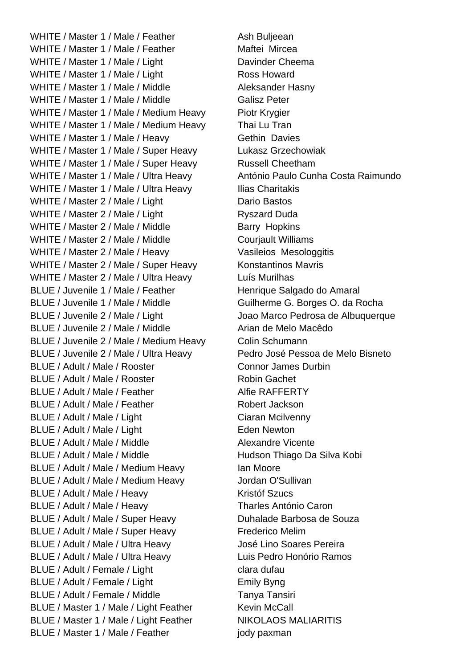WHITE / Master 1 / Male / Feather Ash Buljeean WHITE / Master 1 / Male / Feather Maftei Mircea WHITE / Master 1 / Male / Light Davinder Cheema WHITE / Master 1 / Male / Light Ross Howard WHITE / Master 1 / Male / Middle Aleksander Hasny WHITE / Master 1 / Male / Middle Galisz Peter WHITE / Master 1 / Male / Medium Heavy Piotr Krygier WHITE / Master 1 / Male / Medium Heavy Thai Lu Tran WHITE / Master 1 / Male / Heavy Gethin Davies WHITE / Master 1 / Male / Super Heavy Lukasz Grzechowiak WHITE / Master 1 / Male / Super Heavy Russell Cheetham WHITE / Master 1 / Male / Ultra Heavy António Paulo Cunha Costa Raimundo WHITE / Master 1 / Male / Ultra Heavy Ilias Charitakis WHITE / Master 2 / Male / Light Dario Bastos WHITE / Master 2 / Male / Light Ryszard Duda WHITE / Master 2 / Male / Middle Barry Hopkins WHITE / Master 2 / Male / Middle Couriault Williams WHITE / Master 2 / Male / Heavy Vasileios Mesologgitis WHITE / Master 2 / Male / Super Heavy Konstantinos Mavris WHITE / Master 2 / Male / Ultra Heavy Luís Murilhas BLUE / Juvenile 1 / Male / Feather Henrique Salgado do Amaral BLUE / Juvenile 1 / Male / Middle Guilherme G. Borges O. da Rocha BLUE / Juvenile 2 / Male / Light Joao Marco Pedrosa de Albuquerque BLUE / Juvenile 2 / Male / Middle Arian de Melo Macêdo BLUE / Juvenile 2 / Male / Medium Heavy Colin Schumann BLUE / Juvenile 2 / Male / Ultra Heavy Pedro José Pessoa de Melo Bisneto BLUE / Adult / Male / Rooster Connor James Durbin BLUE / Adult / Male / Rooster Robin Gachet BLUE / Adult / Male / Feather Alfie RAFFERTY BLUE / Adult / Male / Feather Robert Jackson BLUE / Adult / Male / Light Ciaran Mcilvenny BLUE / Adult / Male / Light Eden Newton BLUE / Adult / Male / Middle Alexandre Vicente BLUE / Adult / Male / Middle Hudson Thiago Da Silva Kobi BLUE / Adult / Male / Medium Heavy Ian Moore BLUE / Adult / Male / Medium Heavy Jordan O'Sullivan BLUE / Adult / Male / Heavy Kristóf Szucs BLUE / Adult / Male / Heavy Tharles António Caron BLUE / Adult / Male / Super Heavy Duhalade Barbosa de Souza BLUE / Adult / Male / Super Heavy Frederico Melim BLUE / Adult / Male / Ultra Heavy José Lino Soares Pereira BLUE / Adult / Male / Ultra Heavy Luis Pedro Honório Ramos BLUE / Adult / Female / Light clara dufau BLUE / Adult / Female / Light Emily Byng BLUE / Adult / Female / Middle Tanya Tanya Tansiri BLUE / Master 1 / Male / Light Feather Kevin McCall BLUE / Master 1 / Male / Light Feather NIKOLAOS MALIARITIS BLUE / Master 1 / Male / Feather jody paxman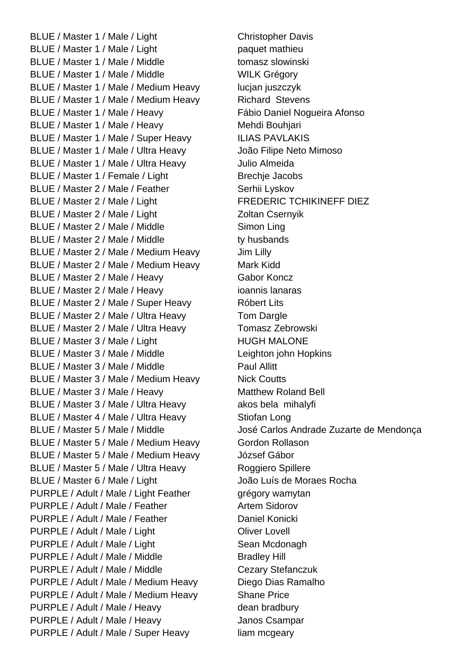BLUE / Master 1 / Male / Light Christopher Davis BLUE / Master 1 / Male / Light paquet mathieu BLUE / Master 1 / Male / Middle tomasz slowinski BLUE / Master 1 / Male / Middle WILK Grégory BLUE / Master 1 / Male / Medium Heavy lucian juszczyk BLUE / Master 1 / Male / Medium Heavy Richard Stevens BLUE / Master 1 / Male / Heavy Fábio Daniel Nogueira Afonso BLUE / Master 1 / Male / Heavy Mehdi Bouhjari BLUE / Master 1 / Male / Super Heavy ILIAS PAVLAKIS BLUE / Master 1 / Male / Ultra Heavy João Filipe Neto Mimoso BLUE / Master 1 / Male / Ultra Heavy Julio Almeida BLUE / Master 1 / Female / Light Brechje Jacobs BLUE / Master 2 / Male / Feather Serhij Lyskov BLUE / Master 2 / Male / Light FREDERIC TCHIKINEFF DIEZ BLUE / Master 2 / Male / Light Zoltan Csernyik BLUE / Master 2 / Male / Middle Simon Ling BLUE / Master 2 / Male / Middle ty husbands BLUE / Master 2 / Male / Medium Heavy Jim Lilly BLUE / Master 2 / Male / Medium Heavy Mark Kidd BLUE / Master 2 / Male / Heavy Gabor Koncz BLUE / Master 2 / Male / Heavy ioannis lanaras BLUE / Master 2 / Male / Super Heavy Róbert Lits BLUE / Master 2 / Male / Ultra Heavy Tom Dargle BLUE / Master 2 / Male / Ultra Heavy Tomasz Zebrowski BLUE / Master 3 / Male / Light HUGH MALONE BLUE / Master 3 / Male / Middle Leighton john Hopkins BLUE / Master 3 / Male / Middle Paul Allitt BLUE / Master 3 / Male / Medium Heavy Nick Coutts BLUE / Master 3 / Male / Heavy Matthew Roland Bell BLUE / Master 3 / Male / Ultra Heavy akos bela mihalyfi BLUE / Master 4 / Male / Ultra Heavy Stiofan Long BLUE / Master 5 / Male / Medium Heavy Gordon Rollason BLUE / Master 5 / Male / Medium Heavy József Gábor BLUE / Master 5 / Male / Ultra Heavy Roggiero Spillere BLUE / Master 6 / Male / Light João Luís de Moraes Rocha PURPLE / Adult / Male / Light Feather grégory wamytan PURPLE / Adult / Male / Feather Artem Sidorov PURPLE / Adult / Male / Feather Daniel Konicki PURPLE / Adult / Male / Light Contract Contract Contract Contract Oliver Lovell PURPLE / Adult / Male / Light Sean Mcdonagh PURPLE / Adult / Male / Middle Bradley Hill PURPLE / Adult / Male / Middle Cezary Stefanczuk PURPLE / Adult / Male / Medium Heavy Diego Dias Ramalho PURPLE / Adult / Male / Medium Heavy Shane Price PURPLE / Adult / Male / Heavy dean bradbury PURPLE / Adult / Male / Heavy Janos Csampar PURPLE / Adult / Male / Super Heavy liam mcgeary

BLUE / Master 5 / Male / Middle José Carlos Andrade Zuzarte de Mendonca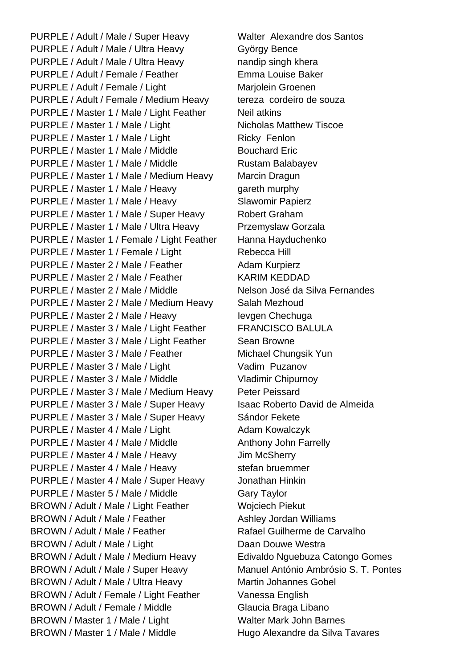PURPLE / Adult / Male / Super Heavy Walter Alexandre dos Santos PURPLE / Adult / Male / Ultra Heavy György Bence PURPLE / Adult / Male / Ultra Heavy nandip singh khera PURPLE / Adult / Female / Feather Emma Louise Baker PURPLE / Adult / Female / Light Marjolein Groenen PURPLE / Adult / Female / Medium Heavy tereza cordeiro de souza PURPLE / Master 1 / Male / Light Feather Neil atkins PURPLE / Master 1 / Male / Light Nicholas Matthew Tiscoe PURPLE / Master 1 / Male / Light Ricky Fenlon PURPLE / Master 1 / Male / Middle Bouchard Eric PURPLE / Master 1 / Male / Middle Rustam Balabayev PURPLE / Master 1 / Male / Medium Heavy Marcin Dragun PURPLE / Master 1 / Male / Heavy gareth murphy PURPLE / Master 1 / Male / Heavy Slawomir Papierz PURPLE / Master 1 / Male / Super Heavy Robert Graham PURPLE / Master 1 / Male / Ultra Heavy Przemyslaw Gorzala PURPLE / Master 1 / Female / Light Feather Hanna Hayduchenko PURPLE / Master 1 / Female / Light Rebecca Hill PURPLE / Master 2 / Male / Feather Adam Kurpierz PURPLE / Master 2 / Male / Feather KARIM KEDDAD PURPLE / Master 2 / Male / Middle Nelson José da Silva Fernandes PURPLE / Master 2 / Male / Medium Heavy Salah Mezhoud PURPLE / Master 2 / Male / Heavy Ievgen Chechuga PURPLE / Master 3 / Male / Light Feather FRANCISCO BALULA PURPLE / Master 3 / Male / Light Feather Sean Browne PURPLE / Master 3 / Male / Feather Michael Chungsik Yun PURPLE / Master 3 / Male / Light Vadim Puzanov PURPLE / Master 3 / Male / Middle Vladimir Chipurnov PURPLE / Master 3 / Male / Medium Heavy Peter Peissard PURPLE / Master 3 / Male / Super Heavy Isaac Roberto David de Almeida PURPLE / Master 3 / Male / Super Heavy Sándor Fekete PURPLE / Master 4 / Male / Light Adam Kowalczyk PURPLE / Master 4 / Male / Middle Anthony John Farrelly PURPLE / Master 4 / Male / Heavy Jim McSherry PURPLE / Master 4 / Male / Heavy stefan bruemmer PURPLE / Master 4 / Male / Super Heavy Jonathan Hinkin PURPLE / Master 5 / Male / Middle Gary Taylor BROWN / Adult / Male / Light Feather Wojciech Piekut BROWN / Adult / Male / Feather Ashley Jordan Williams BROWN / Adult / Male / Feather Rafael Guilherme de Carvalho BROWN / Adult / Male / Light Daan Douwe Westra BROWN / Adult / Male / Medium Heavy Edivaldo Nguebuza Catongo Gomes BROWN / Adult / Male / Super Heavy Manuel António Ambrósio S. T. Pontes BROWN / Adult / Male / Ultra Heavy Martin Johannes Gobel BROWN / Adult / Female / Light Feather Vanessa English BROWN / Adult / Female / Middle Glaucia Braga Libano BROWN / Master 1 / Male / Light Walter Mark John Barnes BROWN / Master 1 / Male / Middle Hugo Alexandre da Silva Tavares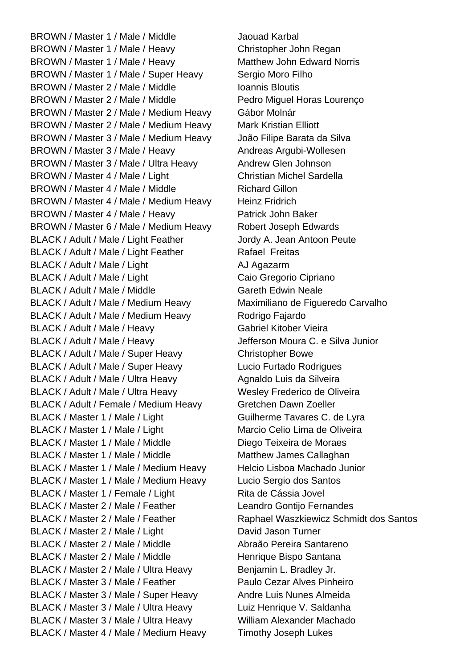BROWN / Master 1 / Male / Middle Jaouad Karbal BROWN / Master 1 / Male / Heavy Christopher John Regan BROWN / Master 1 / Male / Heavy Matthew John Edward Norris BROWN / Master 1 / Male / Super Heavy Sergio Moro Filho BROWN / Master 2 / Male / Middle Inc. Ioannis Bloutis BROWN / Master 2 / Male / Middle Pedro Miguel Horas Lourenço BROWN / Master 2 / Male / Medium Heavy Gábor Molnár BROWN / Master 2 / Male / Medium Heavy Mark Kristian Elliott BROWN / Master 3 / Male / Medium Heavy João Filipe Barata da Silva BROWN / Master 3 / Male / Heavy Andreas Argubi-Wollesen BROWN / Master 3 / Male / Ultra Heavy Andrew Glen Johnson BROWN / Master 4 / Male / Light Christian Michel Sardella BROWN / Master 4 / Male / Middle Richard Gillon BROWN / Master 4 / Male / Medium Heavy Heinz Fridrich BROWN / Master 4 / Male / Heavy Patrick John Baker BROWN / Master 6 / Male / Medium Heavy Robert Joseph Edwards BLACK / Adult / Male / Light Feather Jordy A. Jean Antoon Peute BLACK / Adult / Male / Light Feather Rafael Freitas BLACK / Adult / Male / Light AJ Agazarm BLACK / Adult / Male / Light Caio Gregorio Cipriano BLACK / Adult / Male / Middle Gareth Edwin Neale BLACK / Adult / Male / Medium Heavy Maximiliano de Figueredo Carvalho BLACK / Adult / Male / Medium Heavy Rodrigo Fajardo BLACK / Adult / Male / Heavy Gabriel Kitober Vieira BLACK / Adult / Male / Heavy Jefferson Moura C. e Silva Junior BLACK / Adult / Male / Super Heavy Christopher Bowe BLACK / Adult / Male / Super Heavy Lucio Furtado Rodrigues BLACK / Adult / Male / Ultra Heavy Agnaldo Luis da Silveira BLACK / Adult / Male / Ultra Heavy Wesley Frederico de Oliveira BLACK / Adult / Female / Medium Heavy Gretchen Dawn Zoeller BLACK / Master 1 / Male / Light Guilherme Tavares C. de Lyra BLACK / Master 1 / Male / Light Marcio Celio Lima de Oliveira BLACK / Master 1 / Male / Middle Diego Teixeira de Moraes BLACK / Master 1 / Male / Middle Matthew James Callaghan BLACK / Master 1 / Male / Medium Heavy Helcio Lisboa Machado Junior BLACK / Master 1 / Male / Medium Heavy Lucio Sergio dos Santos BLACK / Master 1 / Female / Light Rita de Cássia Jovel BLACK / Master 2 / Male / Feather Leandro Gontijo Fernandes BLACK / Master 2 / Male / Feather Raphael Waszkiewicz Schmidt dos Santos BLACK / Master 2 / Male / Light David Jason Turner BLACK / Master 2 / Male / Middle Abraão Pereira Santareno BLACK / Master 2 / Male / Middle Henrique Bispo Santana BLACK / Master 2 / Male / Ultra Heavy Benjamin L. Bradley Jr. BLACK / Master 3 / Male / Feather Paulo Cezar Alves Pinheiro BLACK / Master 3 / Male / Super Heavy Andre Luis Nunes Almeida BLACK / Master 3 / Male / Ultra Heavy Luiz Henrique V. Saldanha BLACK / Master 3 / Male / Ultra Heavy William Alexander Machado BLACK / Master 4 / Male / Medium Heavy Timothy Joseph Lukes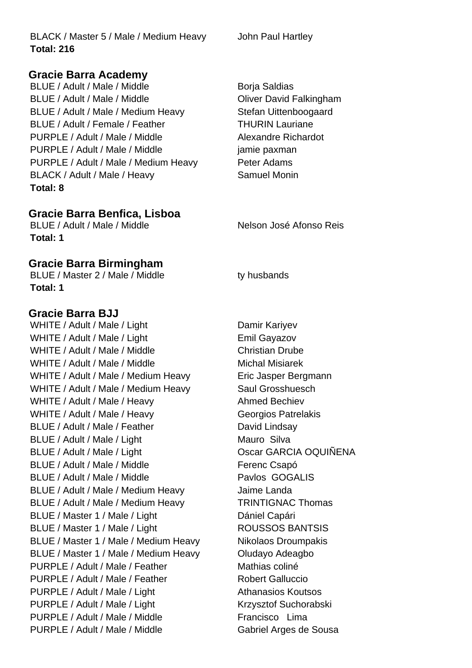BLACK / Master 5 / Male / Medium Heavy John Paul Hartley **Total: 216**

#### **Gracie Barra Academy**

BLUE / Adult / Male / Middle Borja Saldias BLUE / Adult / Male / Middle **Oliver David Falkingham** BLUE / Adult / Male / Medium Heavy Stefan Uittenboogaard BLUE / Adult / Female / Feather THURIN Lauriane PURPLE / Adult / Male / Middle Alexandre Richardot PURPLE / Adult / Male / Middle jamine paxman PURPLE / Adult / Male / Medium Heavy Peter Adams BLACK / Adult / Male / Heavy Samuel Monin **Total: 8**

#### **Gracie Barra Benfica, Lisboa**

BLUE / Adult / Male / Middle Nelson José Afonso Reis **Total: 1**

#### **Gracie Barra Birmingham**

BLUE / Master 2 / Male / Middle ty husbands **Total: 1**

#### **Gracie Barra BJJ**

WHITE / Adult / Male / Light Damir Kariyev WHITE / Adult / Male / Light Emil Gayazov WHITE / Adult / Male / Middle Christian Drube WHITE / Adult / Male / Middle Michal Misiarek WHITE / Adult / Male / Medium Heavy Eric Jasper Bergmann WHITE / Adult / Male / Medium Heavy Saul Grosshuesch WHITE / Adult / Male / Heavy Ahmed Bechiev WHITE / Adult / Male / Heavy Georgios Patrelakis BLUE / Adult / Male / Feather David Lindsay BLUE / Adult / Male / Light Mauro Silva BLUE / Adult / Male / Light Contract COSCARCIA OQUIÑENA BLUE / Adult / Male / Middle Ferenc Csapó BLUE / Adult / Male / Middle Pavlos GOGALIS BLUE / Adult / Male / Medium Heavy Jaime Landa BLUE / Adult / Male / Medium Heavy TRINTIGNAC Thomas BLUE / Master 1 / Male / Light Dániel Capári BLUE / Master 1 / Male / Light ROUSSOS BANTSIS BLUE / Master 1 / Male / Medium Heavy Nikolaos Droumpakis BLUE / Master 1 / Male / Medium Heavy **Oludavo Adeagbo** PURPLE / Adult / Male / Feather Mathias coliné PURPLE / Adult / Male / Feather Robert Galluccio PURPLE / Adult / Male / Light Athanasios Koutsos PURPLE / Adult / Male / Light Krzysztof Suchorabski PURPLE / Adult / Male / Middle Francisco Lima PURPLE / Adult / Male / Middle Gabriel Arges de Sousa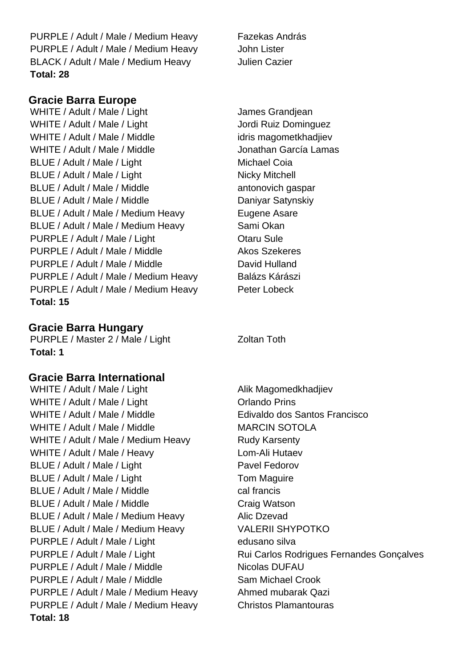PURPLE / Adult / Male / Medium Heavy Fazekas András PURPLE / Adult / Male / Medium Heavy John Lister BLACK / Adult / Male / Medium Heavy Julien Cazier **Total: 28**

# **Gracie Barra Europe**

WHITE / Adult / Male / Light James Grandjean WHITE / Adult / Male / Light Jordi Ruiz Dominguez WHITE / Adult / Male / Middle idris magometkhadjiev WHITE / Adult / Male / Middle Jonathan García Lamas BLUE / Adult / Male / Light Michael Coia BLUE / Adult / Male / Light Nicky Mitchell BLUE / Adult / Male / Middle antonovich gaspar BLUE / Adult / Male / Middle Daniyar Satynskiy BLUE / Adult / Male / Medium Heavy Eugene Asare BLUE / Adult / Male / Medium Heavy Sami Okan PURPLE / Adult / Male / Light Character Charu Sule PURPLE / Adult / Male / Middle Akos Szekeres PURPLE / Adult / Male / Middle David Hulland PURPLE / Adult / Male / Medium Heavy Balázs Kárászi PURPLE / Adult / Male / Medium Heavy Peter Lobeck **Total: 15**

### **Gracie Barra Hungary**

PURPLE / Master 2 / Male / Light Zoltan Toth **Total: 1**

#### **Gracie Barra International**

WHITE / Adult / Male / Light Alik Magomedkhadjiev WHITE / Adult / Male / Light Containst Department Orlando Prins WHITE / Adult / Male / Middle Edivaldo dos Santos Francisco WHITE / Adult / Male / Middle MARCIN SOTOLA WHITE / Adult / Male / Medium Heavy Rudy Karsenty WHITE / Adult / Male / Heavy Lom-Ali Hutaev BLUE / Adult / Male / Light Pavel Fedorov BLUE / Adult / Male / Light Tom Maguire BLUE / Adult / Male / Middle cal francis BLUE / Adult / Male / Middle Craig Watson BLUE / Adult / Male / Medium Heavy Alic Dzevad BLUE / Adult / Male / Medium Heavy VALERII SHYPOTKO PURPLE / Adult / Male / Light edusano silva PURPLE / Adult / Male / Middle Nicolas DUFAU PURPLE / Adult / Male / Middle Sam Michael Crook PURPLE / Adult / Male / Medium Heavy Ahmed mubarak Qazi PURPLE / Adult / Male / Medium Heavy Christos Plamantouras **Total: 18**

PURPLE / Adult / Male / Light Rui Carlos Rodrigues Fernandes Gonçalves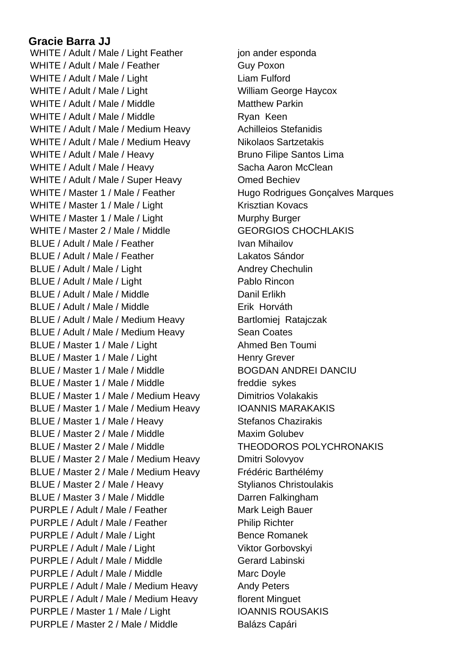# **Gracie Barra JJ**

WHITE / Adult / Male / Light Feather jon ander esponda WHITE / Adult / Male / Feather Guy Poxon WHITE / Adult / Male / Light Light Liam Fulford WHITE / Adult / Male / Light William George Haycox WHITE / Adult / Male / Middle Matthew Parkin WHITE / Adult / Male / Middle Ryan Keen WHITE / Adult / Male / Medium Heavy Achilleios Stefanidis WHITE / Adult / Male / Medium Heavy Nikolaos Sartzetakis WHITE / Adult / Male / Heavy Bruno Filipe Santos Lima WHITE / Adult / Male / Heavy Sacha Aaron McClean WHITE / Adult / Male / Super Heavy **Omed Bechiev** WHITE / Master 1 / Male / Feather Hugo Rodrigues Gonçalves Marques WHITE / Master 1 / Male / Light Krisztian Kovacs WHITE / Master 1 / Male / Light Murphy Burger WHITE / Master 2 / Male / Middle GEORGIOS CHOCHLAKIS BLUE / Adult / Male / Feather Ivan Mihailov BLUE / Adult / Male / Feather Lakatos Sándor BLUE / Adult / Male / Light Andrey Chechulin BLUE / Adult / Male / Light Pablo Rincon BLUE / Adult / Male / Middle Danil Erlikh BLUE / Adult / Male / Middle **Erik Horváth** BLUE / Adult / Male / Medium Heavy Bartlomiej Ratajczak BLUE / Adult / Male / Medium Heavy Sean Coates BLUE / Master 1 / Male / Light Ahmed Ben Toumi BLUE / Master 1 / Male / Light Henry Grever BLUE / Master 1 / Male / Middle BOGDAN ANDREI DANCIU BLUE / Master 1 / Male / Middle freddie sykes BLUE / Master 1 / Male / Medium Heavy Dimitrios Volakakis BLUE / Master 1 / Male / Medium Heavy **IOANNIS MARAKAKIS** BLUE / Master 1 / Male / Heavy Stefanos Chazirakis BLUE / Master 2 / Male / Middle Maxim Golubev BLUE / Master 2 / Male / Middle THEODOROS POLYCHRONAKIS BLUE / Master 2 / Male / Medium Heavy Dmitri Solovyov BLUE / Master 2 / Male / Medium Heavy Frédéric Barthélémy BLUE / Master 2 / Male / Heavy Stylianos Christoulakis BLUE / Master 3 / Male / Middle Darren Falkingham PURPLE / Adult / Male / Feather Mark Leigh Bauer PURPLE / Adult / Male / Feather Philip Richter PURPLE / Adult / Male / Light Bence Romanek PURPLE / Adult / Male / Light Viktor Gorbovskyi PURPLE / Adult / Male / Middle Gerard Labinski PURPLE / Adult / Male / Middle Marc Doyle PURPLE / Adult / Male / Medium Heavy Andy Peters PURPLE / Adult / Male / Medium Heavy florent Minguet PURPLE / Master 1 / Male / Light IOANNIS ROUSAKIS PURPLE / Master 2 / Male / Middle Balázs Capári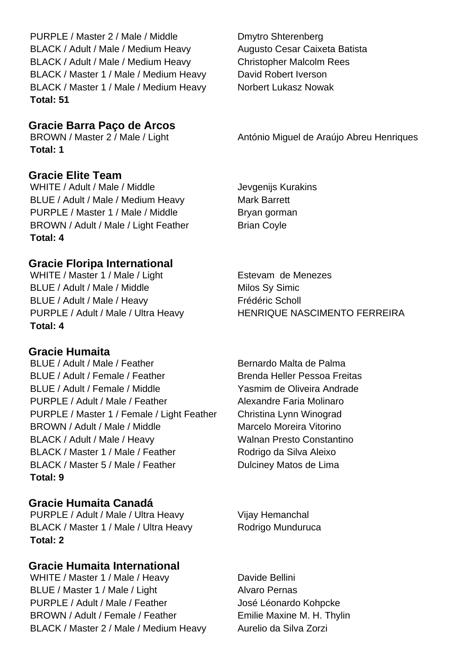PURPLE / Master 2 / Male / Middle Dmytro Shterenberg BLACK / Adult / Male / Medium Heavy Augusto Cesar Caixeta Batista BLACK / Adult / Male / Medium Heavy Christopher Malcolm Rees BLACK / Master 1 / Male / Medium Heavy David Robert Iverson BLACK / Master 1 / Male / Medium Heavy Norbert Lukasz Nowak **Total: 51**

#### **Gracie Barra Paço de Arcos**

**Total: 1**

# **Gracie Elite Team**

WHITE / Adult / Male / Middle Jevgenijs Kurakins BLUE / Adult / Male / Medium Heavy Mark Barrett PURPLE / Master 1 / Male / Middle Bryan gorman BROWN / Adult / Male / Light Feather Brian Coyle **Total: 4**

# **Gracie Floripa International**

WHITE / Master 1 / Male / Light Estevam de Menezes BLUE / Adult / Male / Middle Milos Sy Simic BLUE / Adult / Male / Heavy Frédéric Scholl **Total: 4**

# **Gracie Humaita**

BLUE / Adult / Male / Feather Bernardo Malta de Palma BLUE / Adult / Female / Feather Brenda Heller Pessoa Freitas BLUE / Adult / Female / Middle Yasmim de Oliveira Andrade PURPLE / Adult / Male / Feather Alexandre Faria Molinaro PURPLE / Master 1 / Female / Light Feather Christina Lynn Winograd BROWN / Adult / Male / Middle Marcelo Moreira Vitorino BLACK / Adult / Male / Heavy Walnan Presto Constantino BLACK / Master 1 / Male / Feather Rodrigo da Silva Aleixo BLACK / Master 5 / Male / Feather Dulciney Matos de Lima **Total: 9**

# **Gracie Humaita Canadá**

PURPLE / Adult / Male / Ultra Heavy Vijay Hemanchal BLACK / Master 1 / Male / Ultra Heavy Rodrigo Munduruca **Total: 2**

# **Gracie Humaita International**

WHITE / Master 1 / Male / Heavy Davide Bellini BLUE / Master 1 / Male / Light Alvaro Pernas PURPLE / Adult / Male / Feather José Léonardo Kohpcke BROWN / Adult / Female / Feather Emilie Maxine M. H. Thylin BLACK / Master 2 / Male / Medium Heavy Aurelio da Silva Zorzi

BROWN / Master 2 / Male / Light António Miguel de Araújo Abreu Henriques

PURPLE / Adult / Male / Ultra Heavy HENRIQUE NASCIMENTO FERREIRA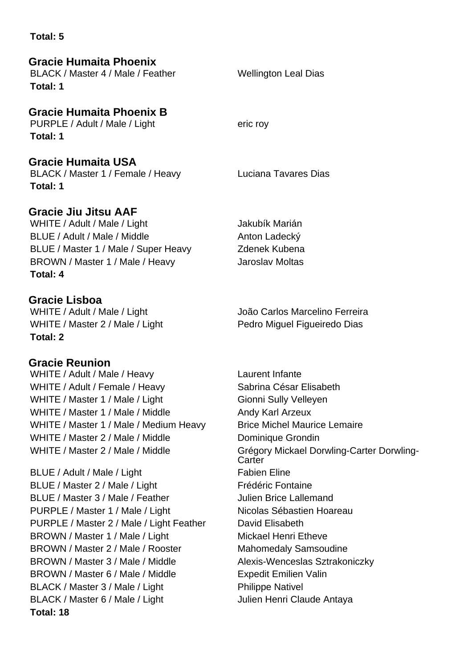#### **Total: 5**

# **Gracie Humaita Phoenix**

BLACK / Master 4 / Male / Feather Wellington Leal Dias **Total: 1**

# **Gracie Humaita Phoenix B**

PURPLE / Adult / Male / Light eric roy **Total: 1**

**Gracie Humaita USA** 

BLACK / Master 1 / Female / Heavy Luciana Tavares Dias **Total: 1**

# **Gracie Jiu Jitsu AAF**

WHITE / Adult / Male / Light Jakubík Marián BLUE / Adult / Male / Middle Anton Ladecký BLUE / Master 1 / Male / Super Heavy Zdenek Kubena BROWN / Master 1 / Male / Heavy Jaroslav Moltas **Total: 4**

# **Gracie Lisboa**

WHITE / Master 2 / Male / Light Pedro Miguel Figueiredo Dias **Total: 2**

# **Gracie Reunion**

WHITE / Adult / Male / Heavy Laurent Infante WHITE / Adult / Female / Heavy Sabrina César Elisabeth WHITE / Master 1 / Male / Light Gionni Sully Velleyen WHITE / Master 1 / Male / Middle Andy Karl Arzeux WHITE / Master 1 / Male / Medium Heavy Brice Michel Maurice Lemaire WHITE / Master 2 / Male / Middle Dominique Grondin

BLUE / Adult / Male / Light Fabien Eline BLUE / Master 2 / Male / Light Frédéric Fontaine BLUE / Master 3 / Male / Feather Julien Brice Lallemand PURPLE / Master 1 / Male / Light Nicolas Sébastien Hoareau PURPLE / Master 2 / Male / Light Feather David Elisabeth BROWN / Master 1 / Male / Light Mickael Henri Etheve BROWN / Master 2 / Male / Rooster Mahomedaly Samsoudine BROWN / Master 3 / Male / Middle Alexis-Wenceslas Sztrakoniczky BROWN / Master 6 / Male / Middle Expedit Emilien Valin BLACK / Master 3 / Male / Light Philippe Nativel BLACK / Master 6 / Male / Light Julien Henri Claude Antaya **Total: 18**

WHITE / Adult / Male / Light João Carlos Marcelino Ferreira

WHITE / Master 2 / Male / Middle Grégory Mickael Dorwling-Carter Dorwling-**Carter**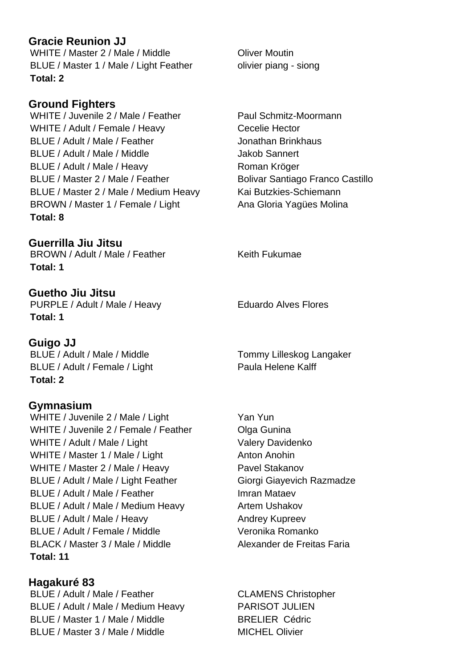# **Gracie Reunion JJ**

WHITE / Master 2 / Male / Middle **Oliver Moutin** BLUE / Master 1 / Male / Light Feather olivier piang - siong **Total: 2**

# **Ground Fighters**

WHITE / Juvenile 2 / Male / Feather Paul Schmitz-Moormann WHITE / Adult / Female / Heavy Cecelie Hector BLUE / Adult / Male / Feather Jonathan Brinkhaus BLUE / Adult / Male / Middle Jakob Sannert BLUE / Adult / Male / Heavy Roman Kröger BLUE / Master 2 / Male / Feather Bolivar Santiago Franco Castillo BLUE / Master 2 / Male / Medium Heavy Kai Butzkies-Schiemann BROWN / Master 1 / Female / Light Ana Gloria Yagües Molina **Total: 8**

**Guerrilla Jiu Jitsu** BROWN / Adult / Male / Feather Keith Fukumae **Total: 1**

**Guetho Jiu Jitsu** PURPLE / Adult / Male / Heavy Eduardo Alves Flores **Total: 1**

**Guigo JJ** BLUE / Adult / Male / Middle Tommy Lilleskog Langaker BLUE / Adult / Female / Light Paula Helene Kalff **Total: 2**

# **Gymnasium**

WHITE / Juvenile 2 / Male / Light Yan Yun WHITE / Juvenile 2 / Female / Feather Olga Gunina WHITE / Adult / Male / Light Valery Davidenko WHITE / Master 1 / Male / Light Anton Anohin WHITE / Master 2 / Male / Heavy Pavel Stakanov BLUE / Adult / Male / Light Feather Giorgi Giayevich Razmadze BLUE / Adult / Male / Feather Imran Mataev BLUE / Adult / Male / Medium Heavy Artem Ushakov BLUE / Adult / Male / Heavy Andrey Kupreev BLUE / Adult / Female / Middle Veronika Romanko BLACK / Master 3 / Male / Middle Alexander de Freitas Faria **Total: 11**

**Hagakuré 83** BLUE / Adult / Male / Feather CLAMENS Christopher BLUE / Adult / Male / Medium Heavy PARISOT JULIEN BLUE / Master 1 / Male / Middle BRELIER Cédric BLUE / Master 3 / Male / Middle MICHEL Olivier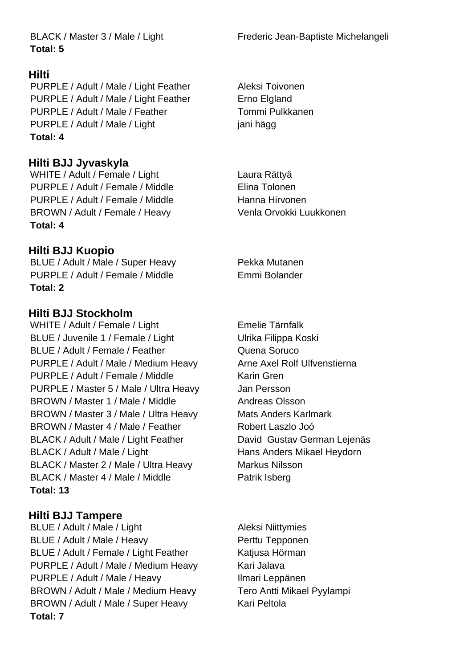**Total: 5**

# **Hilti**

PURPLE / Adult / Male / Light Feather Aleksi Toivonen PURPLE / Adult / Male / Light Feather Erno Elgland PURPLE / Adult / Male / Feather Tommi Pulkkanen PURPLE / Adult / Male / Light jani hägg **Total: 4**

# **Hilti BJJ Jyvaskyla**

WHITE / Adult / Female / Light Laura Rättyä PURPLE / Adult / Female / Middle Filma Tolonen PURPLE / Adult / Female / Middle Hanna Hirvonen BROWN / Adult / Female / Heavy Venla Orvokki Luukkonen **Total: 4**

# **Hilti BJJ Kuopio**

BLUE / Adult / Male / Super Heavy Pekka Mutanen PURPLE / Adult / Female / Middle Emmi Bolander **Total: 2**

# **Hilti BJJ Stockholm**

WHITE / Adult / Female / Light Emelie Tärnfalk BLUE / Juvenile 1 / Female / Light Ulrika Filippa Koski BLUE / Adult / Female / Feather Quena Soruco PURPLE / Adult / Male / Medium Heavy Arne Axel Rolf Ulfvenstierna PURPLE / Adult / Female / Middle Karin Gren PURPLE / Master 5 / Male / Ultra Heavy Jan Persson BROWN / Master 1 / Male / Middle Andreas Olsson BROWN / Master 3 / Male / Ultra Heavy Mats Anders Karlmark BROWN / Master 4 / Male / Feather Robert Laszlo Joó BLACK / Adult / Male / Light Feather David Gustav German Lejenäs BLACK / Adult / Male / Light Hans Anders Mikael Heydorn BLACK / Master 2 / Male / Ultra Heavy Markus Nilsson BLACK / Master 4 / Male / Middle Patrik Isberg **Total: 13**

# **Hilti BJJ Tampere**

BLUE / Adult / Male / Light Aleksi Niittymies BLUE / Adult / Male / Heavy Perttu Tepponen BLUE / Adult / Female / Light Feather Katjusa Hörman PURPLE / Adult / Male / Medium Heavy Kari Jalava PURPLE / Adult / Male / Heavy Ilmari Leppänen BROWN / Adult / Male / Medium Heavy Tero Antti Mikael Pyylampi BROWN / Adult / Male / Super Heavy Kari Peltola **Total: 7**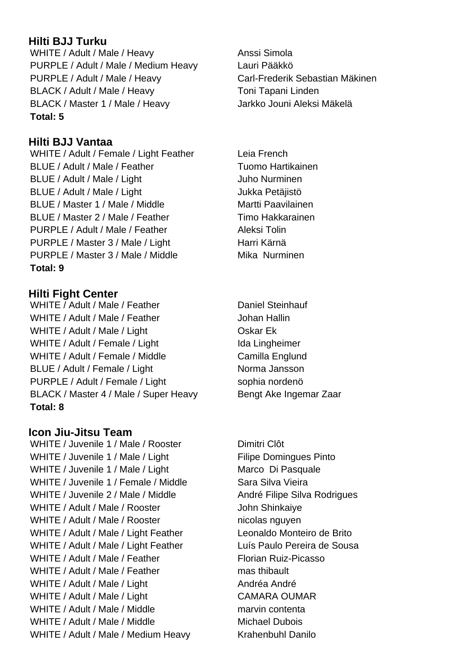# **Hilti BJJ Turku**

WHITE / Adult / Male / Heavy Anssi Simola PURPLE / Adult / Male / Medium Heavy Lauri Pääkkö PURPLE / Adult / Male / Heavy Carl-Frederik Sebastian Mäkinen BLACK / Adult / Male / Heavy Toni Tapani Linden BLACK / Master 1 / Male / Heavy Jarkko Jouni Aleksi Mäkelä **Total: 5**

# **Hilti BJJ Vantaa**

WHITE / Adult / Female / Light Feather Leia French BLUE / Adult / Male / Feather Tuomo Hartikainen BLUE / Adult / Male / Light Juho Nurminen BLUE / Adult / Male / Light Jukka Petäjistö BLUE / Master 1 / Male / Middle Martti Paavilainen BLUE / Master 2 / Male / Feather Timo Hakkarainen PURPLE / Adult / Male / Feather Aleksi Tolin PURPLE / Master 3 / Male / Light Harri Kärnä PURPLE / Master 3 / Male / Middle Mika Nurminen **Total: 9**

# **Hilti Fight Center**

WHITE / Adult / Male / Feather Daniel Steinhauf WHITE / Adult / Male / Feather Johan Hallin WHITE / Adult / Male / Light Coskar Ek WHITE / Adult / Female / Light Ida Lingheimer WHITE / Adult / Female / Middle Camilla Englund BLUE / Adult / Female / Light Norma Jansson PURPLE / Adult / Female / Light sophia nordenö BLACK / Master 4 / Male / Super Heavy Bengt Ake Ingemar Zaar **Total: 8**

#### **Icon Jiu-Jitsu Team**

WHITE / Juvenile 1 / Male / Rooster Dimitri Clôt WHITE / Juvenile 1 / Male / Light Filipe Domingues Pinto WHITE / Juvenile 1 / Male / Light Marco Di Pasquale WHITE / Juvenile 1 / Female / Middle Sara Silva Vieira WHITE / Juvenile 2 / Male / Middle André Filipe Silva Rodrigues WHITE / Adult / Male / Rooster John Shinkaiye WHITE / Adult / Male / Rooster nicolas nguyen WHITE / Adult / Male / Light Feather Leonaldo Monteiro de Brito WHITE / Adult / Male / Light Feather Luís Paulo Pereira de Sousa WHITE / Adult / Male / Feather Florian Ruiz-Picasso WHITE / Adult / Male / Feather mas thibault WHITE / Adult / Male / Light Andréa Andréa André WHITE / Adult / Male / Light CAMARA OUMAR WHITE / Adult / Male / Middle marvin contenta WHITE / Adult / Male / Middle Michael Dubois WHITE / Adult / Male / Medium Heavy Krahenbuhl Danilo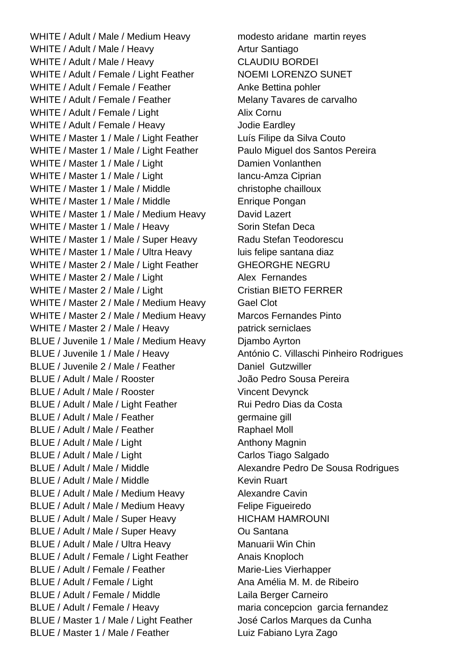WHITE / Adult / Male / Medium Heavy modesto aridane martin reyes WHITE / Adult / Male / Heavy Artur Santiago WHITE / Adult / Male / Heavy CLAUDIU BORDEI WHITE / Adult / Female / Light Feather NOEMI LORENZO SUNET WHITE / Adult / Female / Feather Anke Bettina pohler WHITE / Adult / Female / Feather Melany Tavares de carvalho WHITE / Adult / Female / Light Alix Cornu WHITE / Adult / Female / Heavy Jodie Eardley WHITE / Master 1 / Male / Light Feather Luís Filipe da Silva Couto WHITE / Master 1 / Male / Light Feather Paulo Miguel dos Santos Pereira WHITE / Master 1 / Male / Light Damien Vonlanthen WHITE / Master 1 / Male / Light Iancu-Amza Ciprian WHITE / Master 1 / Male / Middle christophe chailloux WHITE / Master 1 / Male / Middle Enrique Pongan WHITE / Master 1 / Male / Medium Heavy David Lazert WHITE / Master 1 / Male / Heavy Sorin Stefan Deca WHITE / Master 1 / Male / Super Heavy Radu Stefan Teodorescu WHITE / Master 1 / Male / Ultra Heavy luis felipe santana diaz WHITE / Master 2 / Male / Light Feather GHEORGHE NEGRU WHITE / Master 2 / Male / Light Alex Fernandes WHITE / Master 2 / Male / Light Cristian BIETO FERRER WHITE / Master 2 / Male / Medium Heavy Gael Clot WHITE / Master 2 / Male / Medium Heavy Marcos Fernandes Pinto WHITE / Master 2 / Male / Heavy patrick serniclaes BLUE / Juvenile 1 / Male / Medium Heavy Djambo Ayrton BLUE / Juvenile 1 / Male / Heavy António C. Villaschi Pinheiro Rodrigues BLUE / Juvenile 2 / Male / Feather Daniel Gutzwiller BLUE / Adult / Male / Rooster João Pedro Sousa Pereira BLUE / Adult / Male / Rooster Vincent Devynck BLUE / Adult / Male / Light Feather Rui Pedro Dias da Costa BLUE / Adult / Male / Feather germaine gill BLUE / Adult / Male / Feather Raphael Moll BLUE / Adult / Male / Light Anthony Magnin BLUE / Adult / Male / Light Carlos Tiago Salgado BLUE / Adult / Male / Middle Alexandre Pedro De Sousa Rodrigues BLUE / Adult / Male / Middle Kevin Ruart BLUE / Adult / Male / Medium Heavy Alexandre Cavin BLUE / Adult / Male / Medium Heavy Felipe Figueiredo BLUE / Adult / Male / Super Heavy HICHAM HAMROUNI BLUE / Adult / Male / Super Heavy Ou Santana BLUE / Adult / Male / Ultra Heavy Manuarii Win Chin BLUE / Adult / Female / Light Feather Anais Knoploch BLUE / Adult / Female / Feather Marie-Lies Vierhapper BLUE / Adult / Female / Light Ana Amélia M. M. de Ribeiro BLUE / Adult / Female / Middle Laila Berger Carneiro BLUE / Adult / Female / Heavy maria concepcion garcia fernandez BLUE / Master 1 / Male / Light Feather José Carlos Marques da Cunha BLUE / Master 1 / Male / Feather Luiz Fabiano Lyra Zago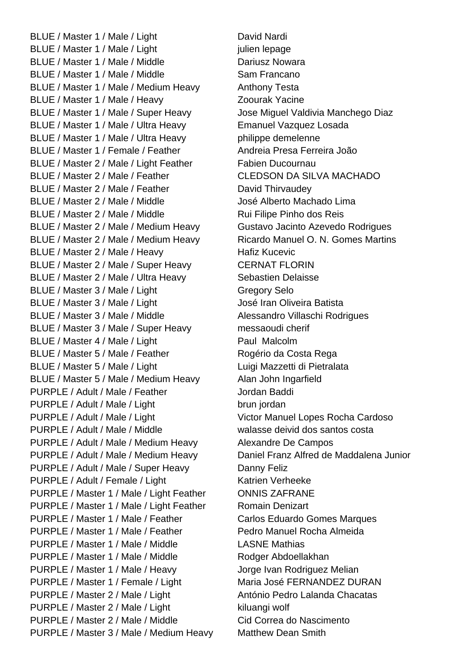BLUE / Master 1 / Male / Light David Nardi BLUE / Master 1 / Male / Light iulien lepage BLUE / Master 1 / Male / Middle Dariusz Nowara BLUE / Master 1 / Male / Middle Sam Francano BLUE / Master 1 / Male / Medium Heavy Anthony Testa BLUE / Master 1 / Male / Heavy Zoourak Yacine BLUE / Master 1 / Male / Super Heavy Jose Miguel Valdivia Manchego Diaz BLUE / Master 1 / Male / Ultra Heavy Emanuel Vazquez Losada BLUE / Master 1 / Male / Ultra Heavy philippe demelenne BLUE / Master 1 / Female / Feather Andreia Presa Ferreira João BLUE / Master 2 / Male / Light Feather Fabien Ducournau BLUE / Master 2 / Male / Feather CLEDSON DA SILVA MACHADO BLUE / Master 2 / Male / Feather David Thirvaudev BLUE / Master 2 / Male / Middle José Alberto Machado Lima BLUE / Master 2 / Male / Middle Rui Filipe Pinho dos Reis BLUE / Master 2 / Male / Medium Heavy Gustavo Jacinto Azevedo Rodrigues BLUE / Master 2 / Male / Medium Heavy Ricardo Manuel O. N. Gomes Martins BLUE / Master 2 / Male / Heavy Hafiz Kucevic BLUE / Master 2 / Male / Super Heavy CERNAT FLORIN BLUE / Master 2 / Male / Ultra Heavy Sebastien Delaisse BLUE / Master 3 / Male / Light Gregory Selo BLUE / Master 3 / Male / Light José Iran Oliveira Batista BLUE / Master 3 / Male / Middle Alessandro Villaschi Rodrigues BLUE / Master 3 / Male / Super Heavy messaoudi cherif BLUE / Master 4 / Male / Light Paul Malcolm BLUE / Master 5 / Male / Feather Rogério da Costa Rega BLUE / Master 5 / Male / Light Luigi Mazzetti di Pietralata BLUE / Master 5 / Male / Medium Heavy Alan John Ingarfield PURPLE / Adult / Male / Feather Jordan Baddi PURPLE / Adult / Male / Light brun jordan PURPLE / Adult / Male / Light Victor Manuel Lopes Rocha Cardoso PURPLE / Adult / Male / Middle walasse deivid dos santos costa PURPLE / Adult / Male / Medium Heavy Alexandre De Campos PURPLE / Adult / Male / Medium Heavy Daniel Franz Alfred de Maddalena Junior PURPLE / Adult / Male / Super Heavy Danny Feliz PURPLE / Adult / Female / Light Katrien Verheeke PURPLE / Master 1 / Male / Light Feather ONNIS ZAFRANE PURPLE / Master 1 / Male / Light Feather Romain Denizart PURPLE / Master 1 / Male / Feather Carlos Eduardo Gomes Marques PURPLE / Master 1 / Male / Feather Pedro Manuel Rocha Almeida PURPLE / Master 1 / Male / Middle LASNE Mathias PURPLE / Master 1 / Male / Middle Rodger Abdoellakhan PURPLE / Master 1 / Male / Heavy Jorge Ivan Rodriguez Melian PURPLE / Master 1 / Female / Light Maria José FERNANDEZ DURAN PURPLE / Master 2 / Male / Light António Pedro Lalanda Chacatas PURPLE / Master 2 / Male / Light kiluangi wolf PURPLE / Master 2 / Male / Middle Cid Correa do Nascimento PURPLE / Master 3 / Male / Medium Heavy Matthew Dean Smith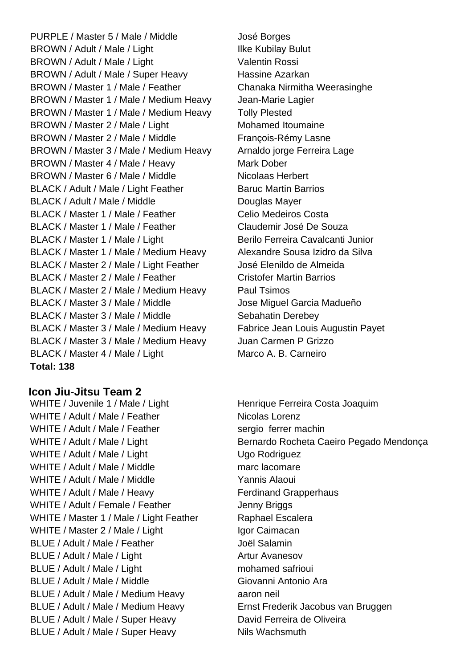PURPLE / Master 5 / Male / Middle José Borges BROWN / Adult / Male / Light Ilke Kubilay Bulut BROWN / Adult / Male / Light Valentin Rossi BROWN / Adult / Male / Super Heavy Hassine Azarkan BROWN / Master 1 / Male / Feather Chanaka Nirmitha Weerasinghe BROWN / Master 1 / Male / Medium Heavy Jean-Marie Lagier BROWN / Master 1 / Male / Medium Heavy Tolly Plested BROWN / Master 2 / Male / Light Mohamed Itoumaine BROWN / Master 2 / Male / Middle François-Rémy Lasne BROWN / Master 3 / Male / Medium Heavy Arnaldo jorge Ferreira Lage BROWN / Master 4 / Male / Heavy Mark Dober BROWN / Master 6 / Male / Middle Nicolaas Herbert BLACK / Adult / Male / Light Feather Baruc Martin Barrios BLACK / Adult / Male / Middle Douglas Mayer BLACK / Master 1 / Male / Feather Celio Medeiros Costa BLACK / Master 1 / Male / Feather Claudemir José De Souza BLACK / Master 1 / Male / Light Berilo Ferreira Cavalcanti Junior BLACK / Master 1 / Male / Medium Heavy Alexandre Sousa Izidro da Silva BLACK / Master 2 / Male / Light Feather José Elenildo de Almeida BLACK / Master 2 / Male / Feather Cristofer Martin Barrios BLACK / Master 2 / Male / Medium Heavy Paul Tsimos BLACK / Master 3 / Male / Middle Jose Miguel Garcia Madueño BLACK / Master 3 / Male / Middle Sebahatin Derebey BLACK / Master 3 / Male / Medium Heavy Fabrice Jean Louis Augustin Payet BLACK / Master 3 / Male / Medium Heavy Juan Carmen P Grizzo BLACK / Master 4 / Male / Light Marco A. B. Carneiro **Total: 138**

**Icon Jiu-Jitsu Team 2**

WHITE / Juvenile 1 / Male / Light Henrique Ferreira Costa Joaquim WHITE / Adult / Male / Feather Nicolas Lorenz WHITE / Adult / Male / Feather sergio ferrer machin WHITE / Adult / Male / Light Ugo Rodriguez WHITE / Adult / Male / Middle marc lacomare WHITE / Adult / Male / Middle Yannis Alaoui WHITE / Adult / Male / Heavy Ferdinand Grapperhaus WHITE / Adult / Female / Feather Jenny Briggs WHITE / Master 1 / Male / Light Feather Raphael Escalera WHITE / Master 2 / Male / Light Igor Caimacan BLUE / Adult / Male / Feather Joël Salamin BLUE / Adult / Male / Light Artur Avanesov BLUE / Adult / Male / Light mohamed safrioui BLUE / Adult / Male / Middle Giovanni Antonio Ara BLUE / Adult / Male / Medium Heavy aaron neil BLUE / Adult / Male / Medium Heavy Ernst Frederik Jacobus van Bruggen BLUE / Adult / Male / Super Heavy David Ferreira de Oliveira BLUE / Adult / Male / Super Heavy Nils Wachsmuth

WHITE / Adult / Male / Light Bernardo Rocheta Caeiro Pegado Mendonça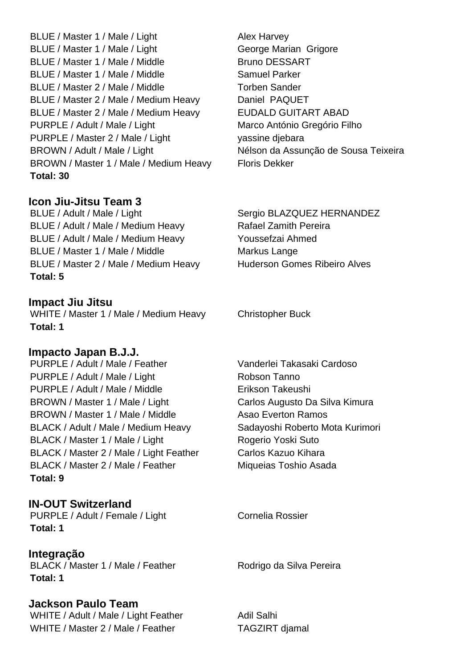BLUE / Master 1 / Male / Light Alex Harvey BLUE / Master 1 / Male / Light George Marian Grigore BLUE / Master 1 / Male / Middle Bruno DESSART BLUE / Master 1 / Male / Middle Samuel Parker BLUE / Master 2 / Male / Middle Torben Sander BLUE / Master 2 / Male / Medium Heavy Daniel PAQUET BLUE / Master 2 / Male / Medium Heavy EUDALD GUITART ABAD PURPLE / Adult / Male / Light Marco António Gregório Filho PURPLE / Master 2 / Male / Light yassine diebara BROWN / Adult / Male / Light Nélson da Assunção de Sousa Teixeira BROWN / Master 1 / Male / Medium Heavy Floris Dekker **Total: 30**

# **Icon Jiu-Jitsu Team 3**

BLUE / Adult / Male / Light Sergio BLAZQUEZ HERNANDEZ BLUE / Adult / Male / Medium Heavy Rafael Zamith Pereira BLUE / Adult / Male / Medium Heavy Youssefzai Ahmed BLUE / Master 1 / Male / Middle Markus Lange BLUE / Master 2 / Male / Medium Heavy Huderson Gomes Ribeiro Alves **Total: 5**

### **Impact Jiu Jitsu**

WHITE / Master 1 / Male / Medium Heavy Christopher Buck **Total: 1**

# **Impacto Japan B.J.J.**

PURPLE / Adult / Male / Feather Vanderlei Takasaki Cardoso PURPLE / Adult / Male / Light Robson Tanno PURPLE / Adult / Male / Middle Erikson Takeushi BROWN / Master 1 / Male / Light Carlos Augusto Da Silva Kimura BROWN / Master 1 / Male / Middle Asao Everton Ramos BLACK / Adult / Male / Medium Heavy Sadayoshi Roberto Mota Kurimori BLACK / Master 1 / Male / Light Rogerio Yoski Suto BLACK / Master 2 / Male / Light Feather Carlos Kazuo Kihara BLACK / Master 2 / Male / Feather Miqueias Toshio Asada **Total: 9**

# **IN-OUT Switzerland**

PURPLE / Adult / Female / Light Cornelia Rossier **Total: 1**

# **Integração**

BLACK / Master 1 / Male / Feather Rodrigo da Silva Pereira **Total: 1**

# **Jackson Paulo Team**

WHITE / Adult / Male / Light Feather Adil Salhi WHITE / Master 2 / Male / Feather TAGZIRT djamal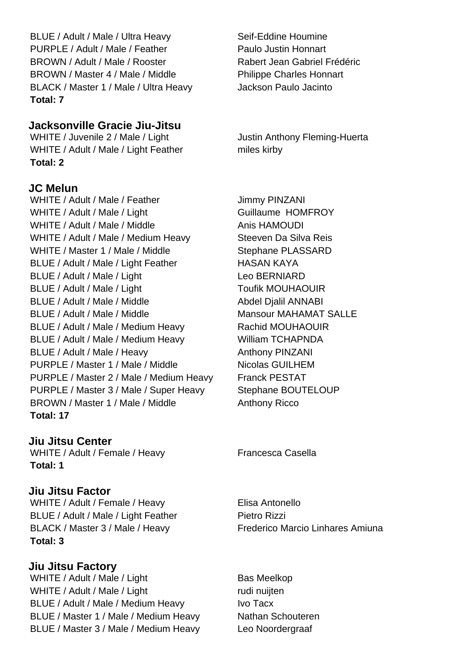BLUE / Adult / Male / Ultra Heavy Seif-Eddine Houmine PURPLE / Adult / Male / Feather Paulo Justin Honnart BROWN / Adult / Male / Rooster Rabert Jean Gabriel Frédéric BROWN / Master 4 / Male / Middle Philippe Charles Honnart BLACK / Master 1 / Male / Ultra Heavy Jackson Paulo Jacinto **Total: 7**

#### **Jacksonville Gracie Jiu-Jitsu**

WHITE / Juvenile 2 / Male / Light Justin Anthony Fleming-Huerta WHITE / Adult / Male / Light Feather miles kirby **Total: 2**

### **JC Melun**

WHITE / Adult / Male / Feather Jimmy PINZANI WHITE / Adult / Male / Light Guillaume HOMFROY WHITE / Adult / Male / Middle Anis HAMOUDI WHITE / Adult / Male / Medium Heavy Steeven Da Silva Reis WHITE / Master 1 / Male / Middle Stephane PLASSARD BLUE / Adult / Male / Light Feather HASAN KAYA BLUE / Adult / Male / Light Leo BERNIARD BLUE / Adult / Male / Light Toufik MOUHAOUIR BLUE / Adult / Male / Middle Abdel Dialil ANNABI BLUE / Adult / Male / Middle Mansour MAHAMAT SALLE BLUE / Adult / Male / Medium Heavy Rachid MOUHAOUIR BLUE / Adult / Male / Medium Heavy William TCHAPNDA BLUE / Adult / Male / Heavy Anthony PINZANI PURPLE / Master 1 / Male / Middle Nicolas GUILHEM PURPLE / Master 2 / Male / Medium Heavy Franck PESTAT PURPLE / Master 3 / Male / Super Heavy Stephane BOUTELOUP BROWN / Master 1 / Male / Middle Anthony Ricco **Total: 17**

**Jiu Jitsu Center** WHITE / Adult / Female / Heavy Francesca Casella **Total: 1**

#### **Jiu Jitsu Factor**

WHITE / Adult / Female / Heavy Elisa Antonello BLUE / Adult / Male / Light Feather Pietro Rizzi BLACK / Master 3 / Male / Heavy Frederico Marcio Linhares Amiuna **Total: 3**

**Jiu Jitsu Factory** WHITE / Adult / Male / Light Bas Meelkop WHITE / Adult / Male / Light rudi nuijten BLUE / Adult / Male / Medium Heavy Ivo Tacx BLUE / Master 1 / Male / Medium Heavy Nathan Schouteren BLUE / Master 3 / Male / Medium Heavy Leo Noordergraaf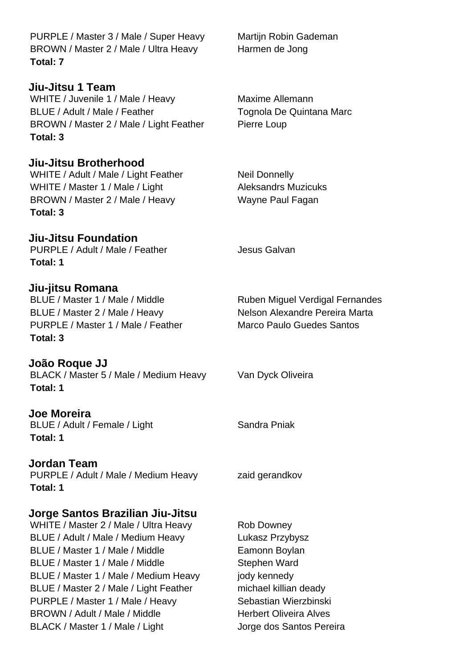**Jiu-Jitsu Brotherhood Jiu-Jitsu Foundation Joe Moreira Jordan Team Jorge Santos Brazilian Jiu-Jitsu** WHITE / Juvenile 1 / Male / Heavy Maxime Allemann BLUE / Adult / Male / Feather Tognola De Quintana Marc BROWN / Master 2 / Male / Light Feather Pierre Loup WHITE / Adult / Male / Light Feather Neil Donnelly WHITE / Master 1 / Male / Light Aleksandrs Muzicuks BROWN / Master 2 / Male / Heavy Wayne Paul Fagan **Total: 3** PURPLE / Adult / Male / Feather Jesus Galvan BLUE / Master 1 / Male / Middle Ruben Miquel Verdigal Fernandes BLUE / Master 2 / Male / Heavy Nelson Alexandre Pereira Marta PURPLE / Master 1 / Male / Feather Marco Paulo Guedes Santos BLACK / Master 5 / Male / Medium Heavy Van Dyck Oliveira BLUE / Adult / Female / Light Sandra Pniak PURPLE / Adult / Male / Medium Heavy zaid gerandkov WHITE / Master 2 / Male / Ultra Heavy Rob Downey BLUE / Adult / Male / Medium Heavy Lukasz Przybysz BLUE / Master 1 / Male / Middle Eamonn Boylan BLUE / Master 1 / Male / Middle Stephen Ward BLUE / Master 1 / Male / Medium Heavy jody kennedy BLUE / Master 2 / Male / Light Feather michael killian deady PURPLE / Master 1 / Male / Heavy Sebastian Wierzbinski

PURPLE / Master 3 / Male / Super Heavy Martijn Robin Gademan BROWN / Master 2 / Male / Ultra Heavy Harmen de Jong **Total: 7**

**Jiu-Jitsu 1 Team**

**Total: 3**

**Total: 1**

# **Jiu-jitsu Romana**

**Total: 3**

**João Roque JJ**

**Total: 1**

**Total: 1**

**Total: 1**

BROWN / Adult / Male / Middle Herbert Oliveira Alves BLACK / Master 1 / Male / Light Jorge dos Santos Pereira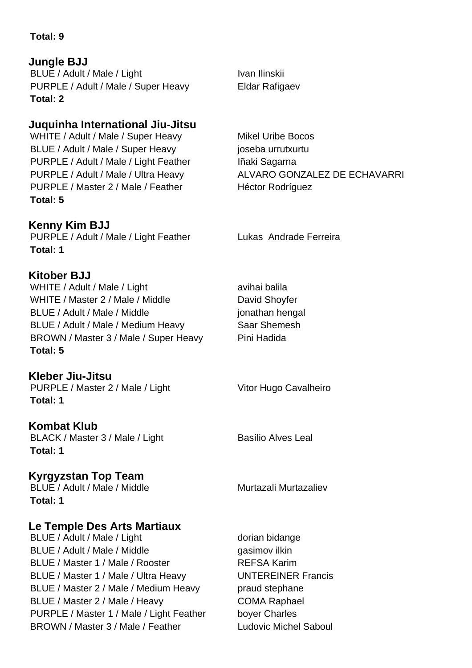### **Total: 9**

# **Jungle BJJ**

BLUE / Adult / Male / Light Ivan Ilinskii PURPLE / Adult / Male / Super Heavy Eldar Rafigaev **Total: 2**

# **Juquinha International Jiu-Jitsu**

WHITE / Adult / Male / Super Heavy Mikel Uribe Bocos BLUE / Adult / Male / Super Heavy joseba urrutxurtu PURPLE / Adult / Male / Light Feather Iñaki Sagarna PURPLE / Master 2 / Male / Feather Héctor Rodríguez **Total: 5**

# **Kenny Kim BJJ**

PURPLE / Adult / Male / Light Feather Lukas Andrade Ferreira **Total: 1**

# **Kitober BJJ**

WHITE / Adult / Male / Light and avihai balila WHITE / Master 2 / Male / Middle David Shovfer BLUE / Adult / Male / Middle in the setting of position of the parallel in the setting of the setting of the setting of the setting of the setting of the setting of the setting of the setting of the setting of the setting BLUE / Adult / Male / Medium Heavy Saar Shemesh BROWN / Master 3 / Male / Super Heavy Pini Hadida **Total: 5**

**Kleber Jiu-Jitsu** PURPLE / Master 2 / Male / Light Vitor Hugo Cavalheiro **Total: 1**

# **Kombat Klub**

BLACK / Master 3 / Male / Light Basílio Alves Leal **Total: 1**

# **Kyrgyzstan Top Team**

BLUE / Adult / Male / Middle Murtazali Murtazaliev **Total: 1**

# **Le Temple Des Arts Martiaux**

BLUE / Adult / Male / Light dorian bidange BLUE / Adult / Male / Middle gasimov ilkin BLUE / Master 1 / Male / Rooster REFSA Karim BLUE / Master 1 / Male / Ultra Heavy UNTEREINER Francis BLUE / Master 2 / Male / Medium Heavy praud stephane BLUE / Master 2 / Male / Heavy COMA Raphael PURPLE / Master 1 / Male / Light Feather boyer Charles BROWN / Master 3 / Male / Feather Ludovic Michel Saboul

PURPLE / Adult / Male / Ultra Heavy ALVARO GONZALEZ DE ECHAVARRI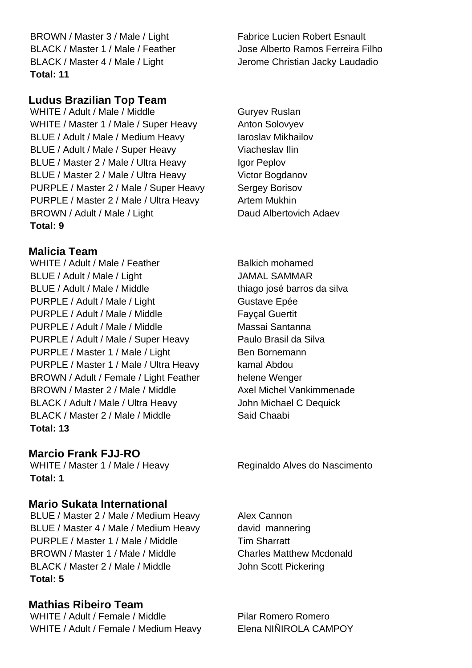BROWN / Master 3 / Male / Light Fabrice Lucien Robert Esnault BLACK / Master 1 / Male / Feather Jose Alberto Ramos Ferreira Filho BLACK / Master 4 / Male / Light Jerome Christian Jacky Laudadio **Total: 11**

# **Ludus Brazilian Top Team**

WHITE / Adult / Male / Middle Guryev Ruslan WHITE / Master 1 / Male / Super Heavy Anton Solovyev BLUE / Adult / Male / Medium Heavy Iaroslav Mikhailov BLUE / Adult / Male / Super Heavy Viacheslav Ilin BLUE / Master 2 / Male / Ultra Heavy Igor Peplov BLUE / Master 2 / Male / Ultra Heavy Victor Bogdanov PURPLE / Master 2 / Male / Super Heavy Sergey Borisov PURPLE / Master 2 / Male / Ultra Heavy Artem Mukhin BROWN / Adult / Male / Light Daud Albertovich Adaev **Total: 9**

### **Malicia Team**

WHITE / Adult / Male / Feather Balkich mohamed BLUE / Adult / Male / Light JAMAL SAMMAR BLUE / Adult / Male / Middle thiago josé barros da silva PURPLE / Adult / Male / Light Gustave Epée PURPLE / Adult / Male / Middle Faycal Guertit PURPLE / Adult / Male / Middle Massai Santanna PURPLE / Adult / Male / Super Heavy Paulo Brasil da Silva PURPLE / Master 1 / Male / Light Ben Bornemann PURPLE / Master 1 / Male / Ultra Heavy kamal Abdou BROWN / Adult / Female / Light Feather helene Wenger BROWN / Master 2 / Male / Middle Axel Michel Vankimmenade BLACK / Adult / Male / Ultra Heavy John Michael C Dequick BLACK / Master 2 / Male / Middle Said Chaabi **Total: 13**

# **Marcio Frank FJJ-RO**

**Total: 1**

# **Mario Sukata International**

BLUE / Master 2 / Male / Medium Heavy Alex Cannon BLUE / Master 4 / Male / Medium Heavy david mannering PURPLE / Master 1 / Male / Middle Tim Sharratt BROWN / Master 1 / Male / Middle Charles Matthew Mcdonald BLACK / Master 2 / Male / Middle John Scott Pickering **Total: 5**

# **Mathias Ribeiro Team**

WHITE / Adult / Female / Middle Pilar Romero Romero WHITE / Adult / Female / Medium Heavy Elena NIÑIROLA CAMPOY

WHITE / Master 1 / Male / Heavy Reginaldo Alves do Nascimento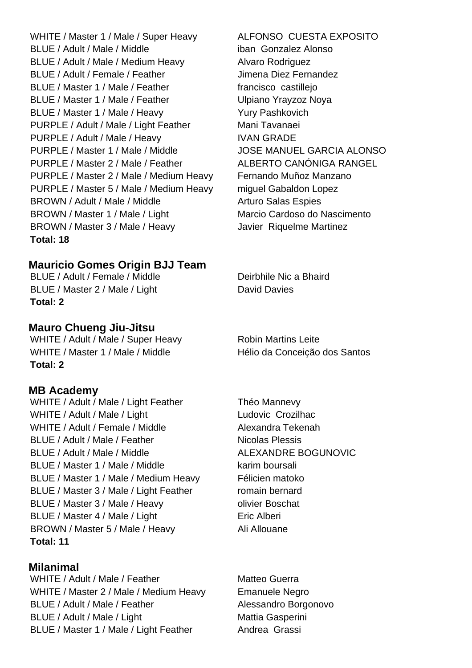WHITE / Master 1 / Male / Super Heavy ALFONSO CUESTA EXPOSITO BLUE / Adult / Male / Middle iban Gonzalez Alonso BLUE / Adult / Male / Medium Heavy Alvaro Rodriguez BLUE / Adult / Female / Feather Jimena Diez Fernandez BLUE / Master 1 / Male / Feather francisco castillejo BLUE / Master 1 / Male / Feather Ulpiano Yrayzoz Noya BLUE / Master 1 / Male / Heavy Yury Pashkovich PURPLE / Adult / Male / Light Feather Mani Tavanaei PURPLE / Adult / Male / Heavy IVAN GRADE PURPLE / Master 1 / Male / Middle JOSE MANUEL GARCIA ALONSO PURPLE / Master 2 / Male / Feather ALBERTO CANÓNIGA RANGEL PURPLE / Master 2 / Male / Medium Heavy Fernando Muñoz Manzano PURPLE / Master 5 / Male / Medium Heavy miguel Gabaldon Lopez BROWN / Adult / Male / Middle Arturo Salas Espies BROWN / Master 1 / Male / Light Marcio Cardoso do Nascimento BROWN / Master 3 / Male / Heavy Javier Riquelme Martinez **Total: 18**

### **Mauricio Gomes Origin BJJ Team**

BLUE / Adult / Female / Middle Deirbhile Nic a Bhaird BLUE / Master 2 / Male / Light David Davies **Total: 2**

# **Mauro Chueng Jiu-Jitsu**

WHITE / Adult / Male / Super Heavy Robin Martins Leite WHITE / Master 1 / Male / Middle Hélio da Conceição dos Santos **Total: 2**

#### **MB Academy**

WHITE / Adult / Male / Light Feather Théo Mannevy WHITE / Adult / Male / Light Ludovic Crozilhac WHITE / Adult / Female / Middle Alexandra Tekenah BLUE / Adult / Male / Feather Nicolas Plessis BLUE / Adult / Male / Middle ALEXANDRE BOGUNOVIC BLUE / Master 1 / Male / Middle karim boursali BLUE / Master 1 / Male / Medium Heavy Félicien matoko BLUE / Master 3 / Male / Light Feather romain bernard BLUE / Master 3 / Male / Heavy olivier Boschat BLUE / Master 4 / Male / Light Eric Alberi BROWN / Master 5 / Male / Heavy Ali Allouane **Total: 11**

**Milanimal** WHITE / Adult / Male / Feather Matteo Guerra WHITE / Master 2 / Male / Medium Heavy Emanuele Negro BLUE / Adult / Male / Feather Alessandro Borgonovo BLUE / Adult / Male / Light Mattia Gasperini BLUE / Master 1 / Male / Light Feather Andrea Grassi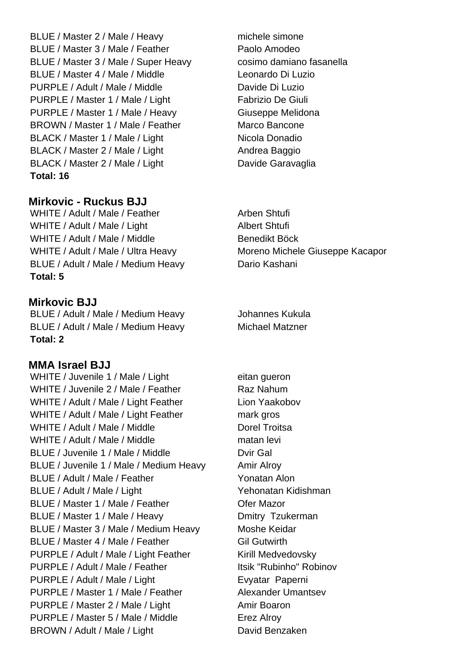BLUE / Master 2 / Male / Heavy michele simone BLUE / Master 3 / Male / Feather Paolo Amodeo BLUE / Master 3 / Male / Super Heavy cosimo damiano fasanella BLUE / Master 4 / Male / Middle Leonardo Di Luzio PURPLE / Adult / Male / Middle Davide Di Luzio PURPLE / Master 1 / Male / Light Fabrizio De Giuli PURPLE / Master 1 / Male / Heavy Giuseppe Melidona BROWN / Master 1 / Male / Feather Marco Bancone BLACK / Master 1 / Male / Light Nicola Donadio BLACK / Master 2 / Male / Light Andrea Baggio BLACK / Master 2 / Male / Light Davide Garavaglia **Total: 16**

#### **Mirkovic - Ruckus BJJ**

WHITE / Adult / Male / Feather Arben Shtufi WHITE / Adult / Male / Light Albert Shtufi WHITE / Adult / Male / Middle Benedikt Böck WHITE / Adult / Male / Ultra Heavy Moreno Michele Giuseppe Kacapor BLUE / Adult / Male / Medium Heavy Dario Kashani **Total: 5**

#### **Mirkovic BJJ**

BLUE / Adult / Male / Medium Heavy Johannes Kukula BLUE / Adult / Male / Medium Heavy Michael Matzner **Total: 2**

# **MMA Israel BJJ**

WHITE / Juvenile 1 / Male / Light eitan gueron WHITE / Juvenile 2 / Male / Feather Raz Nahum WHITE / Adult / Male / Light Feather Lion Yaakobov WHITE / Adult / Male / Light Feather mark gros WHITE / Adult / Male / Middle Dorel Troitsa WHITE / Adult / Male / Middle matan levi BLUE / Juvenile 1 / Male / Middle Dvir Gal BLUE / Juvenile 1 / Male / Medium Heavy Amir Alroy BLUE / Adult / Male / Feather Yonatan Alon BLUE / Adult / Male / Light Yehonatan Kidishman BLUE / Master 1 / Male / Feather **Canadian Care Mazor** BLUE / Master 1 / Male / Heavy Dmitry Tzukerman BLUE / Master 3 / Male / Medium Heavy Moshe Keidar BLUE / Master 4 / Male / Feather Gil Gutwirth PURPLE / Adult / Male / Light Feather Kirill Medvedovsky PURPLE / Adult / Male / Feather Itsik "Rubinho" Robinov PURPLE / Adult / Male / Light **Evyatar Paperni** PURPLE / Master 1 / Male / Feather Alexander Umantsev PURPLE / Master 2 / Male / Light Amir Boaron PURPLE / Master 5 / Male / Middle Erez Alroy BROWN / Adult / Male / Light David Benzaken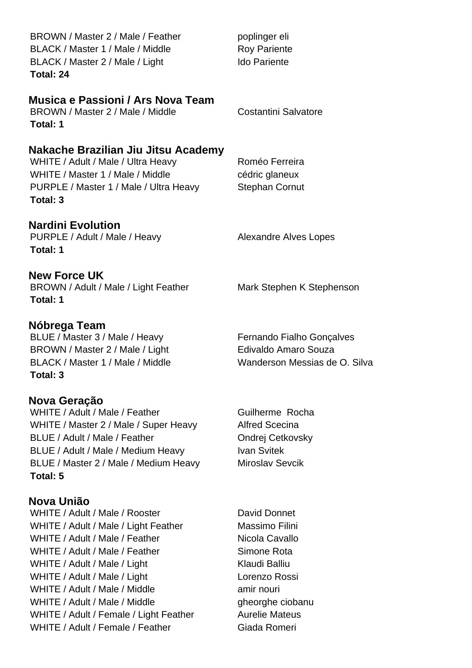| BROWN / Master 2 / Male / Feather<br>BLACK / Master 1 / Male / Middle<br>BLACK / Master 2 / Male / Light<br>Total: 24                                                                                                                                                                                                                | poplinger eli<br><b>Roy Pariente</b><br><b>Ido Pariente</b>                                                                                                  |
|--------------------------------------------------------------------------------------------------------------------------------------------------------------------------------------------------------------------------------------------------------------------------------------------------------------------------------------|--------------------------------------------------------------------------------------------------------------------------------------------------------------|
| Musica e Passioni / Ars Nova Team<br>BROWN / Master 2 / Male / Middle<br>Total: 1                                                                                                                                                                                                                                                    | <b>Costantini Salvatore</b>                                                                                                                                  |
| Nakache Brazilian Jiu Jitsu Academy<br>WHITE / Adult / Male / Ultra Heavy<br>WHITE / Master 1 / Male / Middle<br>PURPLE / Master 1 / Male / Ultra Heavy<br>Total: 3                                                                                                                                                                  | Roméo Ferreira<br>cédric glaneux<br><b>Stephan Cornut</b>                                                                                                    |
| <b>Nardini Evolution</b><br>PURPLE / Adult / Male / Heavy<br>Total: 1                                                                                                                                                                                                                                                                | <b>Alexandre Alves Lopes</b>                                                                                                                                 |
| <b>New Force UK</b><br>BROWN / Adult / Male / Light Feather<br>Total: 1                                                                                                                                                                                                                                                              | Mark Stephen K Stephenson                                                                                                                                    |
| Nóbrega Team<br>BLUE / Master 3 / Male / Heavy<br>BROWN / Master 2 / Male / Light<br>BLACK / Master 1 / Male / Middle<br>Total: 3                                                                                                                                                                                                    | Fernando Fialho Gonçalves<br>Edivaldo Amaro Souza<br>Wanderson Messias de O. Silva                                                                           |
| Nova Geração<br>WHITE / Adult / Male / Feather<br>WHITE / Master 2 / Male / Super Heavy<br>BLUE / Adult / Male / Feather<br>BLUE / Adult / Male / Medium Heavy<br>BLUE / Master 2 / Male / Medium Heavy<br>Total: 5                                                                                                                  | Guilherme Rocha<br><b>Alfred Scecina</b><br>Ondrej Cetkovsky<br><b>Ivan Svitek</b><br><b>Miroslav Sevcik</b>                                                 |
| Nova União<br>WHITE / Adult / Male / Rooster<br>WHITE / Adult / Male / Light Feather<br>WHITE / Adult / Male / Feather<br>WHITE / Adult / Male / Feather<br>WHITE / Adult / Male / Light<br>WHITE / Adult / Male / Light<br>WHITE / Adult / Male / Middle<br>WHITE / Adult / Male / Middle<br>WHITE / Adult / Female / Light Feather | David Donnet<br>Massimo Filini<br>Nicola Cavallo<br>Simone Rota<br>Klaudi Balliu<br>Lorenzo Rossi<br>amir nouri<br>gheorghe ciobanu<br><b>Aurelie Mateus</b> |

WHITE / Adult / Female / Feather Giada Romeri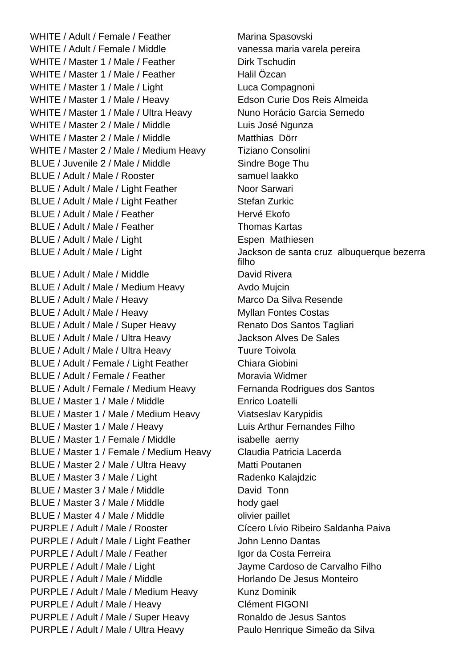WHITE / Adult / Female / Feather Marina Spasovski WHITE / Adult / Female / Middle vanessa maria varela pereira WHITE / Master 1 / Male / Feather Dirk Tschudin WHITE / Master 1 / Male / Feather Halil Özcan WHITE / Master 1 / Male / Light Luca Compagnoni WHITE / Master 1 / Male / Heavy Edson Curie Dos Reis Almeida WHITE / Master 1 / Male / Ultra Heavy Nuno Horácio Garcia Semedo WHITE / Master 2 / Male / Middle Luis José Ngunza WHITE / Master 2 / Male / Middle Matthias Dörr WHITE / Master 2 / Male / Medium Heavy Tiziano Consolini BLUE / Juvenile 2 / Male / Middle Sindre Boge Thu BLUE / Adult / Male / Rooster samuel laakko BLUE / Adult / Male / Light Feather Noor Sarwari BLUE / Adult / Male / Light Feather Stefan Zurkic BLUE / Adult / Male / Feather Hervé Ekofo BLUE / Adult / Male / Feather Thomas Kartas BLUE / Adult / Male / Light **Espen Mathiesen** BLUE / Adult / Male / Middle **David Rivera** BLUE / Adult / Male / Medium Heavy Avdo Mujcin BLUE / Adult / Male / Heavy Marco Da Silva Resende BLUE / Adult / Male / Heavy Myllan Fontes Costas BLUE / Adult / Male / Super Heavy Renato Dos Santos Tagliari BLUE / Adult / Male / Ultra Heavy Jackson Alves De Sales BLUE / Adult / Male / Ultra Heavy Tuure Toivola BLUE / Adult / Female / Light Feather Chiara Giobini BLUE / Adult / Female / Feather Moravia Widmer BLUE / Adult / Female / Medium Heavy Fernanda Rodrigues dos Santos BLUE / Master 1 / Male / Middle Enrico Loatelli BLUE / Master 1 / Male / Medium Heavy Viatseslav Karypidis BLUE / Master 1 / Male / Heavy Luis Arthur Fernandes Filho BLUE / Master 1 / Female / Middle isabelle aerny BLUE / Master 1 / Female / Medium Heavy Claudia Patricia Lacerda BLUE / Master 2 / Male / Ultra Heavy Matti Poutanen BLUE / Master 3 / Male / Light Radenko Kalajdzic BLUE / Master 3 / Male / Middle David Tonn BLUE / Master 3 / Male / Middle hody gael BLUE / Master 4 / Male / Middle **compailled** olivier paillet PURPLE / Adult / Male / Rooster Cícero Lívio Ribeiro Saldanha Paiva PURPLE / Adult / Male / Light Feather John Lenno Dantas PURPLE / Adult / Male / Feather Igor da Costa Ferreira PURPLE / Adult / Male / Light Jayme Cardoso de Carvalho Filho PURPLE / Adult / Male / Middle Horlando De Jesus Monteiro PURPLE / Adult / Male / Medium Heavy Kunz Dominik PURPLE / Adult / Male / Heavy Clément FIGONI PURPLE / Adult / Male / Super Heavy Ronaldo de Jesus Santos PURPLE / Adult / Male / Ultra Heavy Paulo Henrique Simeão da Silva

BLUE / Adult / Male / Light Jackson de santa cruz albuquerque bezerra filho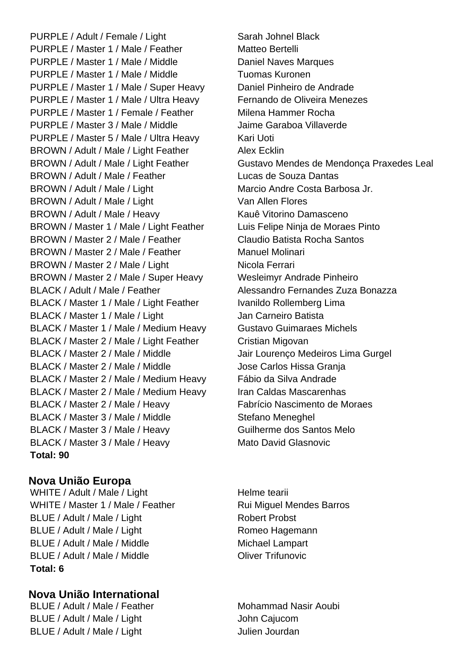PURPLE / Adult / Female / Light Sarah Johnel Black PURPLE / Master 1 / Male / Feather Matteo Bertelli PURPLE / Master 1 / Male / Middle Daniel Naves Marques PURPLE / Master 1 / Male / Middle Tuomas Kuronen PURPLE / Master 1 / Male / Super Heavy Daniel Pinheiro de Andrade PURPLE / Master 1 / Male / Ultra Heavy Fernando de Oliveira Menezes PURPLE / Master 1 / Female / Feather Milena Hammer Rocha PURPLE / Master 3 / Male / Middle Jaime Garaboa Villaverde PURPLE / Master 5 / Male / Ultra Heavy Kari Uoti BROWN / Adult / Male / Light Feather Alex Ecklin BROWN / Adult / Male / Feather Lucas de Souza Dantas BROWN / Adult / Male / Light Marcio Andre Costa Barbosa Jr. BROWN / Adult / Male / Light Van Allen Flores BROWN / Adult / Male / Heavy Kauê Vitorino Damasceno BROWN / Master 1 / Male / Light Feather Luis Felipe Ninja de Moraes Pinto BROWN / Master 2 / Male / Feather Claudio Batista Rocha Santos BROWN / Master 2 / Male / Feather Manuel Molinari BROWN / Master 2 / Male / Light Nicola Ferrari BROWN / Master 2 / Male / Super Heavy Wesleimyr Andrade Pinheiro BLACK / Adult / Male / Feather Alessandro Fernandes Zuza Bonazza BLACK / Master 1 / Male / Light Feather Ivanildo Rollemberg Lima BLACK / Master 1 / Male / Light Jan Carneiro Batista BLACK / Master 1 / Male / Medium Heavy Gustavo Guimaraes Michels BLACK / Master 2 / Male / Light Feather Cristian Migovan BLACK / Master 2 / Male / Middle Jair Lourenço Medeiros Lima Gurgel BLACK / Master 2 / Male / Middle Jose Carlos Hissa Granja BLACK / Master 2 / Male / Medium Heavy Fábio da Silva Andrade BLACK / Master 2 / Male / Medium Heavy Iran Caldas Mascarenhas BLACK / Master 2 / Male / Heavy Fabrício Nascimento de Moraes BLACK / Master 3 / Male / Middle Stefano Meneghel BLACK / Master 3 / Male / Heavy Guilherme dos Santos Melo BLACK / Master 3 / Male / Heavy Mato David Glasnovic **Total: 90**

# **Nova União Europa**

WHITE / Adult / Male / Light Helme tearii WHITE / Master 1 / Male / Feather Rui Miquel Mendes Barros BLUE / Adult / Male / Light Robert Probst BLUE / Adult / Male / Light Romeo Hagemann BLUE / Adult / Male / Middle Michael Lampart BLUE / Adult / Male / Middle **Calculation Coliver Trifunovic Total: 6**

# **Nova União International**

BLUE / Adult / Male / Light John Cajucom BLUE / Adult / Male / Light Julien Jourdan

BROWN / Adult / Male / Light Feather Gustavo Mendes de Mendonça Praxedes Leal

BLUE / Adult / Male / Feather Mohammad Nasir Aoubi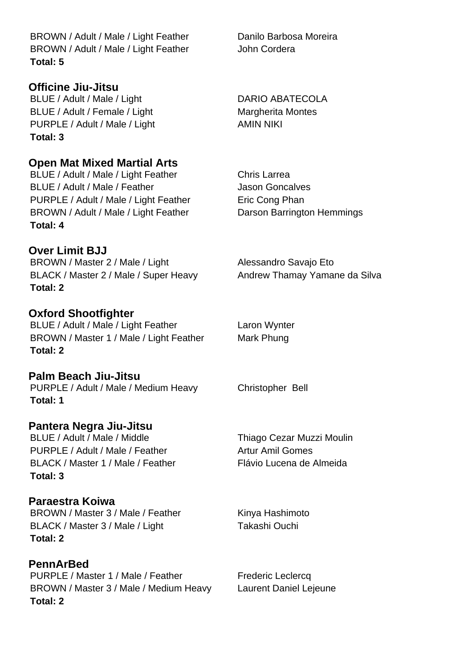BROWN / Adult / Male / Light Feather Danilo Barbosa Moreira BROWN / Adult / Male / Light Feather John Cordera **Total: 5**

### **Officine Jiu-Jitsu**

BLUE / Adult / Male / Light DARIO ABATECOLA BLUE / Adult / Female / Light Margherita Montes PURPLE / Adult / Male / Light AMIN NIKI **Total: 3**

# **Open Mat Mixed Martial Arts**

BLUE / Adult / Male / Light Feather Chris Larrea BLUE / Adult / Male / Feather Jason Goncalves PURPLE / Adult / Male / Light Feather Eric Cong Phan BROWN / Adult / Male / Light Feather Darson Barrington Hemmings **Total: 4**

# **Over Limit BJJ**

BROWN / Master 2 / Male / Light Alessandro Savajo Eto BLACK / Master 2 / Male / Super Heavy Andrew Thamay Yamane da Silva **Total: 2**

# **Oxford Shootfighter**

BLUE / Adult / Male / Light Feather Laron Wynter BROWN / Master 1 / Male / Light Feather Mark Phung **Total: 2**

### **Palm Beach Jiu-Jitsu**

PURPLE / Adult / Male / Medium Heavy Christopher Bell **Total: 1**

# **Pantera Negra Jiu-Jitsu**

BLUE / Adult / Male / Middle Thiago Cezar Muzzi Moulin PURPLE / Adult / Male / Feather Artur Amil Gomes BLACK / Master 1 / Male / Feather Flávio Lucena de Almeida **Total: 3**

# **Paraestra Koiwa**

BROWN / Master 3 / Male / Feather Kinya Hashimoto BLACK / Master 3 / Male / Light Takashi Ouchi **Total: 2**

# **PennArBed**

PURPLE / Master 1 / Male / Feather Frederic Leclercq BROWN / Master 3 / Male / Medium Heavy Laurent Daniel Lejeune **Total: 2**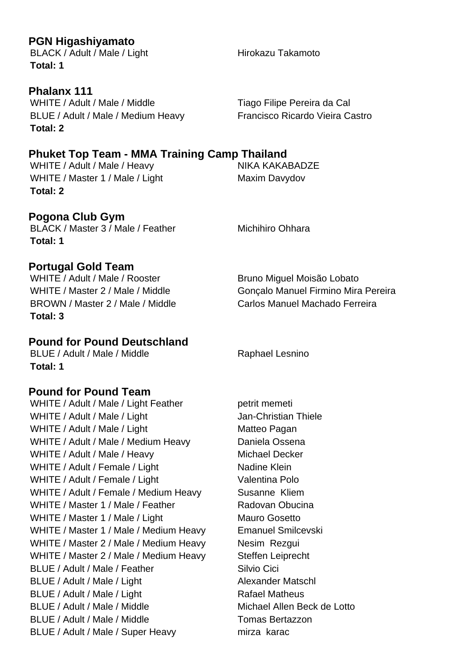### **PGN Higashiyamato**

BLACK / Adult / Male / Light Hirokazu Takamoto **Total: 1**

**Phalanx 111** WHITE / Adult / Male / Middle Tiago Filipe Pereira da Cal BLUE / Adult / Male / Medium Heavy Francisco Ricardo Vieira Castro **Total: 2**

# **Phuket Top Team - MMA Training Camp Thailand**

WHITE / Adult / Male / Heavy NIKA KAKABADZE WHITE / Master 1 / Male / Light Maxim Davydov **Total: 2**

**Pogona Club Gym** BLACK / Master 3 / Male / Feather Michihiro Ohhara **Total: 1**

**Portugal Gold Team**<br>WHITE / Adult / Male / Rooster BROWN / Master 2 / Male / Middle Carlos Manuel Machado Ferreira **Total: 3**

# **Pound for Pound Deutschland**

BLUE / Adult / Male / Middle Raphael Lesnino **Total: 1**

# **Pound for Pound Team**

WHITE / Adult / Male / Light Feather petrit memeti WHITE / Adult / Male / Light Jan-Christian Thiele WHITE / Adult / Male / Light Matteo Pagan WHITE / Adult / Male / Medium Heavy Daniela Ossena WHITE / Adult / Male / Heavy Michael Decker WHITE / Adult / Female / Light Nadine Klein WHITE / Adult / Female / Light Valentina Polo WHITE / Adult / Female / Medium Heavy Susanne Kliem WHITE / Master 1 / Male / Feather Radovan Obucina WHITE / Master 1 / Male / Light Mauro Gosetto WHITE / Master 1 / Male / Medium Heavy Emanuel Smilcevski WHITE / Master 2 / Male / Medium Heavy Nesim Rezgui WHITE / Master 2 / Male / Medium Heavy Steffen Leiprecht BLUE / Adult / Male / Feather Silvio Cici BLUE / Adult / Male / Light Alexander Matschl BLUE / Adult / Male / Light Rafael Matheus BLUE / Adult / Male / Middle Michael Allen Beck de Lotto BLUE / Adult / Male / Middle The Tomas Bertazzon BLUE / Adult / Male / Super Heavy mirza karac

Bruno Miguel Moisão Lobato WHITE / Master 2 / Male / Middle Goncalo Manuel Firmino Mira Pereira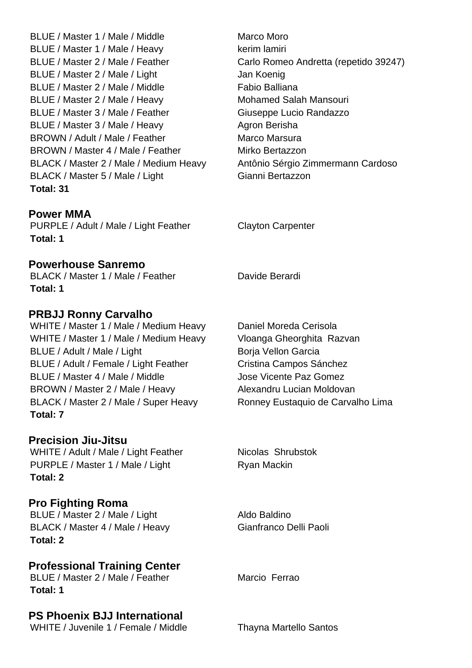BLUE / Master 1 / Male / Middle Marco Moro BLUE / Master 1 / Male / Heavy kerim lamiri BLUE / Master 2 / Male / Feather Carlo Romeo Andretta (repetido 39247) BLUE / Master 2 / Male / Light Jan Koenig BLUE / Master 2 / Male / Middle Fabio Balliana BLUE / Master 2 / Male / Heavy Mohamed Salah Mansouri BLUE / Master 3 / Male / Feather Giuseppe Lucio Randazzo BLUE / Master 3 / Male / Heavy Agron Berisha BROWN / Adult / Male / Feather Marco Marsura BROWN / Master 4 / Male / Feather Mirko Bertazzon BLACK / Master 2 / Male / Medium Heavy Antônio Sérgio Zimmermann Cardoso BLACK / Master 5 / Male / Light Gianni Bertazzon **Total: 31**

#### **Power MMA**

PURPLE / Adult / Male / Light Feather Clayton Carpenter **Total: 1**

#### **Powerhouse Sanremo**

BLACK / Master 1 / Male / Feather Davide Berardi **Total: 1**

# **PRBJJ Ronny Carvalho**

WHITE / Master 1 / Male / Medium Heavy Daniel Moreda Cerisola WHITE / Master 1 / Male / Medium Heavy Vloanga Gheorghita Razvan BLUE / Adult / Male / Light Borja Vellon Garcia BLUE / Adult / Female / Light Feather Cristina Campos Sánchez BLUE / Master 4 / Male / Middle Jose Vicente Paz Gomez BROWN / Master 2 / Male / Heavy Alexandru Lucian Moldovan BLACK / Master 2 / Male / Super Heavy Ronney Eustaquio de Carvalho Lima **Total: 7**

# **Precision Jiu-Jitsu**

WHITE / Adult / Male / Light Feather Nicolas Shrubstok PURPLE / Master 1 / Male / Light Ryan Mackin **Total: 2**

# **Pro Fighting Roma**

BLUE / Master 2 / Male / Light Aldo Baldino BLACK / Master 4 / Male / Heavy Gianfranco Delli Paoli **Total: 2**

# **Professional Training Center**

BLUE / Master 2 / Male / Feather Marcio Ferrao **Total: 1**

# **PS Phoenix BJJ International**

WHITE / Juvenile 1 / Female / Middle Thayna Martello Santos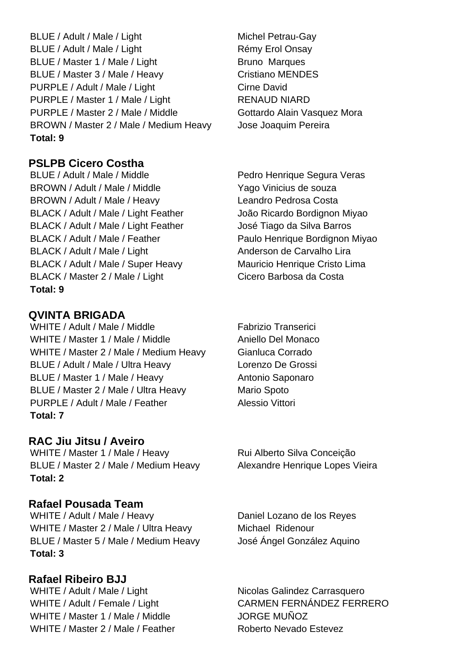BLUE / Adult / Male / Light Michel Petrau-Gay BLUE / Adult / Male / Light Rémy Erol Onsay BLUE / Master 1 / Male / Light Bruno Marques BLUE / Master 3 / Male / Heavy Cristiano MENDES PURPLE / Adult / Male / Light Cirne David PURPLE / Master 1 / Male / Light RENAUD NIARD PURPLE / Master 2 / Male / Middle Gottardo Alain Vasquez Mora BROWN / Master 2 / Male / Medium Heavy Jose Joaquim Pereira **Total: 9**

**PSLPB Cicero Costha**

BLUE / Adult / Male / Middle Pedro Henrique Segura Veras BROWN / Adult / Male / Middle Yago Vinicius de souza BROWN / Adult / Male / Heavy Leandro Pedrosa Costa BLACK / Adult / Male / Light Feather João Ricardo Bordignon Miyao BLACK / Adult / Male / Light Feather José Tiago da Silva Barros BLACK / Adult / Male / Feather Paulo Henrique Bordignon Miyao BLACK / Adult / Male / Light Anderson de Carvalho Lira BLACK / Adult / Male / Super Heavy Mauricio Henrique Cristo Lima BLACK / Master 2 / Male / Light Cicero Barbosa da Costa **Total: 9**

# **QVINTA BRIGADA**

WHITE / Adult / Male / Middle Fabrizio Transerici WHITE / Master 1 / Male / Middle Aniello Del Monaco WHITE / Master 2 / Male / Medium Heavy Gianluca Corrado BLUE / Adult / Male / Ultra Heavy Lorenzo De Grossi BLUE / Master 1 / Male / Heavy Antonio Saponaro BLUE / Master 2 / Male / Ultra Heavy Mario Spoto PURPLE / Adult / Male / Feather Alessio Vittori **Total: 7**

# **RAC Jiu Jitsu / Aveiro**

WHITE / Master 1 / Male / Heavy Rui Alberto Silva Conceição BLUE / Master 2 / Male / Medium Heavy Alexandre Henrique Lopes Vieira **Total: 2**

# **Rafael Pousada Team**

WHITE / Adult / Male / Heavy Daniel Lozano de los Reyes WHITE / Master 2 / Male / Ultra Heavy Michael Ridenour BLUE / Master 5 / Male / Medium Heavy José Ángel González Aquino **Total: 3**

# **Rafael Ribeiro BJJ**

WHITE / Master 1 / Male / Middle JORGE MUÑOZ WHITE / Master 2 / Male / Feather Roberto Nevado Estevez

WHITE / Adult / Male / Light Nicolas Galindez Carrasquero WHITE / Adult / Female / Light CARMEN FERNÁNDEZ FERRERO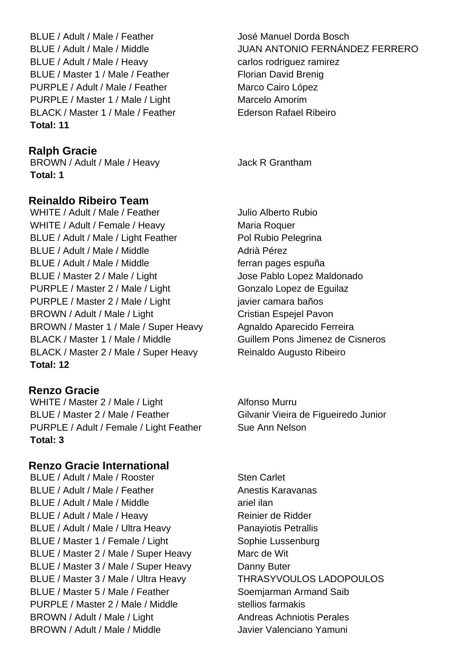BLUE / Adult / Male / Feather José Manuel Dorda Bosch BLUE / Adult / Male / Heavy carlos rodriguez ramirez BLUE / Master 1 / Male / Feather Florian David Brenig PURPLE / Adult / Male / Feather Marco Cairo López PURPLE / Master 1 / Male / Light Marcelo Amorim BLACK / Master 1 / Male / Feather Ederson Rafael Ribeiro **Total: 11**

# **Ralph Gracie**

BROWN / Adult / Male / Heavy Jack R Grantham **Total: 1**

#### **Reinaldo Ribeiro Team**

WHITE / Adult / Male / Feather Julio Alberto Rubio WHITE / Adult / Female / Heavy Maria Roquer BLUE / Adult / Male / Light Feather Pol Rubio Pelegrina BLUE / Adult / Male / Middle Adrià Pérez BLUE / Adult / Male / Middle ferran pages espuña BLUE / Master 2 / Male / Light Jose Pablo Lopez Maldonado PURPLE / Master 2 / Male / Light Gonzalo Lopez de Eguilaz PURPLE / Master 2 / Male / Light javier camara baños BROWN / Adult / Male / Light Cristian Espejel Pavon BROWN / Master 1 / Male / Super Heavy Agnaldo Aparecido Ferreira BLACK / Master 1 / Male / Middle Guillem Pons Jimenez de Cisneros BLACK / Master 2 / Male / Super Heavy Reinaldo Augusto Ribeiro **Total: 12**

# **Renzo Gracie**

WHITE / Master 2 / Male / Light Alfonso Murru BLUE / Master 2 / Male / Feather Gilvanir Vieira de Figueiredo Junior PURPLE / Adult / Female / Light Feather Sue Ann Nelson **Total: 3**

### **Renzo Gracie International**

BLUE / Adult / Male / Rooster Sten Carlet BLUE / Adult / Male / Feather Anestis Karavanas BLUE / Adult / Male / Middle ariel ilan BLUE / Adult / Male / Heavy Reinier de Ridder BLUE / Adult / Male / Ultra Heavy Panayiotis Petrallis BLUE / Master 1 / Female / Light Sophie Lussenburg BLUE / Master 2 / Male / Super Heavy Marc de Wit BLUE / Master 3 / Male / Super Heavy Danny Buter BLUE / Master 3 / Male / Ultra Heavy THRASYVOULOS LADOPOULOS BLUE / Master 5 / Male / Feather Soemiarman Armand Saib PURPLE / Master 2 / Male / Middle stellios farmakis BROWN / Adult / Male / Light Andreas Achniotis Perales BROWN / Adult / Male / Middle Javier Valenciano Yamuni

BLUE / Adult / Male / Middle JUAN ANTONIO FERNÁNDEZ FERRERO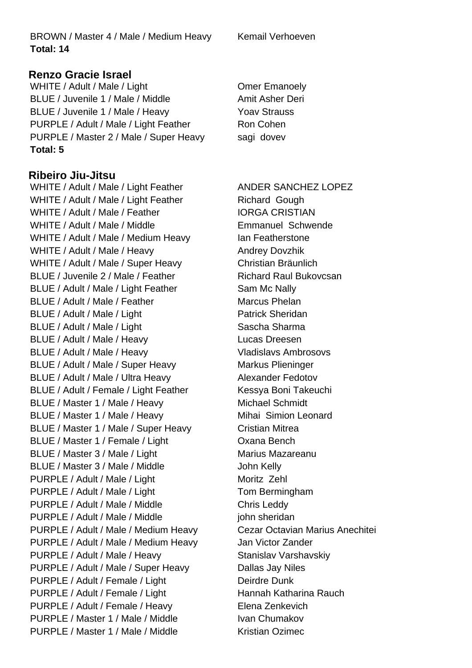BROWN / Master 4 / Male / Medium Heavy Kemail Verhoeven **Total: 14**

# **Renzo Gracie Israel**

WHITE / Adult / Male / Light Christian Comer Emanoely BLUE / Juvenile 1 / Male / Middle Amit Asher Deri BLUE / Juvenile 1 / Male / Heavy Yoav Strauss PURPLE / Adult / Male / Light Feather Ron Cohen PURPLE / Master 2 / Male / Super Heavy sagi dovev **Total: 5**

# **Ribeiro Jiu-Jitsu**

WHITE / Adult / Male / Light Feather ANDER SANCHEZ LOPEZ WHITE / Adult / Male / Light Feather Richard Gough WHITE / Adult / Male / Feather IORGA CRISTIAN WHITE / Adult / Male / Middle **Emmanuel Schwende** WHITE / Adult / Male / Medium Heavy Ian Featherstone WHITE / Adult / Male / Heavy Andrey Dovzhik WHITE / Adult / Male / Super Heavy Christian Bräunlich BLUE / Juvenile 2 / Male / Feather Richard Raul Bukovcsan BLUE / Adult / Male / Light Feather Sam Mc Nally BLUE / Adult / Male / Feather Marcus Phelan BLUE / Adult / Male / Light Patrick Sheridan BLUE / Adult / Male / Light Sascha Sharma BLUE / Adult / Male / Heavy Lucas Dreesen BLUE / Adult / Male / Heavy Vladislavs Ambrosovs BLUE / Adult / Male / Super Heavy Markus Plieninger BLUE / Adult / Male / Ultra Heavy Alexander Fedotov BLUE / Adult / Female / Light Feather Kessya Boni Takeuchi BLUE / Master 1 / Male / Heavy Michael Schmidt BLUE / Master 1 / Male / Heavy Mihai Simion Leonard BLUE / Master 1 / Male / Super Heavy Cristian Mitrea BLUE / Master 1 / Female / Light CXana Bench BLUE / Master 3 / Male / Light Marius Mazareanu BLUE / Master 3 / Male / Middle John Kelly PURPLE / Adult / Male / Light Moritz Zehl PURPLE / Adult / Male / Light Tom Bermingham PURPLE / Adult / Male / Middle Chris Leddy PURPLE / Adult / Male / Middle in the sheridan PURPLE / Adult / Male / Medium Heavy Cezar Octavian Marius Anechitei PURPLE / Adult / Male / Medium Heavy Jan Victor Zander PURPLE / Adult / Male / Heavy Stanislav Varshavskiy PURPLE / Adult / Male / Super Heavy Dallas Jay Niles PURPLE / Adult / Female / Light Deirdre Dunk PURPLE / Adult / Female / Light Hannah Katharina Rauch PURPLE / Adult / Female / Heavy Elena Zenkevich PURPLE / Master 1 / Male / Middle Ivan Chumakov PURPLE / Master 1 / Male / Middle Kristian Ozimec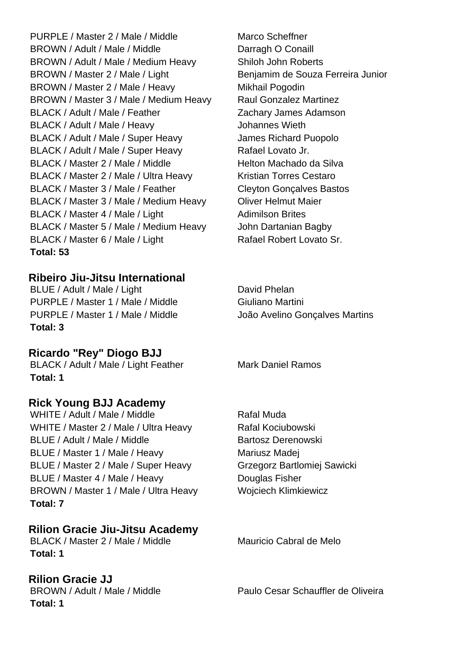PURPLE / Master 2 / Male / Middle Marco Scheffner BROWN / Adult / Male / Middle Darragh O Conaill BROWN / Adult / Male / Medium Heavy Shiloh John Roberts BROWN / Master 2 / Male / Light Benjamim de Souza Ferreira Junior BROWN / Master 2 / Male / Heavy Mikhail Pogodin BROWN / Master 3 / Male / Medium Heavy Raul Gonzalez Martinez BLACK / Adult / Male / Feather Zachary James Adamson BLACK / Adult / Male / Heavy Johannes Wieth BLACK / Adult / Male / Super Heavy James Richard Puopolo BLACK / Adult / Male / Super Heavy Rafael Lovato Jr. BLACK / Master 2 / Male / Middle Helton Machado da Silva BLACK / Master 2 / Male / Ultra Heavy Kristian Torres Cestaro BLACK / Master 3 / Male / Feather Cleyton Goncalves Bastos BLACK / Master 3 / Male / Medium Heavy Oliver Helmut Maier BLACK / Master 4 / Male / Light Adimilson Brites BLACK / Master 5 / Male / Medium Heavy John Dartanian Bagby BLACK / Master 6 / Male / Light Rafael Robert Lovato Sr. **Total: 53**

# **Ribeiro Jiu-Jitsu International**

BLUE / Adult / Male / Light David Phelan PURPLE / Master 1 / Male / Middle Giuliano Martini PURPLE / Master 1 / Male / Middle João Avelino Gonçalves Martins **Total: 3**

# **Ricardo "Rey" Diogo BJJ**

BLACK / Adult / Male / Light Feather Mark Daniel Ramos **Total: 1**

# **Rick Young BJJ Academy**

WHITE / Adult / Male / Middle Rafal Muda WHITE / Master 2 / Male / Ultra Heavy Rafal Kociubowski BLUE / Adult / Male / Middle Bartosz Derenowski BLUE / Master 1 / Male / Heavy Mariusz Madej BLUE / Master 2 / Male / Super Heavy Grzegorz Bartlomiej Sawicki BLUE / Master 4 / Male / Heavy Douglas Fisher BROWN / Master 1 / Male / Ultra Heavy Wojciech Klimkiewicz **Total: 7**

# **Rilion Gracie Jiu-Jitsu Academy**

BLACK / Master 2 / Male / Middle Mauricio Cabral de Melo **Total: 1**

# **Rilion Gracie JJ**

**Total: 1**

BROWN / Adult / Male / Middle Paulo Cesar Schauffler de Oliveira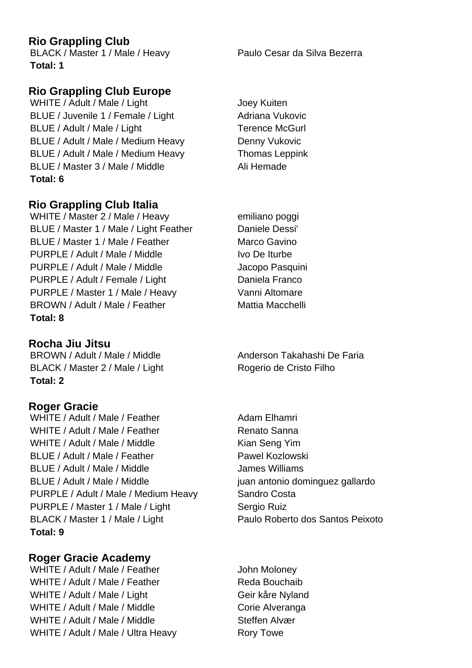# **Rio Grappling Club**

BLACK / Master 1 / Male / Heavy Paulo Cesar da Silva Bezerra **Total: 1**

# **Rio Grappling Club Europe**

- WHITE / Adult / Male / Light Joey Kuiten BLUE / Juvenile 1 / Female / Light Adriana Vukovic BLUE / Adult / Male / Light Terence McGurl BLUE / Adult / Male / Medium Heavy Denny Vukovic BLUE / Adult / Male / Medium Heavy Thomas Leppink BLUE / Master 3 / Male / Middle Ali Hemade **Total: 6**
- **Rio Grappling Club Italia**
- WHITE / Master 2 / Male / Heavy emiliano poggi BLUE / Master 1 / Male / Light Feather Daniele Dessi' BLUE / Master 1 / Male / Feather Marco Gavino PURPLE / Adult / Male / Middle Ivo De Iturbe PURPLE / Adult / Male / Middle Jacopo Pasquini PURPLE / Adult / Female / Light Daniela Franco PURPLE / Master 1 / Male / Heavy Vanni Altomare BROWN / Adult / Male / Feather Mattia Macchelli **Total: 8**

**Rocha Jiu Jitsu** BROWN / Adult / Male / Middle Anderson Takahashi De Faria BLACK / Master 2 / Male / Light Rogerio de Cristo Filho **Total: 2**

# **Roger Gracie**

WHITE / Adult / Male / Feather Adam Elhamri WHITE / Adult / Male / Feather Renato Sanna WHITE / Adult / Male / Middle Kian Seng Yim BLUE / Adult / Male / Feather Pawel Kozlowski BLUE / Adult / Male / Middle James Williams BLUE / Adult / Male / Middle juan antonio dominguez gallardo PURPLE / Adult / Male / Medium Heavy Sandro Costa PURPLE / Master 1 / Male / Light Sergio Ruiz BLACK / Master 1 / Male / Light Paulo Roberto dos Santos Peixoto **Total: 9**

**Roger Gracie Academy** WHITE / Adult / Male / Feather John Moloney WHITE / Adult / Male / Feather Reda Bouchaib WHITE / Adult / Male / Light Geir kåre Nyland WHITE / Adult / Male / Middle Corie Alveranga WHITE / Adult / Male / Middle Steffen Alvær WHITE / Adult / Male / Ultra Heavy Rory Towe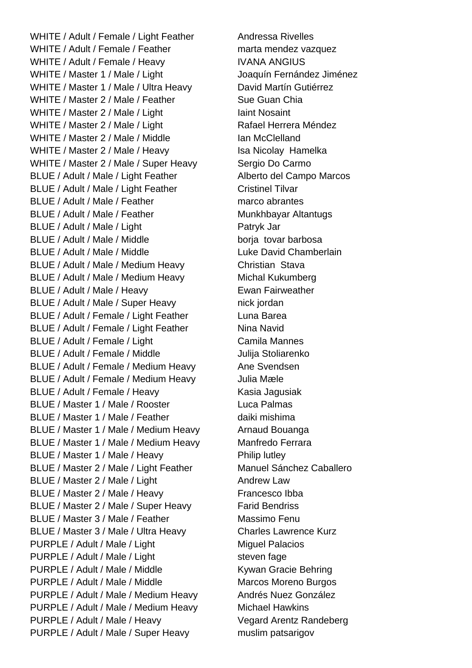WHITE / Adult / Female / Light Feather Andressa Rivelles WHITE / Adult / Female / Feather marta mendez vazquez WHITE / Adult / Female / Heavy IVANA ANGIUS WHITE / Master 1 / Male / Light Joaquín Fernández Jiménez WHITE / Master 1 / Male / Ultra Heavy David Martín Gutiérrez WHITE / Master 2 / Male / Feather Sue Guan Chia WHITE / Master 2 / Male / Light Iaint Nosaint WHITE / Master 2 / Male / Light Rafael Herrera Méndez WHITE / Master 2 / Male / Middle Ian McClelland WHITE / Master 2 / Male / Heavy Isa Nicolay Hamelka WHITE / Master 2 / Male / Super Heavy Sergio Do Carmo BLUE / Adult / Male / Light Feather Alberto del Campo Marcos BLUE / Adult / Male / Light Feather Cristinel Tilvar BLUE / Adult / Male / Feather marco abrantes BLUE / Adult / Male / Feather Munkhbayar Altantugs BLUE / Adult / Male / Light Patryk Jar BLUE / Adult / Male / Middle borja tovar barbosa BLUE / Adult / Male / Middle Luke David Chamberlain BLUE / Adult / Male / Medium Heavy Christian Stava BLUE / Adult / Male / Medium Heavy Michal Kukumberg BLUE / Adult / Male / Heavy Ewan Fairweather BLUE / Adult / Male / Super Heavy nick jordan BLUE / Adult / Female / Light Feather Luna Barea BLUE / Adult / Female / Light Feather Nina Navid BLUE / Adult / Female / Light Camila Mannes BLUE / Adult / Female / Middle Julija Stoliarenko BLUE / Adult / Female / Medium Heavy Ane Svendsen BLUE / Adult / Female / Medium Heavy Julia Mæle BLUE / Adult / Female / Heavy Kasia Jagusiak BLUE / Master 1 / Male / Rooster Luca Palmas BLUE / Master 1 / Male / Feather daiki mishima BLUE / Master 1 / Male / Medium Heavy Arnaud Bouanga BLUE / Master 1 / Male / Medium Heavy Manfredo Ferrara BLUE / Master 1 / Male / Heavy Philip lutley BLUE / Master 2 / Male / Light Feather Manuel Sánchez Caballero BLUE / Master 2 / Male / Light Andrew Law BLUE / Master 2 / Male / Heavy Francesco Ibba BLUE / Master 2 / Male / Super Heavy Farid Bendriss BLUE / Master 3 / Male / Feather Massimo Fenu BLUE / Master 3 / Male / Ultra Heavy Charles Lawrence Kurz PURPLE / Adult / Male / Light Miguel Palacios PURPLE / Adult / Male / Light steven fage PURPLE / Adult / Male / Middle Kywan Gracie Behring PURPLE / Adult / Male / Middle Marcos Moreno Burgos PURPLE / Adult / Male / Medium Heavy Andrés Nuez González PURPLE / Adult / Male / Medium Heavy Michael Hawkins PURPLE / Adult / Male / Heavy Vegard Arentz Randeberg PURPLE / Adult / Male / Super Heavy muslim patsarigov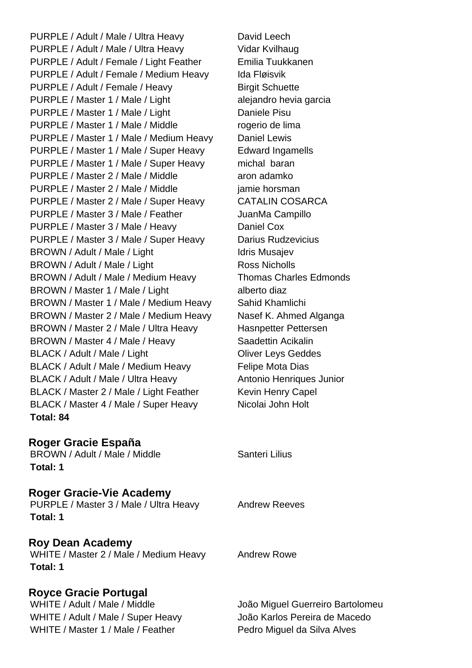PURPLE / Adult / Male / Ultra Heavy David Leech PURPLE / Adult / Male / Ultra Heavy Vidar Kvilhaug PURPLE / Adult / Female / Light Feather Emilia Tuukkanen PURPLE / Adult / Female / Medium Heavy Ida Fløisvik PURPLE / Adult / Female / Heavy Birgit Schuette PURPLE / Master 1 / Male / Light alejandro hevia garcia PURPLE / Master 1 / Male / Light Daniele Pisu PURPLE / Master 1 / Male / Middle rogerio de lima PURPLE / Master 1 / Male / Medium Heavy Daniel Lewis PURPLE / Master 1 / Male / Super Heavy Edward Ingamells PURPLE / Master 1 / Male / Super Heavy michal baran PURPLE / Master 2 / Male / Middle aron adamko PURPLE / Master 2 / Male / Middle in a jamie horsman PURPLE / Master 2 / Male / Super Heavy CATALIN COSARCA PURPLE / Master 3 / Male / Feather JuanMa Campillo PURPLE / Master 3 / Male / Heavy Daniel Cox PURPLE / Master 3 / Male / Super Heavy Darius Rudzevicius BROWN / Adult / Male / Light Idris Musajev BROWN / Adult / Male / Light Ross Nicholls BROWN / Adult / Male / Medium Heavy Thomas Charles Edmonds BROWN / Master 1 / Male / Light alberto diaz BROWN / Master 1 / Male / Medium Heavy Sahid Khamlichi BROWN / Master 2 / Male / Medium Heavy Nasef K. Ahmed Alganga BROWN / Master 2 / Male / Ultra Heavy Hasnpetter Pettersen BROWN / Master 4 / Male / Heavy Saadettin Acikalin BLACK / Adult / Male / Light Cliver Leys Geddes BLACK / Adult / Male / Medium Heavy Felipe Mota Dias BLACK / Adult / Male / Ultra Heavy Antonio Henriques Junior BLACK / Master 2 / Male / Light Feather Kevin Henry Capel BLACK / Master 4 / Male / Super Heavy Nicolai John Holt **Total: 84**

# **Roger Gracie España**

BROWN / Adult / Male / Middle Santeri Lilius **Total: 1**

#### **Roger Gracie-Vie Academy**

PURPLE / Master 3 / Male / Ultra Heavy Andrew Reeves **Total: 1**

#### **Roy Dean Academy**

WHITE / Master 2 / Male / Medium Heavy Andrew Rowe **Total: 1**

# **Royce Gracie Portugal**

WHITE / Adult / Male / Super Heavy João Karlos Pereira de Macedo WHITE / Master 1 / Male / Feather Pedro Miquel da Silva Alves

WHITE / Adult / Male / Middle João Miguel Guerreiro Bartolomeu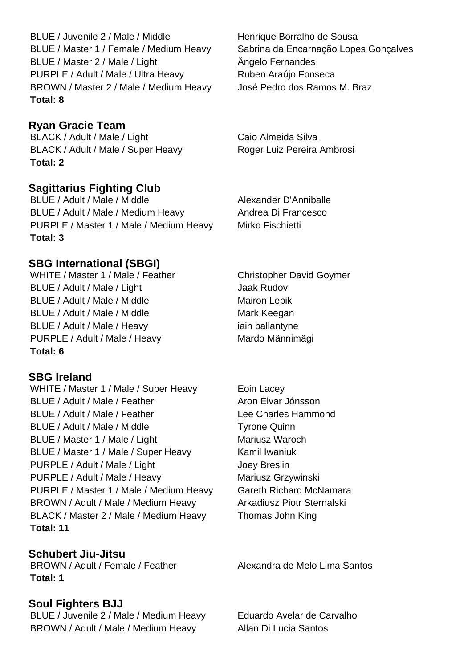BLUE / Juvenile 2 / Male / Middle Henrique Borralho de Sousa BLUE / Master 1 / Female / Medium Heavy Sabrina da Encarnação Lopes Gonçalves BLUE / Master 2 / Male / Light **Angelo Fernandes** PURPLE / Adult / Male / Ultra Heavy Ruben Araújo Fonseca BROWN / Master 2 / Male / Medium Heavy José Pedro dos Ramos M. Braz **Total: 8**

# **Ryan Gracie Team**

BLACK / Adult / Male / Light Caio Almeida Silva BLACK / Adult / Male / Super Heavy Roger Luiz Pereira Ambrosi **Total: 2**

## **Sagittarius Fighting Club**

BLUE / Adult / Male / Middle Alexander D'Anniballe BLUE / Adult / Male / Medium Heavy Andrea Di Francesco PURPLE / Master 1 / Male / Medium Heavy Mirko Fischietti **Total: 3**

**SBG International (SBGI)**

WHITE / Master 1 / Male / Feather Christopher David Goymer BLUE / Adult / Male / Light Jaak Rudov BLUE / Adult / Male / Middle Mairon Lepik BLUE / Adult / Male / Middle Mark Keegan BLUE / Adult / Male / Heavy iain ballantyne PURPLE / Adult / Male / Heavy Mardo Männimägi **Total: 6**

#### **SBG Ireland**

WHITE / Master 1 / Male / Super Heavy Eoin Lacey BLUE / Adult / Male / Feather Aron Elvar Jónsson BLUE / Adult / Male / Feather Lee Charles Hammond BLUE / Adult / Male / Middle Tyrone Quinn BLUE / Master 1 / Male / Light Mariusz Waroch BLUE / Master 1 / Male / Super Heavy Kamil Iwaniuk PURPLE / Adult / Male / Light Joey Breslin PURPLE / Adult / Male / Heavy Mariusz Grzywinski PURPLE / Master 1 / Male / Medium Heavy Gareth Richard McNamara BROWN / Adult / Male / Medium Heavy Arkadiusz Piotr Sternalski BLACK / Master 2 / Male / Medium Heavy Thomas John King **Total: 11**

#### **Schubert Jiu-Jitsu**

BROWN / Adult / Female / Feather Alexandra de Melo Lima Santos **Total: 1**

#### **Soul Fighters BJJ**

BLUE / Juvenile 2 / Male / Medium Heavy Eduardo Avelar de Carvalho BROWN / Adult / Male / Medium Heavy Allan Di Lucia Santos

- 
-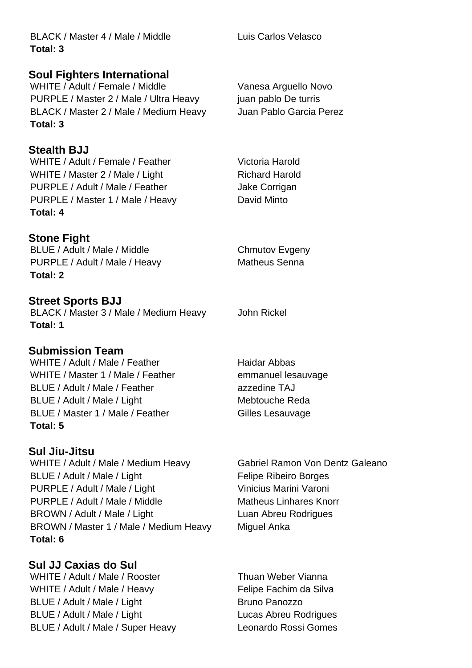BLACK / Master 4 / Male / Middle Luis Carlos Velasco **Total: 3**

**Soul Fighters International**

WHITE / Adult / Female / Middle Vanesa Arguello Novo PURPLE / Master 2 / Male / Ultra Heavy juan pablo De turris BLACK / Master 2 / Male / Medium Heavy Juan Pablo Garcia Perez **Total: 3**

**Stealth BJJ** WHITE / Adult / Female / Feather Victoria Harold WHITE / Master 2 / Male / Light Richard Harold PURPLE / Adult / Male / Feather Jake Corrigan PURPLE / Master 1 / Male / Heavy David Minto **Total: 4**

**Stone Fight**

BLUE / Adult / Male / Middle Chmutov Evgeny PURPLE / Adult / Male / Heavy Matheus Senna **Total: 2**

**Street Sports BJJ**

BLACK / Master 3 / Male / Medium Heavy John Rickel **Total: 1**

# **Submission Team**

WHITE / Adult / Male / Feather Haidar Abbas WHITE / Master 1 / Male / Feather emmanuel lesauvage BLUE / Adult / Male / Feather and azzedine TAJ BLUE / Adult / Male / Light Mebtouche Reda BLUE / Master 1 / Male / Feather Gilles Lesauvage **Total: 5**

**Sul Jiu-Jitsu**

WHITE / Adult / Male / Medium Heavy Gabriel Ramon Von Dentz Galeano BLUE / Adult / Male / Light Felipe Ribeiro Borges PURPLE / Adult / Male / Light Vinicius Marini Varoni PURPLE / Adult / Male / Middle Matheus Linhares Knorr BROWN / Adult / Male / Light Luan Abreu Rodrigues BROWN / Master 1 / Male / Medium Heavy Miguel Anka **Total: 6**

**Sul JJ Caxias do Sul** WHITE / Adult / Male / Rooster Thuan Weber Vianna WHITE / Adult / Male / Heavy Felipe Fachim da Silva BLUE / Adult / Male / Light Bruno Panozzo BLUE / Adult / Male / Light Lucas Abreu Rodrigues BLUE / Adult / Male / Super Heavy Leonardo Rossi Gomes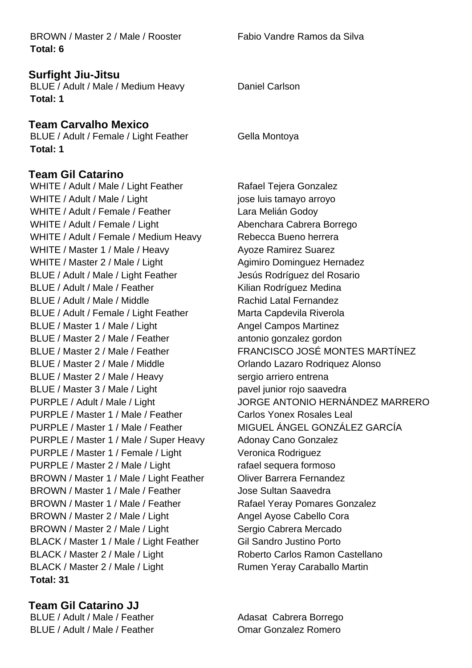BROWN / Master 2 / Male / Rooster Fabio Vandre Ramos da Silva **Total: 6**

#### **Surfight Jiu-Jitsu**

BLUE / Adult / Male / Medium Heavy Daniel Carlson **Total: 1**

#### **Team Carvalho Mexico**

BLUE / Adult / Female / Light Feather Gella Montoya **Total: 1**

#### **Team Gil Catarino**

WHITE / Adult / Male / Light Feather Rafael Tejera Gonzalez WHITE / Adult / Male / Light in the same value is tamayo arroyo WHITE / Adult / Female / Feather Lara Melián Godoy WHITE / Adult / Female / Light Abenchara Cabrera Borrego WHITE / Adult / Female / Medium Heavy Rebecca Bueno herrera WHITE / Master 1 / Male / Heavy Avoze Ramirez Suarez WHITE / Master 2 / Male / Light Agimiro Dominguez Hernadez BLUE / Adult / Male / Light Feather Jesús Rodríguez del Rosario BLUE / Adult / Male / Feather Kilian Rodríguez Medina BLUE / Adult / Male / Middle Rachid Latal Fernandez BLUE / Adult / Female / Light Feather Marta Capdevila Riverola BLUE / Master 1 / Male / Light Angel Campos Martinez BLUE / Master 2 / Male / Feather antonio gonzalez gordon BLUE / Master 2 / Male / Middle **Orlando Lazaro Rodriquez Alonso** BLUE / Master 2 / Male / Heavy sergio arriero entrena BLUE / Master 3 / Male / Light pavel junior rojo saavedra PURPLE / Master 1 / Male / Feather Carlos Yonex Rosales Leal PURPLE / Master 1 / Male / Feather MIGUEL ÁNGEL GONZÁLEZ GARCÍA PURPLE / Master 1 / Male / Super Heavy Adonay Cano Gonzalez PURPLE / Master 1 / Female / Light Veronica Rodriguez PURPLE / Master 2 / Male / Light rafael sequera formoso BROWN / Master 1 / Male / Light Feather Oliver Barrera Fernandez BROWN / Master 1 / Male / Feather Jose Sultan Saavedra BROWN / Master 1 / Male / Feather Rafael Yeray Pomares Gonzalez BROWN / Master 2 / Male / Light Angel Ayose Cabello Cora BROWN / Master 2 / Male / Light Sergio Cabrera Mercado BLACK / Master 1 / Male / Light Feather Gil Sandro Justino Porto BLACK / Master 2 / Male / Light Roberto Carlos Ramon Castellano BLACK / Master 2 / Male / Light Rumen Yeray Caraballo Martin **Total: 31**

**Team Gil Catarino JJ** BLUE / Adult / Male / Feather Adasat Cabrera Borrego BLUE / Adult / Male / Feather **Comar Gonzalez Romero** 

BLUE / Master 2 / Male / Feather FRANCISCO JOSÉ MONTES MARTÍNEZ PURPLE / Adult / Male / Light JORGE ANTONIO HERNÁNDEZ MARRERO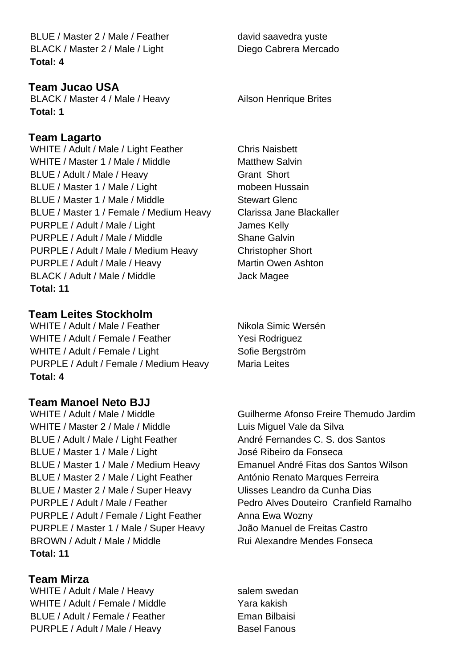BLUE / Master 2 / Male / Feather david saavedra yuste BLACK / Master 2 / Male / Light Diego Cabrera Mercado **Total: 4**

## **Team Jucao USA**

BLACK / Master 4 / Male / Heavy Ailson Henrique Brites **Total: 1**

#### **Team Lagarto**

WHITE / Adult / Male / Light Feather Chris Naisbett WHITE / Master 1 / Male / Middle Matthew Salvin BLUE / Adult / Male / Heavy Grant Short BLUE / Master 1 / Male / Light mobeen Hussain BLUE / Master 1 / Male / Middle Stewart Glenc BLUE / Master 1 / Female / Medium Heavy Clarissa Jane Blackaller PURPLE / Adult / Male / Light James Kelly PURPLE / Adult / Male / Middle Shane Galvin PURPLE / Adult / Male / Medium Heavy Christopher Short PURPLE / Adult / Male / Heavy Martin Owen Ashton BLACK / Adult / Male / Middle Jack Magee **Total: 11**

## **Team Leites Stockholm**

WHITE / Adult / Male / Feather Nikola Simic Wersén WHITE / Adult / Female / Feather Yesi Rodriguez WHITE / Adult / Female / Light Sofie Bergström PURPLE / Adult / Female / Medium Heavy Maria Leites **Total: 4**

## **Team Manoel Neto BJJ**

WHITE / Adult / Male / Middle Guilherme Afonso Freire Themudo Jardim WHITE / Master 2 / Male / Middle Luis Miguel Vale da Silva BLUE / Adult / Male / Light Feather André Fernandes C. S. dos Santos BLUE / Master 1 / Male / Light José Ribeiro da Fonseca BLUE / Master 1 / Male / Medium Heavy Emanuel André Fitas dos Santos Wilson BLUE / Master 2 / Male / Light Feather António Renato Marques Ferreira BLUE / Master 2 / Male / Super Heavy Ulisses Leandro da Cunha Dias PURPLE / Adult / Male / Feather Pedro Alves Douteiro Cranfield Ramalho PURPLE / Adult / Female / Light Feather Anna Ewa Wozny PURPLE / Master 1 / Male / Super Heavy João Manuel de Freitas Castro BROWN / Adult / Male / Middle Rui Alexandre Mendes Fonseca **Total: 11**

**Team Mirza** WHITE / Adult / Male / Heavy salem swedan WHITE / Adult / Female / Middle Yara kakish BLUE / Adult / Female / Feather Eman Bilbaisi PURPLE / Adult / Male / Heavy Basel Fanous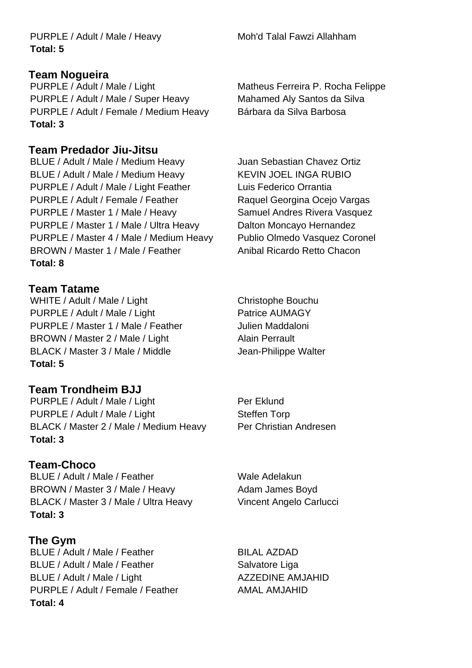PURPLE / Adult / Male / Heavy Moh'd Talal Fawzi Allahham **Total: 5**

#### **Team Nogueira**

PURPLE / Adult / Male / Light Matheus Ferreira P. Rocha Felippe PURPLE / Adult / Male / Super Heavy Mahamed Aly Santos da Silva PURPLE / Adult / Female / Medium Heavy Bárbara da Silva Barbosa **Total: 3**

# **Team Predador Jiu-Jitsu**

BLUE / Adult / Male / Medium Heavy Juan Sebastian Chavez Ortiz BLUE / Adult / Male / Medium Heavy KEVIN JOEL INGA RUBIO PURPLE / Adult / Male / Light Feather Luis Federico Orrantia PURPLE / Adult / Female / Feather Raquel Georgina Ocejo Vargas PURPLE / Master 1 / Male / Heavy Samuel Andres Rivera Vasquez PURPLE / Master 1 / Male / Ultra Heavy Dalton Moncayo Hernandez PURPLE / Master 4 / Male / Medium Heavy Publio Olmedo Vasquez Coronel BROWN / Master 1 / Male / Feather Anibal Ricardo Retto Chacon **Total: 8**

# **Team Tatame**

WHITE / Adult / Male / Light Christophe Bouchu PURPLE / Adult / Male / Light Purple Patrice AUMAGY PURPLE / Master 1 / Male / Feather Julien Maddaloni BROWN / Master 2 / Male / Light Alain Perrault BLACK / Master 3 / Male / Middle Jean-Philippe Walter **Total: 5**

# **Team Trondheim BJJ**

PURPLE / Adult / Male / Light Purple Per Eklund PURPLE / Adult / Male / Light Steffen Torp BLACK / Master 2 / Male / Medium Heavy Per Christian Andresen **Total: 3**

# **Team-Choco**

BLUE / Adult / Male / Feather Wale Adelakun BROWN / Master 3 / Male / Heavy Adam James Boyd BLACK / Master 3 / Male / Ultra Heavy Vincent Angelo Carlucci **Total: 3**

# **The Gym**

BLUE / Adult / Male / Feather BILAL AZDAD BLUE / Adult / Male / Feather Salvatore Liga BLUE / Adult / Male / Light ACZZEDINE AMJAHID PURPLE / Adult / Female / Feather AMAL AMJAHID **Total: 4**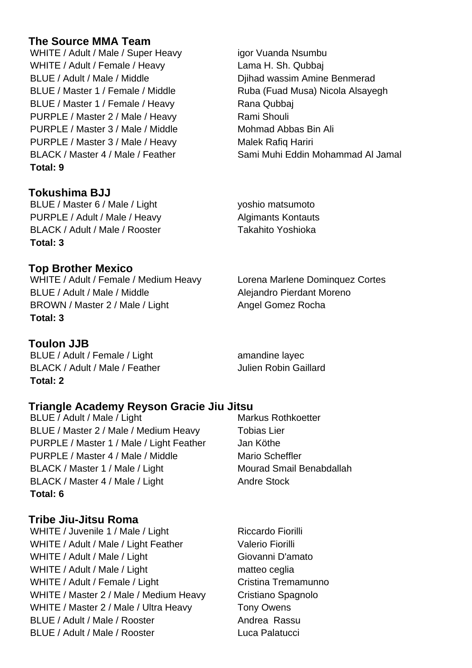# **The Source MMA Team**

WHITE / Adult / Male / Super Heavy igor Vuanda Nsumbu WHITE / Adult / Female / Heavy Lama H. Sh. Qubbaj BLUE / Adult / Male / Middle Diihad wassim Amine Benmerad BLUE / Master 1 / Female / Middle Ruba (Fuad Musa) Nicola Alsayegh BLUE / Master 1 / Female / Heavy Rana Qubbaj PURPLE / Master 2 / Male / Heavy Rami Shouli PURPLE / Master 3 / Male / Middle Mohmad Abbas Bin Ali PURPLE / Master 3 / Male / Heavy Malek Rafiq Hariri BLACK / Master 4 / Male / Feather Sami Muhi Eddin Mohammad Al Jamal **Total: 9**

# **Tokushima BJJ**

BLUE / Master 6 / Male / Light yoshio matsumoto PURPLE / Adult / Male / Heavy Algimants Kontauts BLACK / Adult / Male / Rooster Takahito Yoshioka **Total: 3**

# **Top Brother Mexico**

WHITE / Adult / Female / Medium Heavy Lorena Marlene Dominquez Cortes BLUE / Adult / Male / Middle Alejandro Pierdant Moreno BROWN / Master 2 / Male / Light Angel Gomez Rocha **Total: 3**

## **Toulon JJB**

BLUE / Adult / Female / Light amandine layec BLACK / Adult / Male / Feather Julien Robin Gaillard **Total: 2**

# **Triangle Academy Reyson Gracie Jiu Jitsu**

BLUE / Adult / Male / Light Markus Rothkoetter BLUE / Master 2 / Male / Medium Heavy Tobias Lier PURPLE / Master 1 / Male / Light Feather Jan Köthe PURPLE / Master 4 / Male / Middle Mario Scheffler BLACK / Master 1 / Male / Light Mourad Smail Benabdallah BLACK / Master 4 / Male / Light Andre Stock **Total: 6**

# **Tribe Jiu-Jitsu Roma**

WHITE / Juvenile 1 / Male / Light Riccardo Fiorilli WHITE / Adult / Male / Light Feather Valerio Fiorilli WHITE / Adult / Male / Light Giovanni D'amato WHITE / Adult / Male / Light matteo ceglia WHITE / Adult / Female / Light Cristina Tremamunno WHITE / Master 2 / Male / Medium Heavy Cristiano Spagnolo WHITE / Master 2 / Male / Ultra Heavy Tony Owens BLUE / Adult / Male / Rooster Andrea Rassu BLUE / Adult / Male / Rooster Luca Palatucci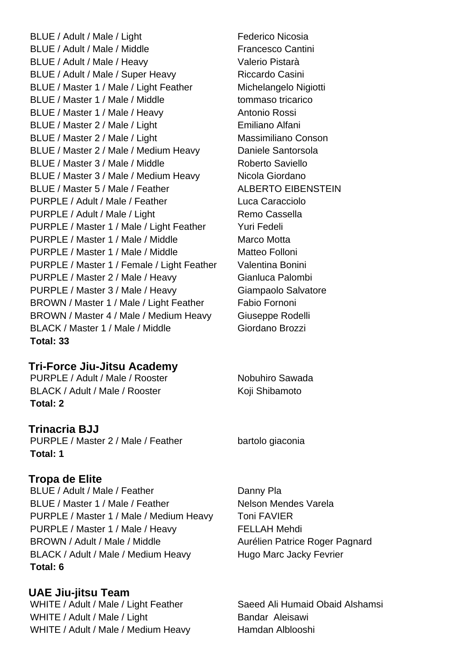BLUE / Adult / Male / Light Federico Nicosia BLUE / Adult / Male / Middle Francesco Cantini BLUE / Adult / Male / Heavy Valerio Pistarà BLUE / Adult / Male / Super Heavy Riccardo Casini BLUE / Master 1 / Male / Light Feather Michelangelo Nigiotti BLUE / Master 1 / Male / Middle tommaso tricarico BLUE / Master 1 / Male / Heavy Antonio Rossi BLUE / Master 2 / Male / Light Emiliano Alfani BLUE / Master 2 / Male / Light Massimiliano Conson BLUE / Master 2 / Male / Medium Heavy Daniele Santorsola BLUE / Master 3 / Male / Middle Roberto Saviello BLUE / Master 3 / Male / Medium Heavy Nicola Giordano BLUE / Master 5 / Male / Feather ALBERTO EIBENSTEIN PURPLE / Adult / Male / Feather Luca Caracciolo PURPLE / Adult / Male / Light Remo Cassella PURPLE / Master 1 / Male / Light Feather Yuri Fedeli PURPLE / Master 1 / Male / Middle Marco Motta PURPLE / Master 1 / Male / Middle Matteo Folloni PURPLE / Master 1 / Female / Light Feather Valentina Bonini PURPLE / Master 2 / Male / Heavy Gianluca Palombi PURPLE / Master 3 / Male / Heavy Giampaolo Salvatore BROWN / Master 1 / Male / Light Feather Fabio Fornoni BROWN / Master 4 / Male / Medium Heavy Giuseppe Rodelli BLACK / Master 1 / Male / Middle Giordano Brozzi **Total: 33**

## **Tri-Force Jiu-Jitsu Academy**

PURPLE / Adult / Male / Rooster Nobuhiro Sawada BLACK / Adult / Male / Rooster Koji Shibamoto **Total: 2**

**Trinacria BJJ** PURPLE / Master 2 / Male / Feather bartolo giaconia **Total: 1**

## **Tropa de Elite**

BLUE / Adult / Male / Feather Danny Pla BLUE / Master 1 / Male / Feather Nelson Mendes Varela PURPLE / Master 1 / Male / Medium Heavy Toni FAVIER PURPLE / Master 1 / Male / Heavy FELLAH Mehdi BROWN / Adult / Male / Middle Aurélien Patrice Roger Pagnard BLACK / Adult / Male / Medium Heavy Hugo Marc Jacky Fevrier **Total: 6**

**UAE Jiu-jitsu Team** WHITE / Adult / Male / Light Feather Saeed Ali Humaid Obaid Alshamsi WHITE / Adult / Male / Light Bandar Aleisawi WHITE / Adult / Male / Medium Heavy Hamdan Alblooshi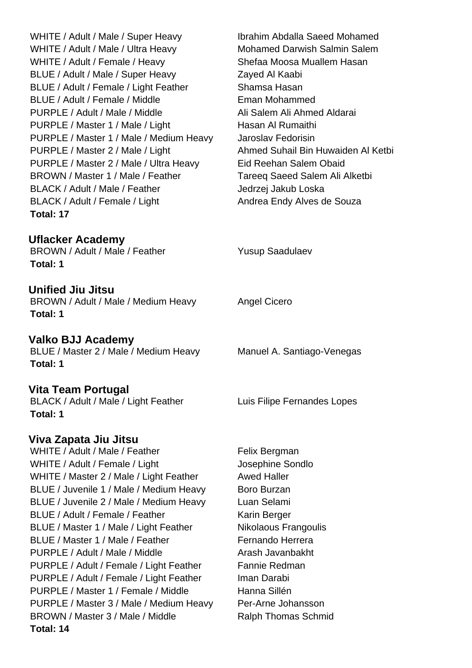WHITE / Adult / Male / Super Heavy Ibrahim Abdalla Saeed Mohamed WHITE / Adult / Male / Ultra Heavy Mohamed Darwish Salmin Salem WHITE / Adult / Female / Heavy Shefaa Moosa Muallem Hasan BLUE / Adult / Male / Super Heavy Zayed Al Kaabi BLUE / Adult / Female / Light Feather Shamsa Hasan BLUE / Adult / Female / Middle Eman Mohammed PURPLE / Adult / Male / Middle Ali Salem Ali Ahmed Aldarai PURPLE / Master 1 / Male / Light Hasan Al Rumaithi PURPLE / Master 1 / Male / Medium Heavy Jaroslav Fedorisin PURPLE / Master 2 / Male / Light Ahmed Suhail Bin Huwaiden Al Ketbi PURPLE / Master 2 / Male / Ultra Heavy Eid Reehan Salem Obaid BROWN / Master 1 / Male / Feather Tareeq Saeed Salem Ali Alketbi BLACK / Adult / Male / Feather Jedrzej Jakub Loska BLACK / Adult / Female / Light Andrea Endy Alves de Souza **Total: 17**

## **Uflacker Academy**

BROWN / Adult / Male / Feather Yusup Saadulaev **Total: 1**

**Unified Jiu Jitsu** BROWN / Adult / Male / Medium Heavy Angel Cicero **Total: 1**

**Valko BJJ Academy** BLUE / Master 2 / Male / Medium Heavy Manuel A. Santiago-Venegas **Total: 1**

## **Vita Team Portugal**

BLACK / Adult / Male / Light Feather Luis Filipe Fernandes Lopes **Total: 1**

## **Viva Zapata Jiu Jitsu**

WHITE / Adult / Male / Feather Felix Bergman WHITE / Adult / Female / Light Josephine Sondlo WHITE / Master 2 / Male / Light Feather Awed Haller BLUE / Juvenile 1 / Male / Medium Heavy Boro Burzan BLUE / Juvenile 2 / Male / Medium Heavy Luan Selami BLUE / Adult / Female / Feather Karin Berger BLUE / Master 1 / Male / Light Feather Nikolaous Frangoulis BLUE / Master 1 / Male / Feather Fernando Herrera PURPLE / Adult / Male / Middle Arash Javanbakht PURPLE / Adult / Female / Light Feather Fannie Redman PURPLE / Adult / Female / Light Feather Iman Darabi PURPLE / Master 1 / Female / Middle Hanna Sillén PURPLE / Master 3 / Male / Medium Heavy Per-Arne Johansson BROWN / Master 3 / Male / Middle Ralph Thomas Schmid **Total: 14**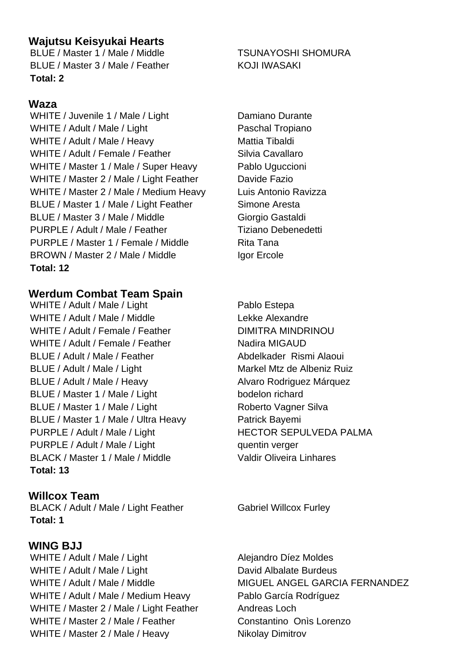# **Wajutsu Keisyukai Hearts**

BLUE / Master 1 / Male / Middle TSUNAYOSHI SHOMURA BLUE / Master 3 / Male / Feather KOJI IWASAKI **Total: 2**

# **Waza**

WHITE / Juvenile 1 / Male / Light Damiano Durante WHITE / Adult / Male / Light Paschal Tropiano WHITE / Adult / Male / Heavy Mattia Tibaldi WHITE / Adult / Female / Feather Silvia Cavallaro WHITE / Master 1 / Male / Super Heavy Pablo Uguccioni WHITE / Master 2 / Male / Light Feather Davide Fazio WHITE / Master 2 / Male / Medium Heavy Luis Antonio Ravizza BLUE / Master 1 / Male / Light Feather Simone Aresta BLUE / Master 3 / Male / Middle Giorgio Gastaldi PURPLE / Adult / Male / Feather Tiziano Debenedetti PURPLE / Master 1 / Female / Middle Rita Tana BROWN / Master 2 / Male / Middle Igor Ercole **Total: 12**

# **Werdum Combat Team Spain**

WHITE / Adult / Male / Light Pablo Estepa WHITE / Adult / Male / Middle Lekke Alexandre WHITE / Adult / Female / Feather DIMITRA MINDRINOU WHITE / Adult / Female / Feather Nadira MIGAUD BLUE / Adult / Male / Feather Abdelkader Rismi Alaoui BLUE / Adult / Male / Light Markel Mtz de Albeniz Ruiz BLUE / Adult / Male / Heavy Alvaro Rodriguez Márquez BLUE / Master 1 / Male / Light bodelon richard BLUE / Master 1 / Male / Light Roberto Vagner Silva BLUE / Master 1 / Male / Ultra Heavy Patrick Bayemi PURPLE / Adult / Male / Light HECTOR SEPULVEDA PALMA PURPLE / Adult / Male / Light quentin verger BLACK / Master 1 / Male / Middle Valdir Oliveira Linhares **Total: 13**

**Willcox Team** BLACK / Adult / Male / Light Feather Gabriel Willcox Furley **Total: 1**

# **WING BJJ**

WHITE / Adult / Male / Light Alejandro Díez Moldes WHITE / Adult / Male / Light David Albalate Burdeus WHITE / Adult / Male / Medium Heavy Pablo García Rodríguez WHITE / Master 2 / Male / Light Feather Andreas Loch WHITE / Master 2 / Male / Feather Constantino Onis Lorenzo WHITE / Master 2 / Male / Heavy Nikolay Dimitrov

WHITE / Adult / Male / Middle MIGUEL ANGEL GARCIA FERNANDEZ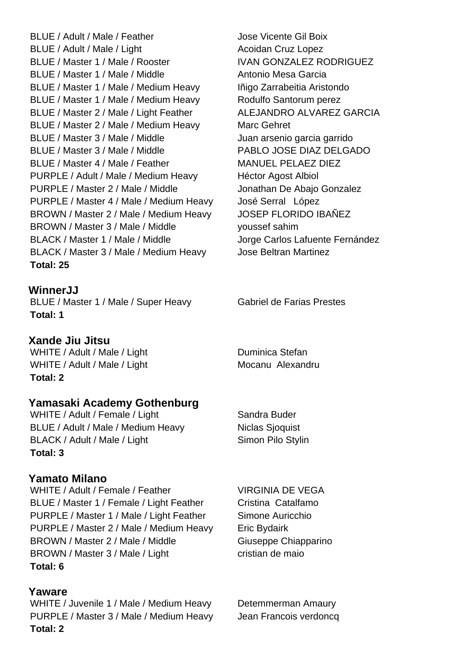BLUE / Adult / Male / Feather Jose Vicente Gil Boix BLUE / Adult / Male / Light Acoidan Cruz Lopez BLUE / Master 1 / Male / Rooster IVAN GONZALEZ RODRIGUEZ BLUE / Master 1 / Male / Middle Antonio Mesa Garcia BLUE / Master 1 / Male / Medium Heavy | nigo Zarrabeitia Aristondo BLUE / Master 1 / Male / Medium Heavy Rodulfo Santorum perez BLUE / Master 2 / Male / Light Feather ALEJANDRO ALVAREZ GARCIA BLUE / Master 2 / Male / Medium Heavy Marc Gehret BLUE / Master 3 / Male / Middle Juan arsenio garcia garrido BLUE / Master 3 / Male / Middle PABLO JOSE DIAZ DELGADO BLUE / Master 4 / Male / Feather MANUEL PELAEZ DIEZ PURPLE / Adult / Male / Medium Heavy Héctor Agost Albiol PURPLE / Master 2 / Male / Middle Jonathan De Abajo Gonzalez PURPLE / Master 4 / Male / Medium Heavy José Serral López BROWN / Master 2 / Male / Medium Heavy JOSEP FLORIDO IBAÑEZ BROWN / Master 3 / Male / Middle youssef sahim BLACK / Master 1 / Male / Middle Jorge Carlos Lafuente Fernández BLACK / Master 3 / Male / Medium Heavy Jose Beltran Martinez **Total: 25**

#### **WinnerJJ**

BLUE / Master 1 / Male / Super Heavy Gabriel de Farias Prestes **Total: 1**

#### **Xande Jiu Jitsu**

WHITE / Adult / Male / Light Duminica Stefan WHITE / Adult / Male / Light Mocanu Alexandru **Total: 2**

## **Yamasaki Academy Gothenburg**

WHITE / Adult / Female / Light Sandra Buder BLUE / Adult / Male / Medium Heavy Niclas Sjoquist BLACK / Adult / Male / Light Simon Pilo Stylin **Total: 3**

#### **Yamato Milano**

WHITE / Adult / Female / Feather VIRGINIA DE VEGA BLUE / Master 1 / Female / Light Feather Cristina Catalfamo PURPLE / Master 1 / Male / Light Feather Simone Auricchio PURPLE / Master 2 / Male / Medium Heavy Eric Bydairk BROWN / Master 2 / Male / Middle Giuseppe Chiapparino BROWN / Master 3 / Male / Light cristian de maio **Total: 6**

#### **Yaware**

WHITE / Juvenile 1 / Male / Medium Heavy Detemmerman Amaury PURPLE / Master 3 / Male / Medium Heavy Jean Francois verdoncq **Total: 2**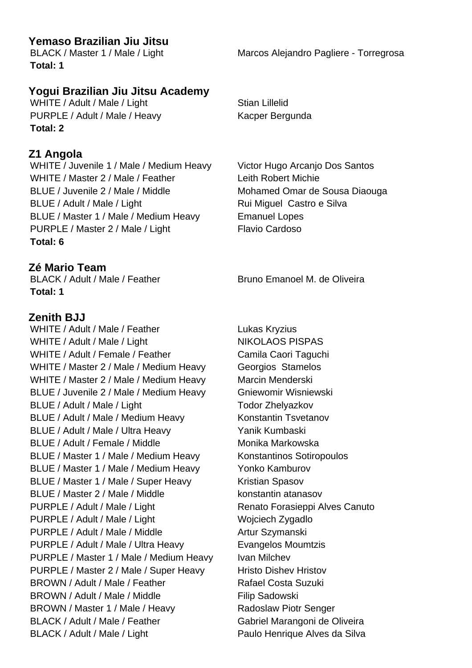## **Yemaso Brazilian Jiu Jitsu**

**Total: 1**

# **Yogui Brazilian Jiu Jitsu Academy**

WHITE / Adult / Male / Light Stian Lillelid PURPLE / Adult / Male / Heavy Kacper Bergunda **Total: 2**

#### **Z1 Angola**

WHITE / Juvenile 1 / Male / Medium Heavy Victor Hugo Arcanjo Dos Santos WHITE / Master 2 / Male / Feather Leith Robert Michie BLUE / Juvenile 2 / Male / Middle Mohamed Omar de Sousa Diaouga BLUE / Adult / Male / Light Rui Miguel Castro e Silva BLUE / Master 1 / Male / Medium Heavy Emanuel Lopes PURPLE / Master 2 / Male / Light Flavio Cardoso **Total: 6**

## **Zé Mario Team**

BLACK / Adult / Male / Feather Bruno Emanoel M. de Oliveira **Total: 1**

## **Zenith BJJ**

WHITE / Adult / Male / Feather Lukas Kryzius WHITE / Adult / Male / Light NIKOLAOS PISPAS WHITE / Adult / Female / Feather Camila Caori Taguchi WHITE / Master 2 / Male / Medium Heavy Georgios Stamelos WHITE / Master 2 / Male / Medium Heavy Marcin Menderski BLUE / Juvenile 2 / Male / Medium Heavy Gniewomir Wisniewski BLUE / Adult / Male / Light Todor Zhelyazkov BLUE / Adult / Male / Medium Heavy Konstantin Tsvetanov BLUE / Adult / Male / Ultra Heavy Yanik Kumbaski BLUE / Adult / Female / Middle Monika Markowska BLUE / Master 1 / Male / Medium Heavy Konstantinos Sotiropoulos BLUE / Master 1 / Male / Medium Heavy Yonko Kamburov BLUE / Master 1 / Male / Super Heavy Kristian Spasov BLUE / Master 2 / Male / Middle konstantin atanasov PURPLE / Adult / Male / Light Renato Forasieppi Alves Canuto PURPLE / Adult / Male / Light Wojciech Zygadlo PURPLE / Adult / Male / Middle Artur Szymanski PURPLE / Adult / Male / Ultra Heavy Evangelos Moumtzis PURPLE / Master 1 / Male / Medium Heavy Ivan Milchev PURPLE / Master 2 / Male / Super Heavy Hristo Dishev Hristov BROWN / Adult / Male / Feather Rafael Costa Suzuki BROWN / Adult / Male / Middle Filip Sadowski BROWN / Master 1 / Male / Heavy Radoslaw Piotr Senger BLACK / Adult / Male / Feather Gabriel Marangoni de Oliveira BLACK / Adult / Male / Light Paulo Henrique Alves da Silva

BLACK / Master 1 / Male / Light Marcos Alejandro Pagliere - Torregrosa